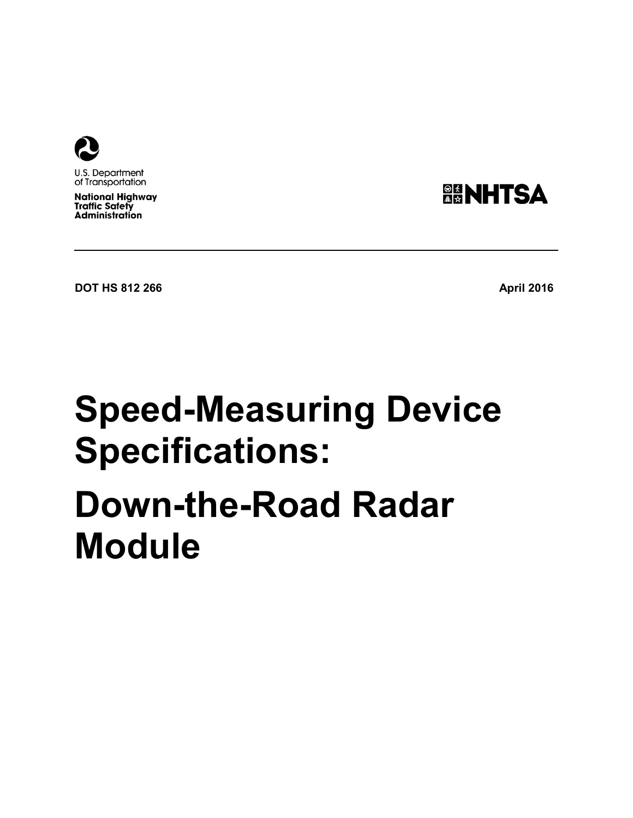

U.S. Department of Transportation

**National Highway Traffic Safety Administration** 



**DOT HS 812 266 April 2016 April 2016** 

# **Speed-Measuring Device Specifications:**

# <span id="page-0-0"></span>**Down-the-Road Radar Module**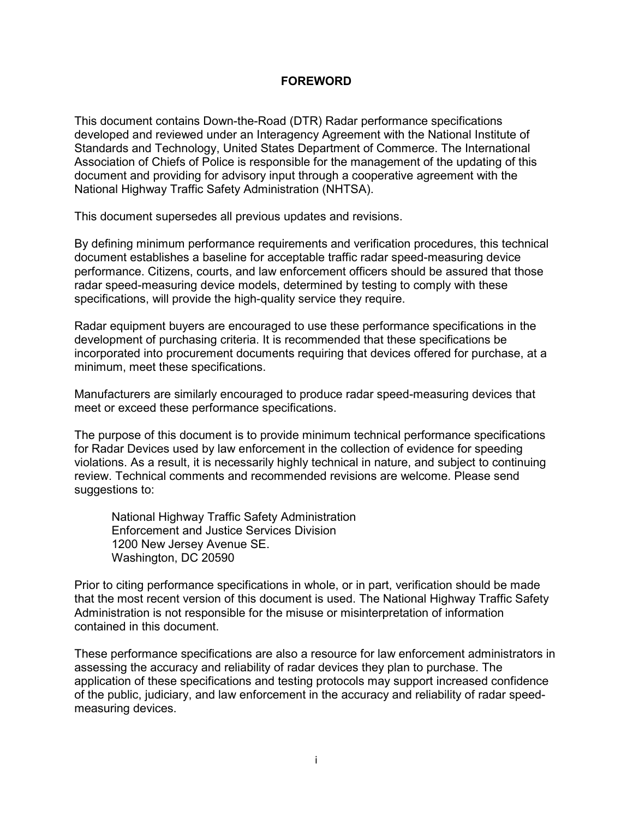#### **FOREWORD**

This document contains Down-the-Road (DTR) Radar performance specifications developed and reviewed under an Interagency Agreement with the National Institute of Standards and Technology, United States Department of Commerce. The International Association of Chiefs of Police is responsible for the management of the updating of this document and providing for advisory input through a cooperative agreement with the National Highway Traffic Safety Administration (NHTSA).

This document supersedes all previous updates and revisions.

By defining minimum performance requirements and verification procedures, this technical document establishes a baseline for acceptable traffic radar speed-measuring device performance. Citizens, courts, and law enforcement officers should be assured that those radar speed-measuring device models, determined by testing to comply with these specifications, will provide the high-quality service they require.

Radar equipment buyers are encouraged to use these performance specifications in the development of purchasing criteria. It is recommended that these specifications be incorporated into procurement documents requiring that devices offered for purchase, at a minimum, meet these specifications.

Manufacturers are similarly encouraged to produce radar speed-measuring devices that meet or exceed these performance specifications.

The purpose of this document is to provide minimum technical performance specifications for Radar Devices used by law enforcement in the collection of evidence for speeding violations. As a result, it is necessarily highly technical in nature, and subject to continuing review. Technical comments and recommended revisions are welcome. Please send suggestions to:

National Highway Traffic Safety Administration Enforcement and Justice Services Division 1200 New Jersey Avenue SE. Washington, DC 20590

Prior to citing performance specifications in whole, or in part, verification should be made that the most recent version of this document is used. The National Highway Traffic Safety Administration is not responsible for the misuse or misinterpretation of information contained in this document.

These performance specifications are also a resource for law enforcement administrators in assessing the accuracy and reliability of radar devices they plan to purchase. The application of these specifications and testing protocols may support increased confidence of the public, judiciary, and law enforcement in the accuracy and reliability of radar speedmeasuring devices.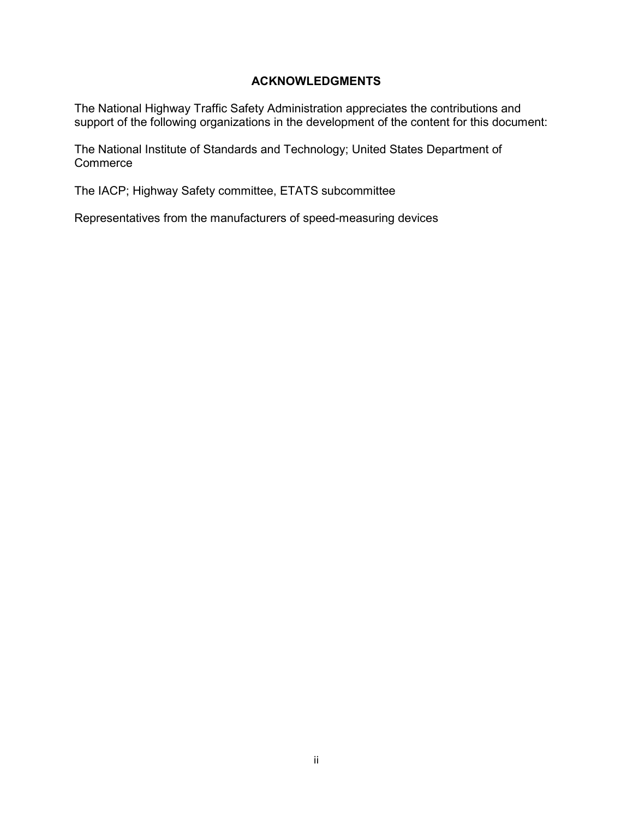#### **ACKNOWLEDGMENTS**

<span id="page-2-0"></span>The National Highway Traffic Safety Administration appreciates the contributions and support of the following organizations in the development of the content for this document:

The National Institute of Standards and Technology; United States Department of **Commerce** 

The IACP; Highway Safety committee, ETATS subcommittee

Representatives from the manufacturers of speed-measuring devices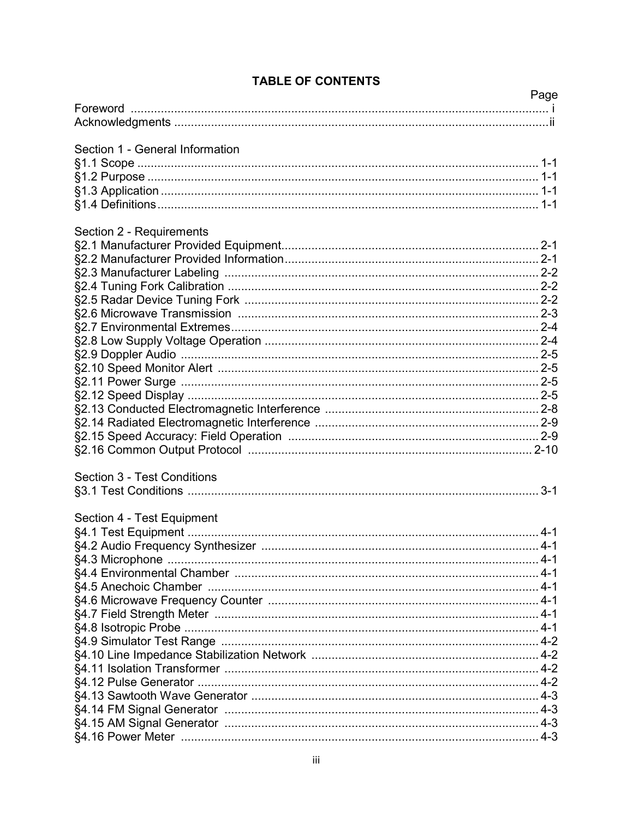|                                 | Page |
|---------------------------------|------|
|                                 |      |
|                                 |      |
| Section 1 - General Information |      |
|                                 |      |
|                                 |      |
|                                 |      |
|                                 |      |
|                                 |      |
| Section 2 - Requirements        |      |
|                                 |      |
|                                 |      |
|                                 |      |
|                                 |      |
|                                 |      |
|                                 |      |
|                                 |      |
|                                 |      |
|                                 |      |
|                                 |      |
|                                 |      |
|                                 |      |
|                                 |      |
|                                 |      |
|                                 |      |
|                                 |      |
| Section 3 - Test Conditions     |      |
|                                 |      |
| Section 4 - Test Equipment      |      |
|                                 |      |
|                                 |      |
|                                 |      |
|                                 |      |
|                                 |      |
|                                 |      |
|                                 |      |
|                                 |      |
|                                 |      |
|                                 |      |
|                                 |      |
|                                 |      |
|                                 |      |
|                                 |      |
|                                 |      |
|                                 |      |

## **TABLE OF CONTENTS**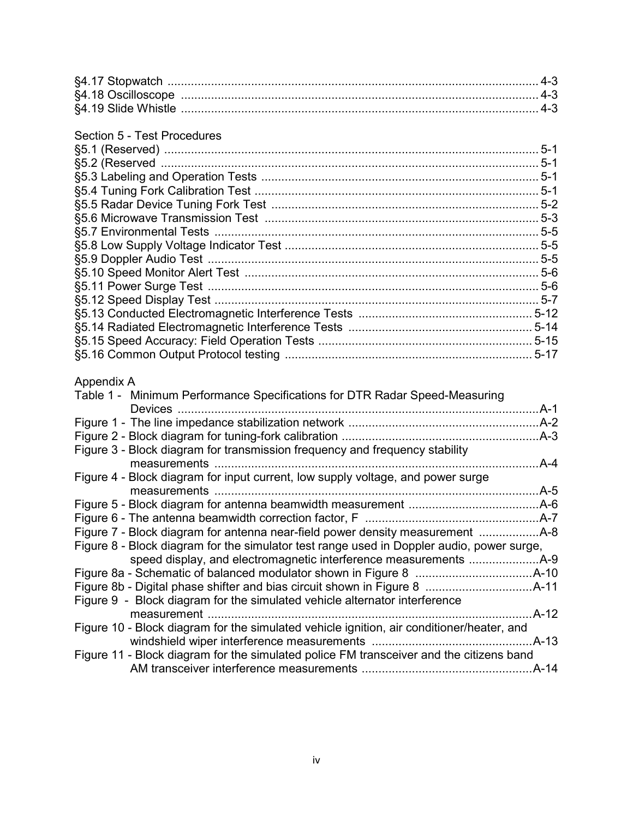#### Section 5 - Test Procedures

| $5 - 1$ |
|---------|
|         |
|         |
|         |
|         |
|         |
|         |
|         |
|         |
|         |
|         |
|         |
|         |
|         |
|         |
|         |
|         |

#### Appendix A

| Table 1 - Minimum Performance Specifications for DTR Radar Speed-Measuring                | A-1       |
|-------------------------------------------------------------------------------------------|-----------|
|                                                                                           |           |
|                                                                                           |           |
| Figure 3 - Block diagram for transmission frequency and frequency stability               |           |
|                                                                                           | .A-4      |
| Figure 4 - Block diagram for input current, low supply voltage, and power surge           |           |
| measurements                                                                              | .A-5      |
|                                                                                           |           |
|                                                                                           |           |
|                                                                                           |           |
| Figure 8 - Block diagram for the simulator test range used in Doppler audio, power surge, |           |
|                                                                                           |           |
|                                                                                           |           |
|                                                                                           |           |
| Figure 9 - Block diagram for the simulated vehicle alternator interference                |           |
|                                                                                           | $.A - 12$ |
| Figure 10 - Block diagram for the simulated vehicle ignition, air conditioner/heater, and |           |
|                                                                                           |           |
| Figure 11 - Block diagram for the simulated police FM transceiver and the citizens band   |           |
|                                                                                           |           |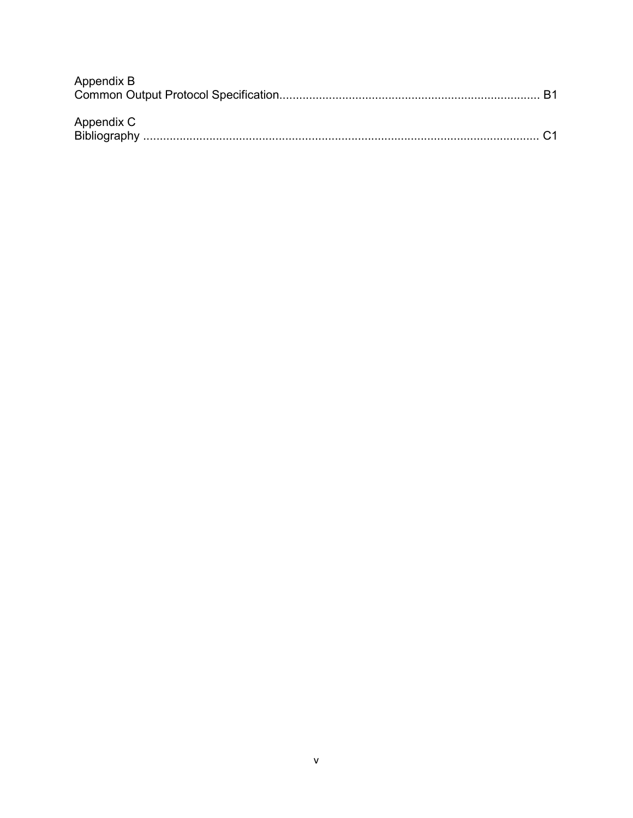| Appendix B |  |
|------------|--|
|            |  |
|            |  |
| Appendix C |  |
|            |  |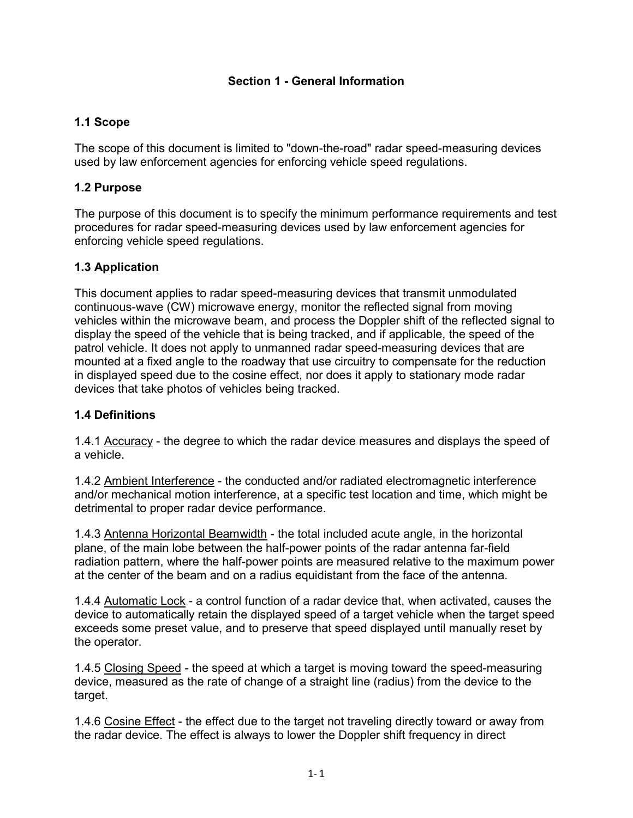#### **Section 1 - General Information**

## <span id="page-6-0"></span>**1.1 Scope**

The scope of this document is limited to "down-the-road" radar speed-measuring devices used by law enforcement agencies for enforcing vehicle speed regulations.

## <span id="page-6-1"></span>**1.2 Purpose**

The purpose of this document is to specify the minimum performance requirements and test procedures for radar speed-measuring devices used by law enforcement agencies for enforcing vehicle speed regulations.

## <span id="page-6-2"></span>**1.3 Application**

This document applies to radar speed-measuring devices that transmit unmodulated continuous-wave (CW) microwave energy, monitor the reflected signal from moving vehicles within the microwave beam, and process the Doppler shift of the reflected signal to display the speed of the vehicle that is being tracked, and if applicable, the speed of the patrol vehicle. It does not apply to unmanned radar speed-measuring devices that are mounted at a fixed angle to the roadway that use circuitry to compensate for the reduction in displayed speed due to the cosine effect, nor does it apply to stationary mode radar devices that take photos of vehicles being tracked.

## <span id="page-6-3"></span>**1.4 Definitions**

1.4.1 Accuracy - the degree to which the radar device measures and displays the speed of a vehicle.

1.4.2 Ambient Interference - the conducted and/or radiated electromagnetic interference and/or mechanical motion interference, at a specific test location and time, which might be detrimental to proper radar device performance.

1.4.3 Antenna Horizontal Beamwidth - the total included acute angle, in the horizontal plane, of the main lobe between the half-power points of the radar antenna far-field radiation pattern, where the half-power points are measured relative to the maximum power at the center of the beam and on a radius equidistant from the face of the antenna.

1.4.4 Automatic Lock - a control function of a radar device that, when activated, causes the device to automatically retain the displayed speed of a target vehicle when the target speed exceeds some preset value, and to preserve that speed displayed until manually reset by the operator.

1.4.5 Closing Speed - the speed at which a target is moving toward the speed-measuring device, measured as the rate of change of a straight line (radius) from the device to the target.

1.4.6 Cosine Effect - the effect due to the target not traveling directly toward or away from the radar device. The effect is always to lower the Doppler shift frequency in direct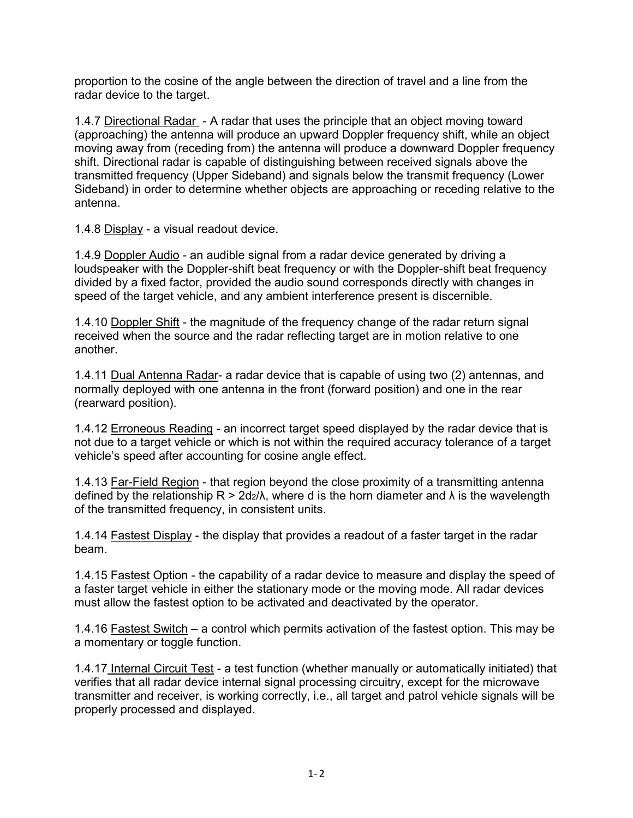proportion to the cosine of the angle between the direction of travel and a line from the radar device to the target.

1.4.7 Directional Radar - A radar that uses the principle that an object moving toward (approaching) the antenna will produce an upward Doppler frequency shift, while an object moving away from (receding from) the antenna will produce a downward Doppler frequency shift. Directional radar is capable of distinguishing between received signals above the transmitted frequency (Upper Sideband) and signals below the transmit frequency (Lower Sideband) in order to determine whether objects are approaching or receding relative to the antenna.

1.4.8 Display - a visual readout device.

1.4.9 Doppler Audio - an audible signal from a radar device generated by driving a loudspeaker with the Doppler-shift beat frequency or with the Doppler-shift beat frequency divided by a fixed factor, provided the audio sound corresponds directly with changes in speed of the target vehicle, and any ambient interference present is discernible.

1.4.10 Doppler Shift - the magnitude of the frequency change of the radar return signal received when the source and the radar reflecting target are in motion relative to one another.

1.4.11 Dual Antenna Radar- a radar device that is capable of using two (2) antennas, and normally deployed with one antenna in the front (forward position) and one in the rear (rearward position).

1.4.12 Erroneous Reading - an incorrect target speed displayed by the radar device that is not due to a target vehicle or which is not within the required accuracy tolerance of a target vehicle's speed after accounting for cosine angle effect.

1.4.13 Far-Field Region - that region beyond the close proximity of a transmitting antenna defined by the relationship  $R > 2d_2/\lambda$ , where d is the horn diameter and  $\lambda$  is the wavelength of the transmitted frequency, in consistent units.

1.4.14 Fastest Display - the display that provides a readout of a faster target in the radar beam.

1.4.15 Fastest Option - the capability of a radar device to measure and display the speed of a faster target vehicle in either the stationary mode or the moving mode. All radar devices must allow the fastest option to be activated and deactivated by the operator.

1.4.16 Fastest Switch – a control which permits activation of the fastest option. This may be a momentary or toggle function.

1.4.17 Internal Circuit Test - a test function (whether manually or automatically initiated) that verifies that all radar device internal signal processing circuitry, except for the microwave transmitter and receiver, is working correctly, i.e., all target and patrol vehicle signals will be properly processed and displayed.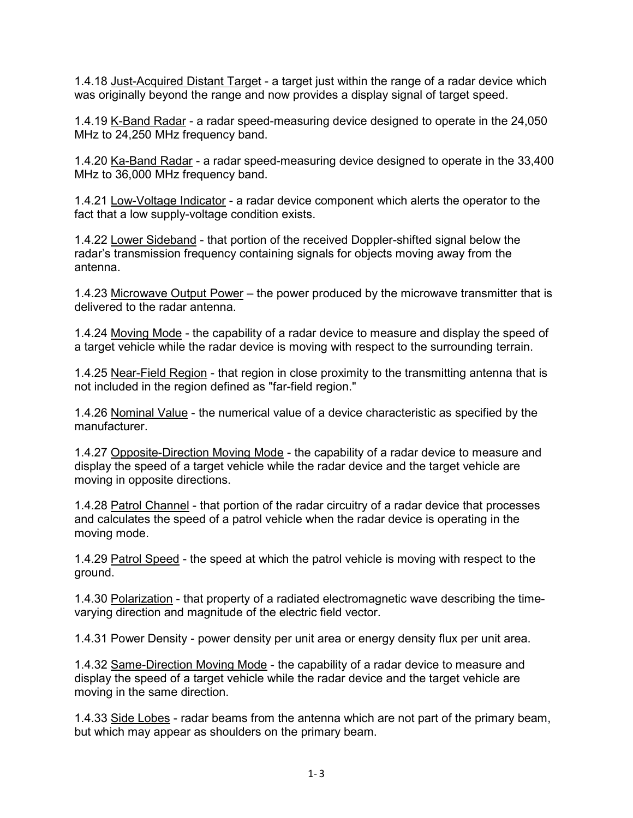1.4.18 Just-Acquired Distant Target - a target just within the range of a radar device which was originally beyond the range and now provides a display signal of target speed.

1.4.19 K-Band Radar - a radar speed-measuring device designed to operate in the 24,050 MHz to 24,250 MHz frequency band.

1.4.20 Ka-Band Radar - a radar speed-measuring device designed to operate in the 33,400 MHz to 36,000 MHz frequency band.

1.4.21 Low-Voltage Indicator - a radar device component which alerts the operator to the fact that a low supply-voltage condition exists.

1.4.22 Lower Sideband - that portion of the received Doppler-shifted signal below the radar's transmission frequency containing signals for objects moving away from the antenna.

1.4.23 Microwave Output Power – the power produced by the microwave transmitter that is delivered to the radar antenna.

1.4.24 Moving Mode - the capability of a radar device to measure and display the speed of a target vehicle while the radar device is moving with respect to the surrounding terrain.

1.4.25 Near-Field Region - that region in close proximity to the transmitting antenna that is not included in the region defined as "far-field region."

1.4.26 Nominal Value - the numerical value of a device characteristic as specified by the manufacturer.

1.4.27 Opposite-Direction Moving Mode - the capability of a radar device to measure and display the speed of a target vehicle while the radar device and the target vehicle are moving in opposite directions.

1.4.28 Patrol Channel - that portion of the radar circuitry of a radar device that processes and calculates the speed of a patrol vehicle when the radar device is operating in the moving mode.

1.4.29 Patrol Speed - the speed at which the patrol vehicle is moving with respect to the ground.

1.4.30 Polarization - that property of a radiated electromagnetic wave describing the timevarying direction and magnitude of the electric field vector.

1.4.31 Power Density - power density per unit area or energy density flux per unit area.

1.4.32 Same-Direction Moving Mode - the capability of a radar device to measure and display the speed of a target vehicle while the radar device and the target vehicle are moving in the same direction.

1.4.33 Side Lobes - radar beams from the antenna which are not part of the primary beam, but which may appear as shoulders on the primary beam.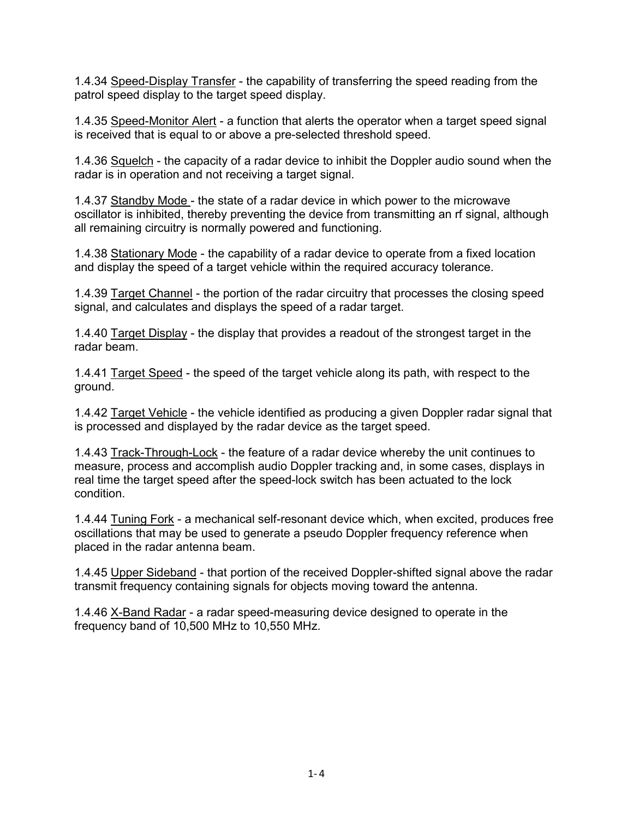1.4.34 Speed-Display Transfer - the capability of transferring the speed reading from the patrol speed display to the target speed display.

1.4.35 Speed-Monitor Alert - a function that alerts the operator when a target speed signal is received that is equal to or above a pre-selected threshold speed.

1.4.36 Squelch - the capacity of a radar device to inhibit the Doppler audio sound when the radar is in operation and not receiving a target signal.

1.4.37 Standby Mode - the state of a radar device in which power to the microwave oscillator is inhibited, thereby preventing the device from transmitting an rf signal, although all remaining circuitry is normally powered and functioning.

1.4.38 Stationary Mode - the capability of a radar device to operate from a fixed location and display the speed of a target vehicle within the required accuracy tolerance.

1.4.39 Target Channel - the portion of the radar circuitry that processes the closing speed signal, and calculates and displays the speed of a radar target.

1.4.40 Target Display - the display that provides a readout of the strongest target in the radar beam.

1.4.41 Target Speed - the speed of the target vehicle along its path, with respect to the ground.

1.4.42 Target Vehicle - the vehicle identified as producing a given Doppler radar signal that is processed and displayed by the radar device as the target speed.

1.4.43 Track-Through-Lock - the feature of a radar device whereby the unit continues to measure, process and accomplish audio Doppler tracking and, in some cases, displays in real time the target speed after the speed-lock switch has been actuated to the lock condition.

1.4.44 Tuning Fork - a mechanical self-resonant device which, when excited, produces free oscillations that may be used to generate a pseudo Doppler frequency reference when placed in the radar antenna beam.

1.4.45 Upper Sideband - that portion of the received Doppler-shifted signal above the radar transmit frequency containing signals for objects moving toward the antenna.

1.4.46 X-Band Radar - a radar speed-measuring device designed to operate in the frequency band of 10,500 MHz to 10,550 MHz.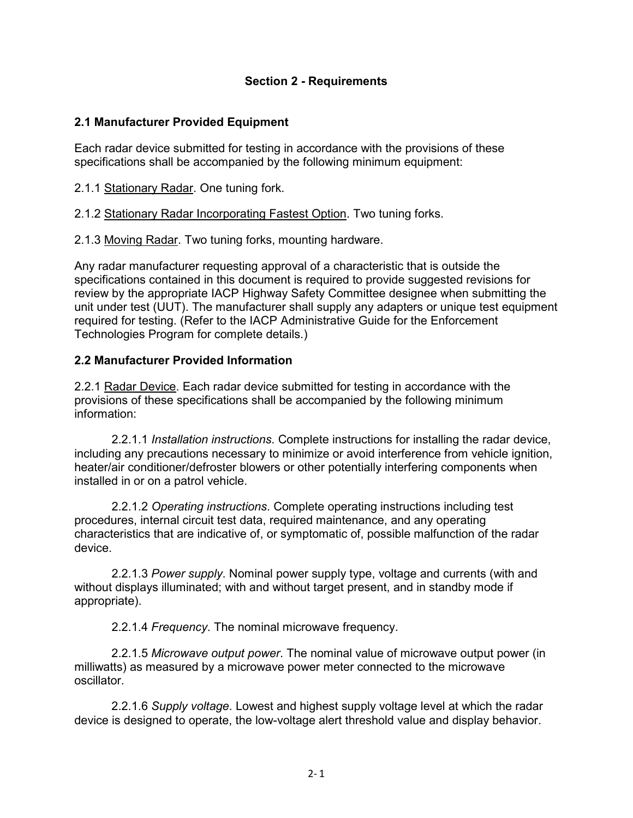## **Section 2 - Requirements**

## <span id="page-10-0"></span>**2.1 Manufacturer Provided Equipment**

Each radar device submitted for testing in accordance with the provisions of these specifications shall be accompanied by the following minimum equipment:

2.1.1 Stationary Radar. One tuning fork.

2.1.2 Stationary Radar Incorporating Fastest Option. Two tuning forks.

2.1.3 Moving Radar. Two tuning forks, mounting hardware.

Any radar manufacturer requesting approval of a characteristic that is outside the specifications contained in this document is required to provide suggested revisions for review by the appropriate IACP Highway Safety Committee designee when submitting the unit under test (UUT). The manufacturer shall supply any adapters or unique test equipment required for testing. (Refer to the IACP Administrative Guide for the Enforcement Technologies Program for complete details.)

#### <span id="page-10-1"></span>**2.2 Manufacturer Provided Information**

2.2.1 Radar Device. Each radar device submitted for testing in accordance with the provisions of these specifications shall be accompanied by the following minimum information:

2.2.1.1 *Installation instructions*. Complete instructions for installing the radar device, including any precautions necessary to minimize or avoid interference from vehicle ignition, heater/air conditioner/defroster blowers or other potentially interfering components when installed in or on a patrol vehicle.

2.2.1.2 *Operating instructions*. Complete operating instructions including test procedures, internal circuit test data, required maintenance, and any operating characteristics that are indicative of, or symptomatic of, possible malfunction of the radar device.

2.2.1.3 *Power supply*. Nominal power supply type, voltage and currents (with and without displays illuminated; with and without target present, and in standby mode if appropriate).

2.2.1.4 *Frequency*. The nominal microwave frequency.

2.2.1.5 *Microwave output power*. The nominal value of microwave output power (in milliwatts) as measured by a microwave power meter connected to the microwave oscillator.

2.2.1.6 *Supply voltage*. Lowest and highest supply voltage level at which the radar device is designed to operate, the low-voltage alert threshold value and display behavior.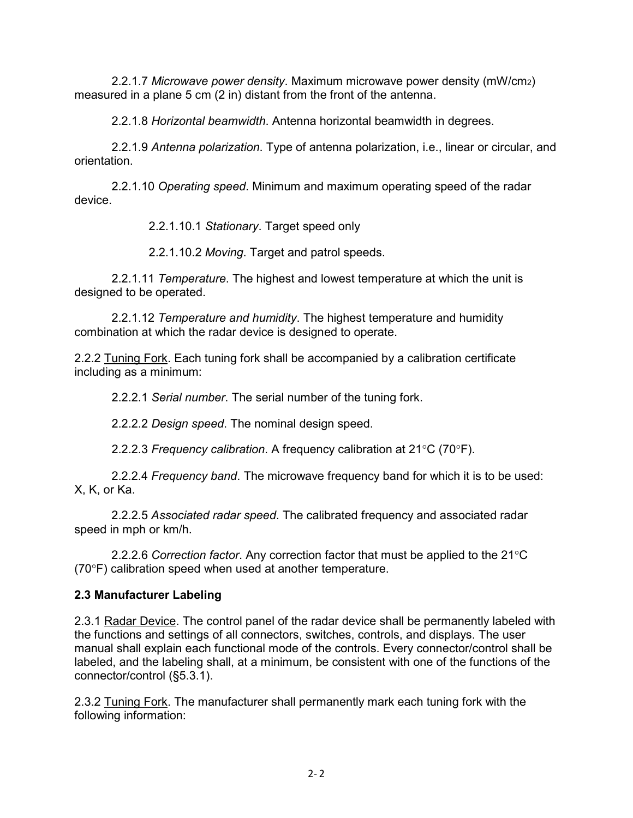2.2.1.7 *Microwave power density*. Maximum microwave power density (mW/cm2) measured in a plane 5 cm (2 in) distant from the front of the antenna.

2.2.1.8 *Horizontal beamwidth*. Antenna horizontal beamwidth in degrees.

2.2.1.9 *Antenna polarization*. Type of antenna polarization, i.e., linear or circular, and orientation.

2.2.1.10 *Operating speed*. Minimum and maximum operating speed of the radar device.

2.2.1.10.1 *Stationary*. Target speed only

2.2.1.10.2 *Moving*. Target and patrol speeds.

2.2.1.11 *Temperature*. The highest and lowest temperature at which the unit is designed to be operated.

2.2.1.12 *Temperature and humidity*. The highest temperature and humidity combination at which the radar device is designed to operate.

2.2.2 Tuning Fork. Each tuning fork shall be accompanied by a calibration certificate including as a minimum:

2.2.2.1 *Serial number*. The serial number of the tuning fork.

2.2.2.2 *Design speed*. The nominal design speed.

2.2.2.3 *Frequency calibration*. A frequency calibration at 21°C (70°F).

2.2.2.4 *Frequency band*. The microwave frequency band for which it is to be used: X, K, or Ka.

2.2.2.5 *Associated radar speed*. The calibrated frequency and associated radar speed in mph or km/h.

2.2.2.6 *Correction factor*. Any correction factor that must be applied to the 21°C (70°F) calibration speed when used at another temperature.

## <span id="page-11-0"></span>**2.3 Manufacturer Labeling**

2.3.1 Radar Device. The control panel of the radar device shall be permanently labeled with the functions and settings of all connectors, switches, controls, and displays. The user manual shall explain each functional mode of the controls. Every connector/control shall be labeled, and the labeling shall, at a minimum, be consistent with one of the functions of the connector/control (§5.3.1).

2.3.2 Tuning Fork. The manufacturer shall permanently mark each tuning fork with the following information: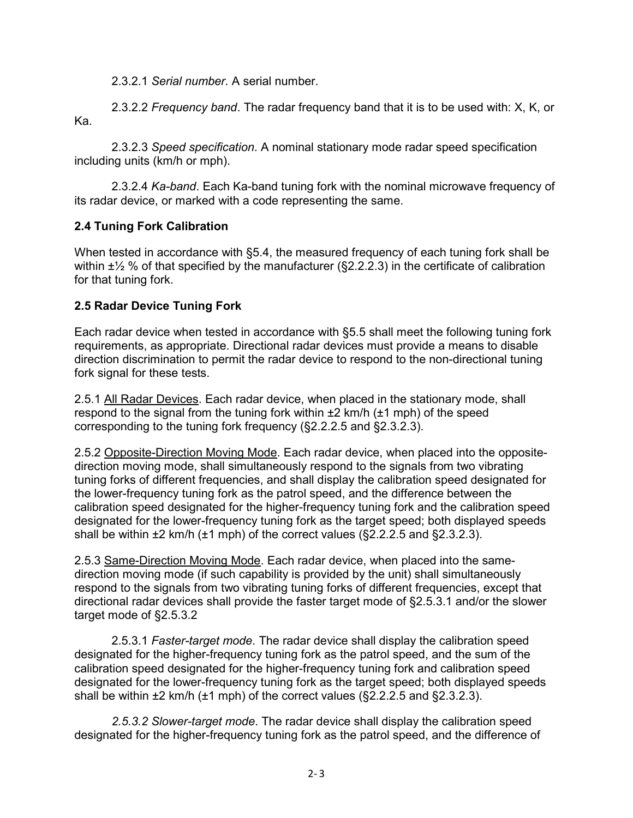2.3.2.1 *Serial number*. A serial number.

2.3.2.2 *Frequency band*. The radar frequency band that it is to be used with: X, K, or Ka.

2.3.2.3 *Speed specification*. A nominal stationary mode radar speed specification including units (km/h or mph).

2.3.2.4 *Ka-band*. Each Ka-band tuning fork with the nominal microwave frequency of its radar device, or marked with a code representing the same.

#### <span id="page-12-0"></span>**2.4 Tuning Fork Calibration**

When tested in accordance with §5.4, the measured frequency of each tuning fork shall be within  $\pm\frac{1}{2}$  % of that specified by the manufacturer (§2.2.2.3) in the certificate of calibration for that tuning fork.

## <span id="page-12-1"></span>**2.5 Radar Device Tuning Fork**

Each radar device when tested in accordance with §5.5 shall meet the following tuning fork requirements, as appropriate. Directional radar devices must provide a means to disable direction discrimination to permit the radar device to respond to the non-directional tuning fork signal for these tests.

2.5.1 All Radar Devices. Each radar device, when placed in the stationary mode, shall respond to the signal from the tuning fork within  $\pm 2$  km/h ( $\pm 1$  mph) of the speed corresponding to the tuning fork frequency (§2.2.2.5 and §2.3.2.3).

2.5.2 Opposite-Direction Moving Mode. Each radar device, when placed into the oppositedirection moving mode, shall simultaneously respond to the signals from two vibrating tuning forks of different frequencies, and shall display the calibration speed designated for the lower-frequency tuning fork as the patrol speed, and the difference between the calibration speed designated for the higher-frequency tuning fork and the calibration speed designated for the lower-frequency tuning fork as the target speed; both displayed speeds shall be within  $\pm 2$  km/h ( $\pm 1$  mph) of the correct values ( $\S2.2.2.5$  and  $\S2.3.2.3$ ).

2.5.3 Same-Direction Moving Mode. Each radar device, when placed into the samedirection moving mode (if such capability is provided by the unit) shall simultaneously respond to the signals from two vibrating tuning forks of different frequencies, except that directional radar devices shall provide the faster target mode of §2.5.3.1 and/or the slower target mode of §2.5.3.2

2.5.3.1 *Faster-target mode*. The radar device shall display the calibration speed designated for the higher-frequency tuning fork as the patrol speed, and the sum of the calibration speed designated for the higher-frequency tuning fork and calibration speed designated for the lower-frequency tuning fork as the target speed; both displayed speeds shall be within  $\pm 2$  km/h ( $\pm 1$  mph) of the correct values ( $\S2.2.2.5$  and  $\S2.3.2.3$ ).

*2.5.3.2 Slower-target mode*. The radar device shall display the calibration speed designated for the higher-frequency tuning fork as the patrol speed, and the difference of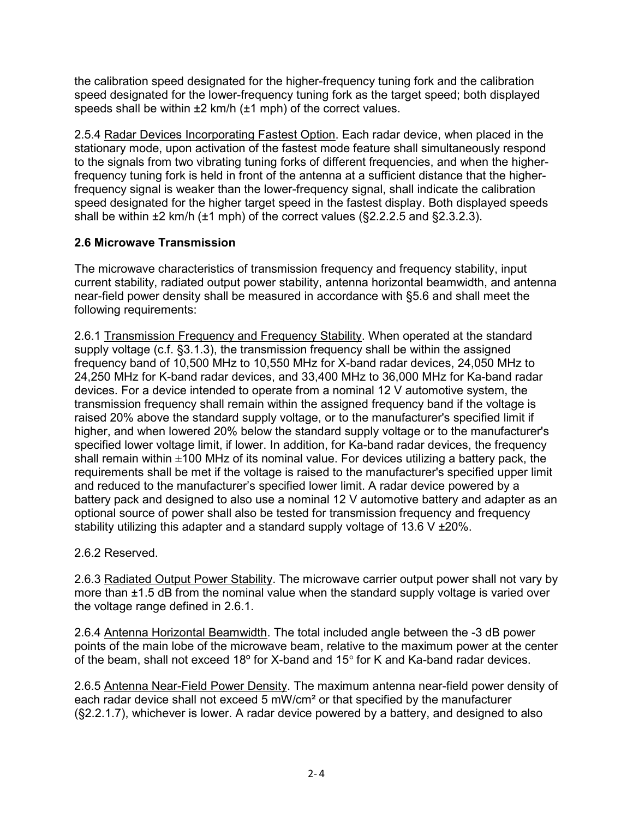the calibration speed designated for the higher-frequency tuning fork and the calibration speed designated for the lower-frequency tuning fork as the target speed; both displayed speeds shall be within  $\pm 2$  km/h ( $\pm 1$  mph) of the correct values.

2.5.4 Radar Devices Incorporating Fastest Option. Each radar device, when placed in the stationary mode, upon activation of the fastest mode feature shall simultaneously respond to the signals from two vibrating tuning forks of different frequencies, and when the higherfrequency tuning fork is held in front of the antenna at a sufficient distance that the higherfrequency signal is weaker than the lower-frequency signal, shall indicate the calibration speed designated for the higher target speed in the fastest display. Both displayed speeds shall be within  $\pm 2$  km/h ( $\pm 1$  mph) of the correct values ( $\S2.2.2.5$  and  $\S2.3.2.3$ ).

## <span id="page-13-0"></span>**2.6 Microwave Transmission**

The microwave characteristics of transmission frequency and frequency stability, input current stability, radiated output power stability, antenna horizontal beamwidth, and antenna near-field power density shall be measured in accordance with §5.6 and shall meet the following requirements:

2.6.1 Transmission Frequency and Frequency Stability. When operated at the standard supply voltage (c.f. §3.1.3), the transmission frequency shall be within the assigned frequency band of 10,500 MHz to 10,550 MHz for X-band radar devices, 24,050 MHz to 24,250 MHz for K-band radar devices, and 33,400 MHz to 36,000 MHz for Ka-band radar devices. For a device intended to operate from a nominal 12 V automotive system, the transmission frequency shall remain within the assigned frequency band if the voltage is raised 20% above the standard supply voltage, or to the manufacturer's specified limit if higher, and when lowered 20% below the standard supply voltage or to the manufacturer's specified lower voltage limit, if lower. In addition, for Ka-band radar devices, the frequency shall remain within  $\pm$ 100 MHz of its nominal value. For devices utilizing a battery pack, the requirements shall be met if the voltage is raised to the manufacturer's specified upper limit and reduced to the manufacturer's specified lower limit. A radar device powered by a battery pack and designed to also use a nominal 12 V automotive battery and adapter as an optional source of power shall also be tested for transmission frequency and frequency stability utilizing this adapter and a standard supply voltage of  $13.6 \text{ V } \pm 20\%$ .

2.6.2 Reserved.

2.6.3 Radiated Output Power Stability. The microwave carrier output power shall not vary by more than  $\pm$ 1.5 dB from the nominal value when the standard supply voltage is varied over the voltage range defined in 2.6.1.

2.6.4 Antenna Horizontal Beamwidth. The total included angle between the -3 dB power points of the main lobe of the microwave beam, relative to the maximum power at the center of the beam, shall not exceed 18º for X-band and 15° for K and Ka-band radar devices.

2.6.5 Antenna Near-Field Power Density. The maximum antenna near-field power density of each radar device shall not exceed 5 mW/cm² or that specified by the manufacturer (§2.2.1.7), whichever is lower. A radar device powered by a battery, and designed to also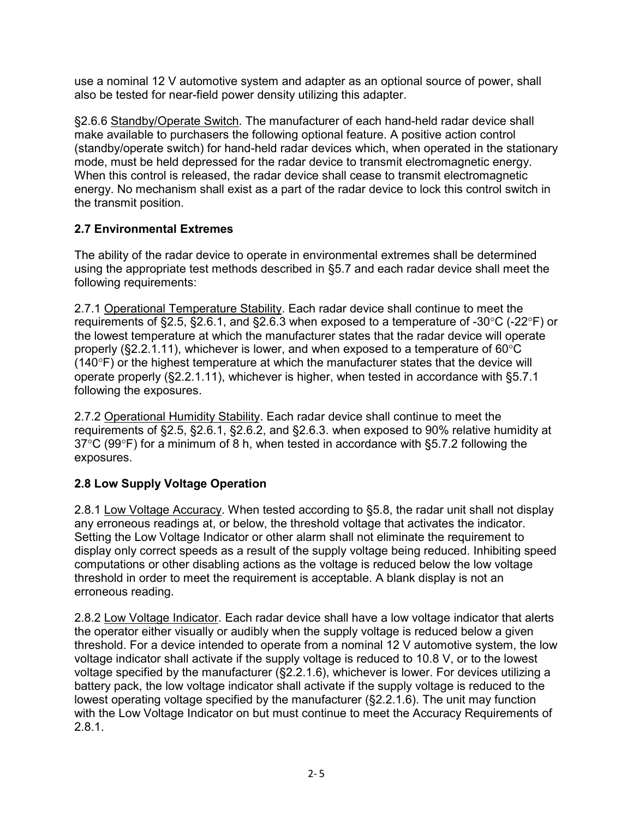use a nominal 12 V automotive system and adapter as an optional source of power, shall also be tested for near-field power density utilizing this adapter.

§2.6.6 Standby/Operate Switch. The manufacturer of each hand-held radar device shall make available to purchasers the following optional feature. A positive action control (standby/operate switch) for hand-held radar devices which, when operated in the stationary mode, must be held depressed for the radar device to transmit electromagnetic energy. When this control is released, the radar device shall cease to transmit electromagnetic energy. No mechanism shall exist as a part of the radar device to lock this control switch in the transmit position.

## <span id="page-14-0"></span>**2.7 Environmental Extremes**

The ability of the radar device to operate in environmental extremes shall be determined using the appropriate test methods described in §5.7 and each radar device shall meet the following requirements:

2.7.1 Operational Temperature Stability. Each radar device shall continue to meet the requirements of §2.5, §2.6.1, and §2.6.3 when exposed to a temperature of -30°C (-22°F) or the lowest temperature at which the manufacturer states that the radar device will operate properly (§2.2.1.11), whichever is lower, and when exposed to a temperature of 60°C (140°F) or the highest temperature at which the manufacturer states that the device will operate properly (§2.2.1.11), whichever is higher, when tested in accordance with §5.7.1 following the exposures.

2.7.2 Operational Humidity Stability. Each radar device shall continue to meet the requirements of §2.5, §2.6.1, §2.6.2, and §2.6.3. when exposed to 90% relative humidity at 37°C (99°F) for a minimum of 8 h, when tested in accordance with §5.7.2 following the exposures.

## <span id="page-14-1"></span>**2.8 Low Supply Voltage Operation**

2.8.1 Low Voltage Accuracy. When tested according to §5.8, the radar unit shall not display any erroneous readings at, or below, the threshold voltage that activates the indicator. Setting the Low Voltage Indicator or other alarm shall not eliminate the requirement to display only correct speeds as a result of the supply voltage being reduced. Inhibiting speed computations or other disabling actions as the voltage is reduced below the low voltage threshold in order to meet the requirement is acceptable. A blank display is not an erroneous reading.

2.8.2 Low Voltage Indicator. Each radar device shall have a low voltage indicator that alerts the operator either visually or audibly when the supply voltage is reduced below a given threshold. For a device intended to operate from a nominal 12 V automotive system, the low voltage indicator shall activate if the supply voltage is reduced to 10.8 V, or to the lowest voltage specified by the manufacturer (§2.2.1.6), whichever is lower. For devices utilizing a battery pack, the low voltage indicator shall activate if the supply voltage is reduced to the lowest operating voltage specified by the manufacturer (§2.2.1.6). The unit may function with the Low Voltage Indicator on but must continue to meet the Accuracy Requirements of 2.8.1.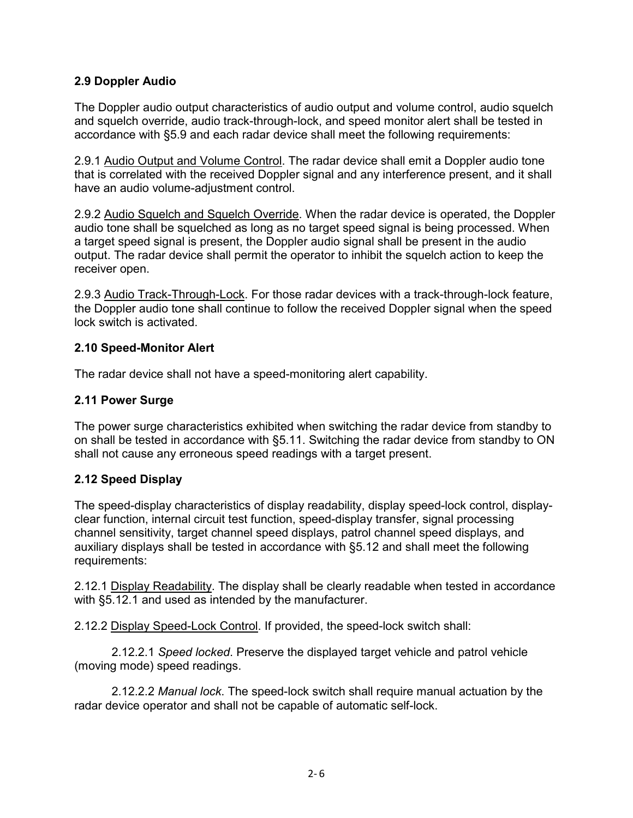#### <span id="page-15-0"></span>**2.9 Doppler Audio**

The Doppler audio output characteristics of audio output and volume control, audio squelch and squelch override, audio track-through-lock, and speed monitor alert shall be tested in accordance with §5.9 and each radar device shall meet the following requirements:

2.9.1 Audio Output and Volume Control. The radar device shall emit a Doppler audio tone that is correlated with the received Doppler signal and any interference present, and it shall have an audio volume-adjustment control.

2.9.2 Audio Squelch and Squelch Override. When the radar device is operated, the Doppler audio tone shall be squelched as long as no target speed signal is being processed. When a target speed signal is present, the Doppler audio signal shall be present in the audio output. The radar device shall permit the operator to inhibit the squelch action to keep the receiver open.

2.9.3 Audio Track-Through-Lock. For those radar devices with a track-through-lock feature, the Doppler audio tone shall continue to follow the received Doppler signal when the speed lock switch is activated.

#### <span id="page-15-1"></span>**2.10 Speed-Monitor Alert**

The radar device shall not have a speed-monitoring alert capability.

## <span id="page-15-2"></span>**2.11 Power Surge**

The power surge characteristics exhibited when switching the radar device from standby to on shall be tested in accordance with §5.11. Switching the radar device from standby to ON shall not cause any erroneous speed readings with a target present.

#### **2.12 Speed Display**

The speed-display characteristics of display readability, display speed-lock control, displayclear function, internal circuit test function, speed-display transfer, signal processing channel sensitivity, target channel speed displays, patrol channel speed displays, and auxiliary displays shall be tested in accordance with §5.12 and shall meet the following requirements:

2.12.1 Display Readability. The display shall be clearly readable when tested in accordance with §5.12.1 and used as intended by the manufacturer.

2.12.2 Display Speed-Lock Control. If provided, the speed-lock switch shall:

2.12.2.1 *Speed locked*. Preserve the displayed target vehicle and patrol vehicle (moving mode) speed readings.

2.12.2.2 *Manual lock*. The speed-lock switch shall require manual actuation by the radar device operator and shall not be capable of automatic self-lock.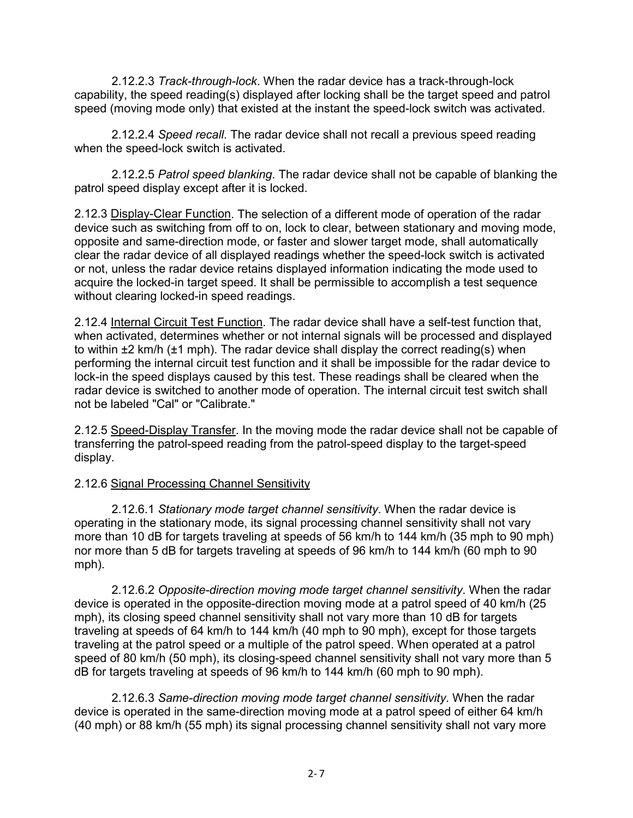2.12.2.3 *Track-through-lock*. When the radar device has a track-through-lock capability, the speed reading(s) displayed after locking shall be the target speed and patrol speed (moving mode only) that existed at the instant the speed-lock switch was activated.

2.12.2.4 *Speed recall*. The radar device shall not recall a previous speed reading when the speed-lock switch is activated.

2.12.2.5 *Patrol speed blanking*. The radar device shall not be capable of blanking the patrol speed display except after it is locked.

2.12.3 Display-Clear Function. The selection of a different mode of operation of the radar device such as switching from off to on, lock to clear, between stationary and moving mode, opposite and same-direction mode, or faster and slower target mode, shall automatically clear the radar device of all displayed readings whether the speed-lock switch is activated or not, unless the radar device retains displayed information indicating the mode used to acquire the locked-in target speed. It shall be permissible to accomplish a test sequence without clearing locked-in speed readings.

2.12.4 Internal Circuit Test Function. The radar device shall have a self-test function that, when activated, determines whether or not internal signals will be processed and displayed to within ±2 km/h (±1 mph). The radar device shall display the correct reading(s) when performing the internal circuit test function and it shall be impossible for the radar device to lock-in the speed displays caused by this test. These readings shall be cleared when the radar device is switched to another mode of operation. The internal circuit test switch shall not be labeled "Cal" or "Calibrate."

2.12.5 Speed-Display Transfer. In the moving mode the radar device shall not be capable of transferring the patrol-speed reading from the patrol-speed display to the target-speed display.

#### 2.12.6 Signal Processing Channel Sensitivity

2.12.6.1 *Stationary mode target channel sensitivity*. When the radar device is operating in the stationary mode, its signal processing channel sensitivity shall not vary more than 10 dB for targets traveling at speeds of 56 km/h to 144 km/h (35 mph to 90 mph) nor more than 5 dB for targets traveling at speeds of 96 km/h to 144 km/h (60 mph to 90 mph).

2.12.6.2 *Opposite-direction moving mode target channel sensitivity*. When the radar device is operated in the opposite-direction moving mode at a patrol speed of 40 km/h (25 mph), its closing speed channel sensitivity shall not vary more than 10 dB for targets traveling at speeds of 64 km/h to 144 km/h (40 mph to 90 mph), except for those targets traveling at the patrol speed or a multiple of the patrol speed. When operated at a patrol speed of 80 km/h (50 mph), its closing-speed channel sensitivity shall not vary more than 5 dB for targets traveling at speeds of 96 km/h to 144 km/h (60 mph to 90 mph).

2.12.6.3 *Same-direction moving mode target channel sensitivity*. When the radar device is operated in the same-direction moving mode at a patrol speed of either 64 km/h (40 mph) or 88 km/h (55 mph) its signal processing channel sensitivity shall not vary more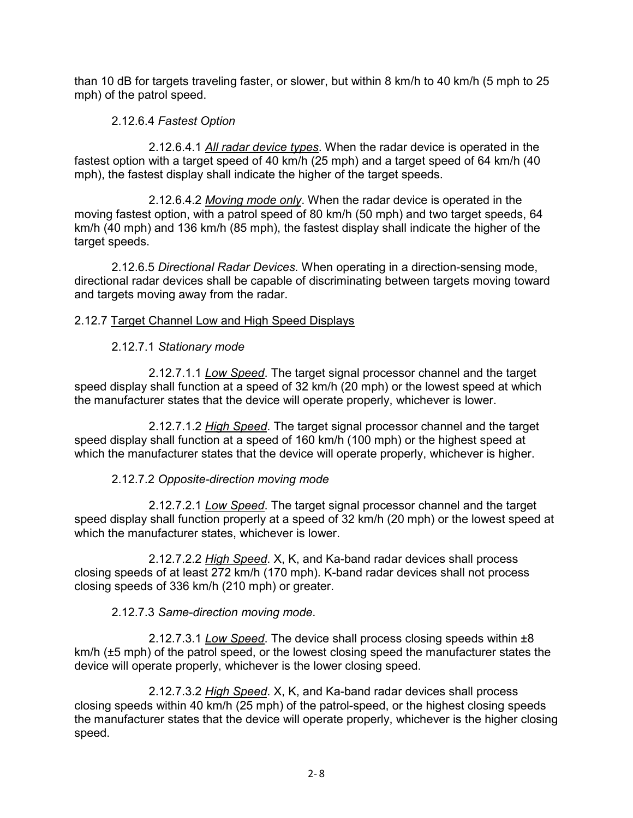than 10 dB for targets traveling faster, or slower, but within 8 km/h to 40 km/h (5 mph to 25 mph) of the patrol speed.

## 2.12.6.4 *Fastest Option*

2.12.6.4.1 *All radar device types*. When the radar device is operated in the fastest option with a target speed of 40 km/h (25 mph) and a target speed of 64 km/h (40 mph), the fastest display shall indicate the higher of the target speeds.

2.12.6.4.2 *Moving mode only*. When the radar device is operated in the moving fastest option, with a patrol speed of 80 km/h (50 mph) and two target speeds, 64 km/h (40 mph) and 136 km/h (85 mph), the fastest display shall indicate the higher of the target speeds.

2.12.6.5 *Directional Radar Devices.* When operating in a direction-sensing mode, directional radar devices shall be capable of discriminating between targets moving toward and targets moving away from the radar.

## 2.12.7 Target Channel Low and High Speed Displays

## 2.12.7.1 *Stationary mode*

2.12.7.1.1 *Low Speed*. The target signal processor channel and the target speed display shall function at a speed of 32 km/h (20 mph) or the lowest speed at which the manufacturer states that the device will operate properly, whichever is lower.

2.12.7.1.2 *High Speed*. The target signal processor channel and the target speed display shall function at a speed of 160 km/h (100 mph) or the highest speed at which the manufacturer states that the device will operate properly, whichever is higher.

## 2.12.7.2 *Opposite-direction moving mode*

2.12.7.2.1 *Low Speed*. The target signal processor channel and the target speed display shall function properly at a speed of 32 km/h (20 mph) or the lowest speed at which the manufacturer states, whichever is lower.

2.12.7.2.2 *High Speed*. X, K, and Ka-band radar devices shall process closing speeds of at least 272 km/h (170 mph). K-band radar devices shall not process closing speeds of 336 km/h (210 mph) or greater.

#### 2.12.7.3 *Same-direction moving mode*.

2.12.7.3.1 *Low Speed*. The device shall process closing speeds within ±8 km/h (±5 mph) of the patrol speed, or the lowest closing speed the manufacturer states the device will operate properly, whichever is the lower closing speed.

2.12.7.3.2 *High Speed*. X, K, and Ka-band radar devices shall process closing speeds within 40 km/h (25 mph) of the patrol-speed, or the highest closing speeds the manufacturer states that the device will operate properly, whichever is the higher closing speed.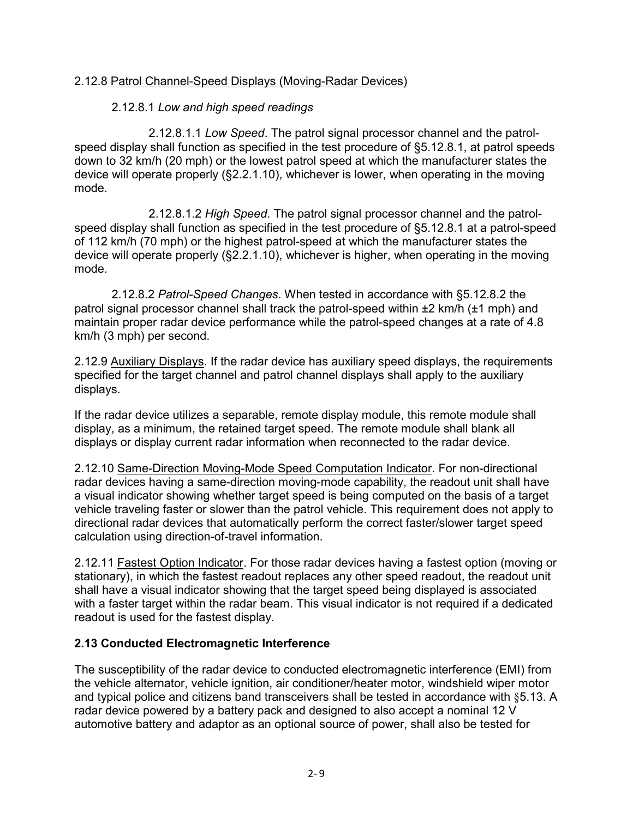#### 2.12.8 Patrol Channel-Speed Displays (Moving-Radar Devices)

#### 2.12.8.1 *Low and high speed readings*

2.12.8.1.1 *Low Speed*. The patrol signal processor channel and the patrolspeed display shall function as specified in the test procedure of §5.12.8.1, at patrol speeds down to 32 km/h (20 mph) or the lowest patrol speed at which the manufacturer states the device will operate properly (§2.2.1.10), whichever is lower, when operating in the moving mode.

2.12.8.1.2 *High Speed*. The patrol signal processor channel and the patrolspeed display shall function as specified in the test procedure of §5.12.8.1 at a patrol-speed of 112 km/h (70 mph) or the highest patrol-speed at which the manufacturer states the device will operate properly (§2.2.1.10), whichever is higher, when operating in the moving mode.

2.12.8.2 *Patrol-Speed Changes*. When tested in accordance with §5.12.8.2 the patrol signal processor channel shall track the patrol-speed within ±2 km/h (±1 mph) and maintain proper radar device performance while the patrol-speed changes at a rate of 4.8 km/h (3 mph) per second.

2.12.9 Auxiliary Displays. If the radar device has auxiliary speed displays, the requirements specified for the target channel and patrol channel displays shall apply to the auxiliary displays.

If the radar device utilizes a separable, remote display module, this remote module shall display, as a minimum, the retained target speed. The remote module shall blank all displays or display current radar information when reconnected to the radar device.

2.12.10 Same-Direction Moving-Mode Speed Computation Indicator. For non-directional radar devices having a same-direction moving-mode capability, the readout unit shall have a visual indicator showing whether target speed is being computed on the basis of a target vehicle traveling faster or slower than the patrol vehicle. This requirement does not apply to directional radar devices that automatically perform the correct faster/slower target speed calculation using direction-of-travel information.

2.12.11 Fastest Option Indicator. For those radar devices having a fastest option (moving or stationary), in which the fastest readout replaces any other speed readout, the readout unit shall have a visual indicator showing that the target speed being displayed is associated with a faster target within the radar beam. This visual indicator is not required if a dedicated readout is used for the fastest display.

#### <span id="page-18-0"></span>**2.13 Conducted Electromagnetic Interference**

The susceptibility of the radar device to conducted electromagnetic interference (EMI) from the vehicle alternator, vehicle ignition, air conditioner/heater motor, windshield wiper motor and typical police and citizens band transceivers shall be tested in accordance with §5.13. A radar device powered by a battery pack and designed to also accept a nominal 12 V automotive battery and adaptor as an optional source of power, shall also be tested for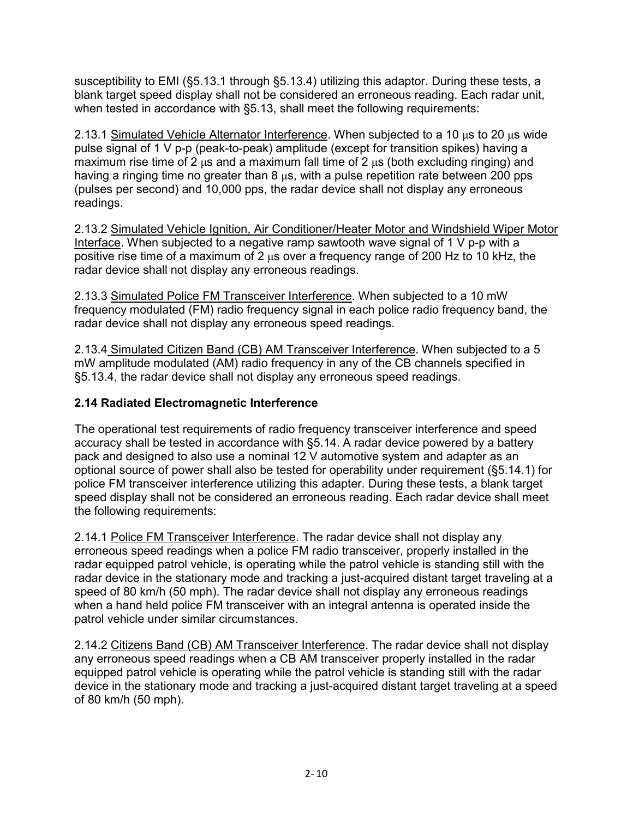susceptibility to EMI (§5.13.1 through §5.13.4) utilizing this adaptor. During these tests, a blank target speed display shall not be considered an erroneous reading. Each radar unit, when tested in accordance with §5.13, shall meet the following requirements:

2.13.1 Simulated Vehicle Alternator Interference. When subjected to a 10  $\mu$ s to 20  $\mu$ s wide pulse signal of 1 V p-p (peak-to-peak) amplitude (except for transition spikes) having a maximum rise time of 2 μs and a maximum fall time of 2 μs (both excluding ringing) and having a ringing time no greater than 8 μs, with a pulse repetition rate between 200 pps (pulses per second) and 10,000 pps, the radar device shall not display any erroneous readings.

2.13.2 Simulated Vehicle Ignition, Air Conditioner/Heater Motor and Windshield Wiper Motor Interface. When subjected to a negative ramp sawtooth wave signal of 1 V p-p with a positive rise time of a maximum of 2 μs over a frequency range of 200 Hz to 10 kHz, the radar device shall not display any erroneous readings.

2.13.3 Simulated Police FM Transceiver Interference. When subjected to a 10 mW frequency modulated (FM) radio frequency signal in each police radio frequency band, the radar device shall not display any erroneous speed readings.

2.13.4 Simulated Citizen Band (CB) AM Transceiver Interference. When subjected to a 5 mW amplitude modulated (AM) radio frequency in any of the CB channels specified in §5.13.4, the radar device shall not display any erroneous speed readings.

## **2.14 Radiated Electromagnetic Interference**

The operational test requirements of radio frequency transceiver interference and speed accuracy shall be tested in accordance with §5.14. A radar device powered by a battery pack and designed to also use a nominal 12 V automotive system and adapter as an optional source of power shall also be tested for operability under requirement (§5.14.1) for police FM transceiver interference utilizing this adapter. During these tests, a blank target speed display shall not be considered an erroneous reading. Each radar device shall meet the following requirements:

2.14.1 Police FM Transceiver Interference. The radar device shall not display any erroneous speed readings when a police FM radio transceiver, properly installed in the radar equipped patrol vehicle, is operating while the patrol vehicle is standing still with the radar device in the stationary mode and tracking a just-acquired distant target traveling at a speed of 80 km/h (50 mph). The radar device shall not display any erroneous readings when a hand held police FM transceiver with an integral antenna is operated inside the patrol vehicle under similar circumstances.

2.14.2 Citizens Band (CB) AM Transceiver Interference. The radar device shall not display any erroneous speed readings when a CB AM transceiver properly installed in the radar equipped patrol vehicle is operating while the patrol vehicle is standing still with the radar device in the stationary mode and tracking a just-acquired distant target traveling at a speed of 80 km/h (50 mph).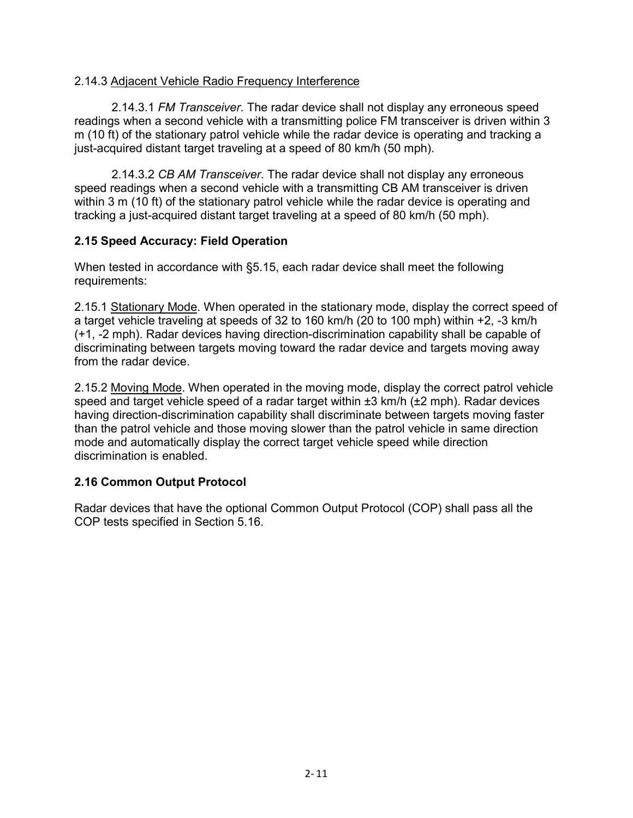#### 2.14.3 Adjacent Vehicle Radio Frequency Interference

2.14.3.1 *FM Transceiver*. The radar device shall not display any erroneous speed readings when a second vehicle with a transmitting police FM transceiver is driven within 3 m (10 ft) of the stationary patrol vehicle while the radar device is operating and tracking a just-acquired distant target traveling at a speed of 80 km/h (50 mph).

2.14.3.2 *CB AM Transceiver*. The radar device shall not display any erroneous speed readings when a second vehicle with a transmitting CB AM transceiver is driven within 3 m (10 ft) of the stationary patrol vehicle while the radar device is operating and tracking a just-acquired distant target traveling at a speed of 80 km/h (50 mph).

#### <span id="page-20-0"></span>**2.15 Speed Accuracy: Field Operation**

When tested in accordance with §5.15, each radar device shall meet the following requirements:

2.15.1 Stationary Mode. When operated in the stationary mode, display the correct speed of a target vehicle traveling at speeds of 32 to 160 km/h (20 to 100 mph) within +2, -3 km/h (+1, -2 mph). Radar devices having direction-discrimination capability shall be capable of discriminating between targets moving toward the radar device and targets moving away from the radar device.

2.15.2 Moving Mode. When operated in the moving mode, display the correct patrol vehicle speed and target vehicle speed of a radar target within  $\pm 3$  km/h ( $\pm 2$  mph). Radar devices having direction-discrimination capability shall discriminate between targets moving faster than the patrol vehicle and those moving slower than the patrol vehicle in same direction mode and automatically display the correct target vehicle speed while direction discrimination is enabled.

#### <span id="page-20-1"></span>**2.16 Common Output Protocol**

Radar devices that have the optional Common Output Protocol (COP) shall pass all the COP tests specified in Section 5.16.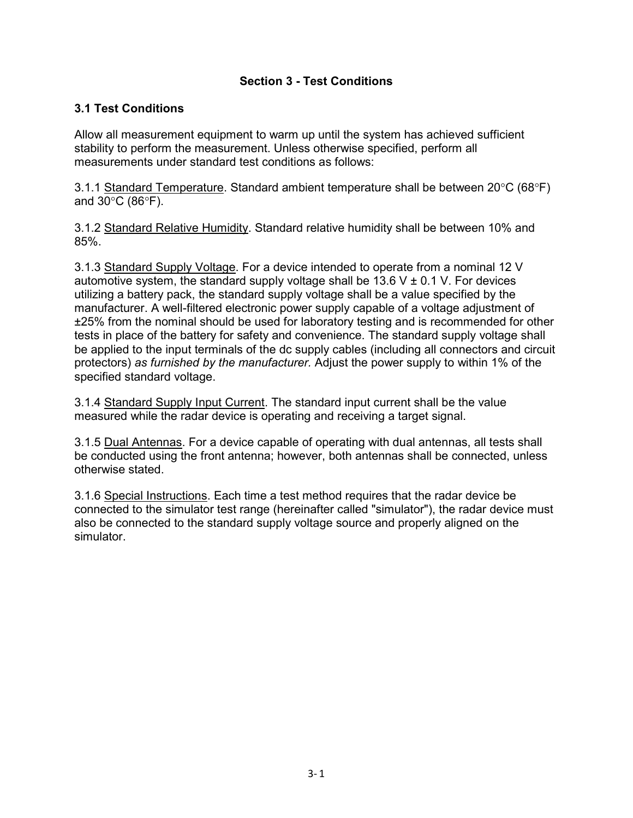### **Section 3 - Test Conditions**

## <span id="page-21-0"></span>**3.1 Test Conditions**

Allow all measurement equipment to warm up until the system has achieved sufficient stability to perform the measurement. Unless otherwise specified, perform all measurements under standard test conditions as follows:

3.1.1 Standard Temperature. Standard ambient temperature shall be between 20°C (68°F) and 30°C (86°F).

3.1.2 Standard Relative Humidity. Standard relative humidity shall be between 10% and 85%.

3.1.3 Standard Supply Voltage. For a device intended to operate from a nominal 12 V automotive system, the standard supply voltage shall be 13.6 V  $\pm$  0.1 V. For devices utilizing a battery pack, the standard supply voltage shall be a value specified by the manufacturer. A well-filtered electronic power supply capable of a voltage adjustment of ±25% from the nominal should be used for laboratory testing and is recommended for other tests in place of the battery for safety and convenience. The standard supply voltage shall be applied to the input terminals of the dc supply cables (including all connectors and circuit protectors) *as furnished by the manufacturer.* Adjust the power supply to within 1% of the specified standard voltage.

3.1.4 Standard Supply Input Current. The standard input current shall be the value measured while the radar device is operating and receiving a target signal.

3.1.5 Dual Antennas. For a device capable of operating with dual antennas, all tests shall be conducted using the front antenna; however, both antennas shall be connected, unless otherwise stated.

3.1.6 Special Instructions. Each time a test method requires that the radar device be connected to the simulator test range (hereinafter called "simulator"), the radar device must also be connected to the standard supply voltage source and properly aligned on the simulator.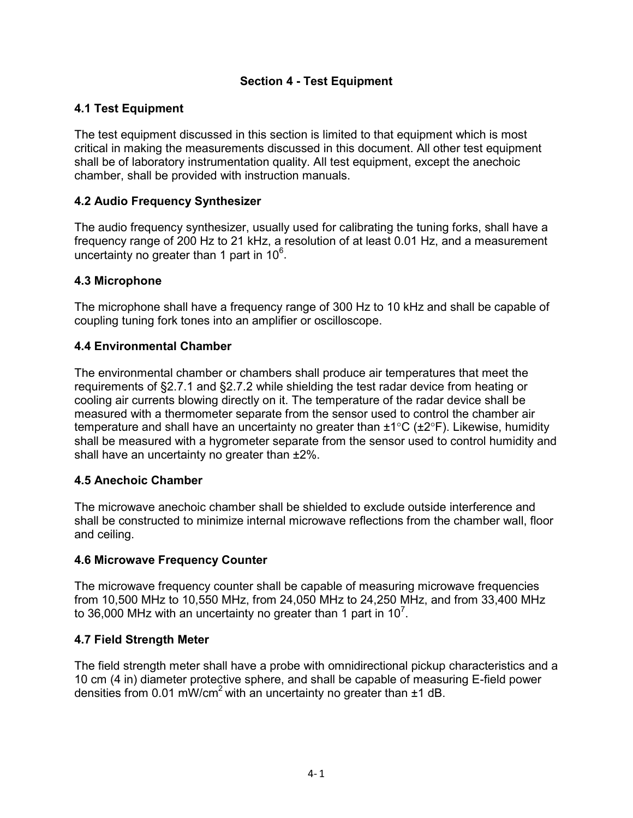## **Section 4 - Test Equipment**

## <span id="page-22-0"></span>**4.1 Test Equipment**

The test equipment discussed in this section is limited to that equipment which is most critical in making the measurements discussed in this document. All other test equipment shall be of laboratory instrumentation quality. All test equipment, except the anechoic chamber, shall be provided with instruction manuals.

### <span id="page-22-1"></span>**4.2 Audio Frequency Synthesizer**

The audio frequency synthesizer, usually used for calibrating the tuning forks, shall have a frequency range of 200 Hz to 21 kHz, a resolution of at least 0.01 Hz, and a measurement uncertainty no greater than 1 part in  $10^6$ .

#### <span id="page-22-2"></span>**4.3 Microphone**

The microphone shall have a frequency range of 300 Hz to 10 kHz and shall be capable of coupling tuning fork tones into an amplifier or oscilloscope.

#### <span id="page-22-3"></span>**4.4 Environmental Chamber**

The environmental chamber or chambers shall produce air temperatures that meet the requirements of §2.7.1 and §2.7.2 while shielding the test radar device from heating or cooling air currents blowing directly on it. The temperature of the radar device shall be measured with a thermometer separate from the sensor used to control the chamber air temperature and shall have an uncertainty no greater than  $\pm 1^{\circ}C$  ( $\pm 2^{\circ}F$ ). Likewise, humidity shall be measured with a hygrometer separate from the sensor used to control humidity and shall have an uncertainty no greater than ±2%.

#### <span id="page-22-4"></span>**4.5 Anechoic Chamber**

The microwave anechoic chamber shall be shielded to exclude outside interference and shall be constructed to minimize internal microwave reflections from the chamber wall, floor and ceiling.

#### <span id="page-22-5"></span>**4.6 Microwave Frequency Counter**

The microwave frequency counter shall be capable of measuring microwave frequencies from 10,500 MHz to 10,550 MHz, from 24,050 MHz to 24,250 MHz, and from 33,400 MHz to 36,000 MHz with an uncertainty no greater than 1 part in 10<sup>7</sup>.

#### <span id="page-22-6"></span>**4.7 Field Strength Meter**

The field strength meter shall have a probe with omnidirectional pickup characteristics and a 10 cm (4 in) diameter protective sphere, and shall be capable of measuring E-field power densities from 0.01 mW/cm<sup>2</sup> with an uncertainty no greater than  $\pm 1$  dB.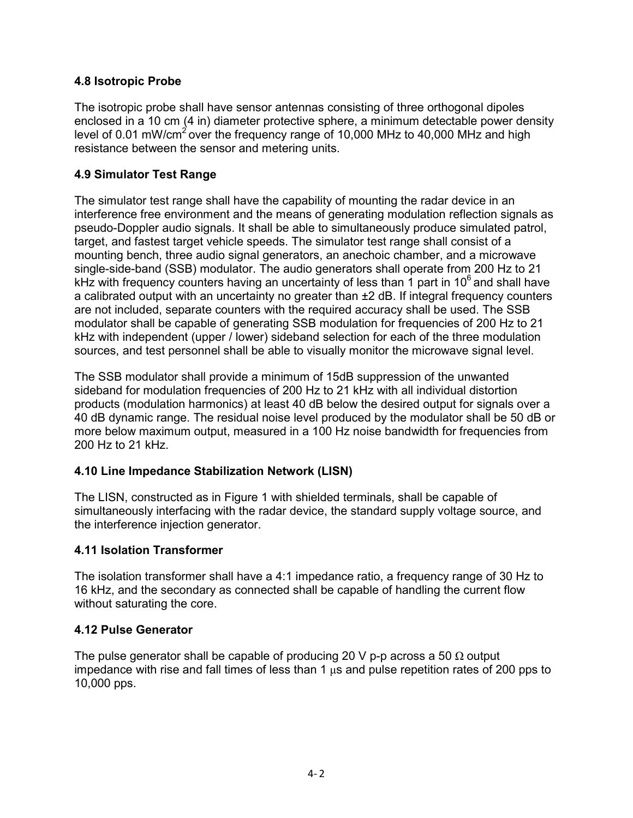## <span id="page-23-0"></span>**4.8 Isotropic Probe**

The isotropic probe shall have sensor antennas consisting of three orthogonal dipoles enclosed in a 10 cm (4 in) diameter protective sphere, a minimum detectable power density level of 0.01 mW/cm<sup>2</sup> over the frequency range of 10,000 MHz to 40,000 MHz and high resistance between the sensor and metering units.

## <span id="page-23-1"></span>**4.9 Simulator Test Range**

The simulator test range shall have the capability of mounting the radar device in an interference free environment and the means of generating modulation reflection signals as pseudo-Doppler audio signals. It shall be able to simultaneously produce simulated patrol, target, and fastest target vehicle speeds. The simulator test range shall consist of a mounting bench, three audio signal generators, an anechoic chamber, and a microwave single-side-band (SSB) modulator. The audio generators shall operate from 200 Hz to 21 kHz with frequency counters having an uncertainty of less than 1 part in  $10^6$  and shall have a calibrated output with an uncertainty no greater than ±2 dB. If integral frequency counters are not included, separate counters with the required accuracy shall be used. The SSB modulator shall be capable of generating SSB modulation for frequencies of 200 Hz to 21 kHz with independent (upper / lower) sideband selection for each of the three modulation sources, and test personnel shall be able to visually monitor the microwave signal level.

The SSB modulator shall provide a minimum of 15dB suppression of the unwanted sideband for modulation frequencies of 200 Hz to 21 kHz with all individual distortion products (modulation harmonics) at least 40 dB below the desired output for signals over a 40 dB dynamic range. The residual noise level produced by the modulator shall be 50 dB or more below maximum output, measured in a 100 Hz noise bandwidth for frequencies from 200 Hz to 21 kHz.

#### <span id="page-23-2"></span>**4.10 Line Impedance Stabilization Network (LISN)**

The LISN, constructed as in Figure 1 with shielded terminals, shall be capable of simultaneously interfacing with the radar device, the standard supply voltage source, and the interference injection generator.

#### <span id="page-23-3"></span>**4.11 Isolation Transformer**

The isolation transformer shall have a 4:1 impedance ratio, a frequency range of 30 Hz to 16 kHz, and the secondary as connected shall be capable of handling the current flow without saturating the core.

#### <span id="page-23-4"></span>**4.12 Pulse Generator**

The pulse generator shall be capable of producing 20 V p-p across a 50  $\Omega$  output impedance with rise and fall times of less than 1  $\mu$ s and pulse repetition rates of 200 pps to 10,000 pps.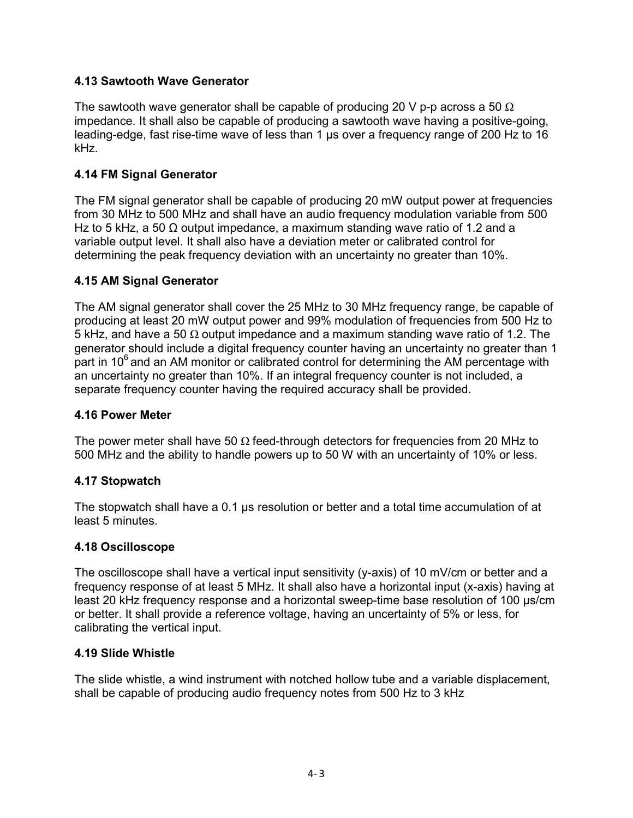### <span id="page-24-0"></span>**4.13 Sawtooth Wave Generator**

The sawtooth wave generator shall be capable of producing 20 V p-p across a 50  $\Omega$ impedance. It shall also be capable of producing a sawtooth wave having a positive-going, leading-edge, fast rise-time wave of less than 1 μs over a frequency range of 200 Hz to 16 kHz.

## <span id="page-24-1"></span>**4.14 FM Signal Generator**

The FM signal generator shall be capable of producing 20 mW output power at frequencies from 30 MHz to 500 MHz and shall have an audio frequency modulation variable from 500 Hz to 5 kHz, a 50  $\Omega$  output impedance, a maximum standing wave ratio of 1.2 and a variable output level. It shall also have a deviation meter or calibrated control for determining the peak frequency deviation with an uncertainty no greater than 10%.

#### <span id="page-24-2"></span>**4.15 AM Signal Generator**

The AM signal generator shall cover the 25 MHz to 30 MHz frequency range, be capable of producing at least 20 mW output power and 99% modulation of frequencies from 500 Hz to 5 kHz, and have a 50  $\Omega$  output impedance and a maximum standing wave ratio of 1.2. The generator should include a digital frequency counter having an uncertainty no greater than 1 part in  $10<sup>6</sup>$  and an AM monitor or calibrated control for determining the AM percentage with an uncertainty no greater than 10%. If an integral frequency counter is not included, a separate frequency counter having the required accuracy shall be provided.

#### <span id="page-24-3"></span>**4.16 Power Meter**

The power meter shall have 50  $\Omega$  feed-through detectors for frequencies from 20 MHz to 500 MHz and the ability to handle powers up to 50 W with an uncertainty of 10% or less.

#### <span id="page-24-4"></span>**4.17 Stopwatch**

The stopwatch shall have a 0.1 μs resolution or better and a total time accumulation of at least 5 minutes.

#### <span id="page-24-5"></span>**4.18 Oscilloscope**

The oscilloscope shall have a vertical input sensitivity (y-axis) of 10 mV/cm or better and a frequency response of at least 5 MHz. It shall also have a horizontal input (x-axis) having at least 20 kHz frequency response and a horizontal sweep-time base resolution of 100 μs/cm or better. It shall provide a reference voltage, having an uncertainty of 5% or less, for calibrating the vertical input.

#### <span id="page-24-6"></span>**4.19 Slide Whistle**

The slide whistle, a wind instrument with notched hollow tube and a variable displacement, shall be capable of producing audio frequency notes from 500 Hz to 3 kHz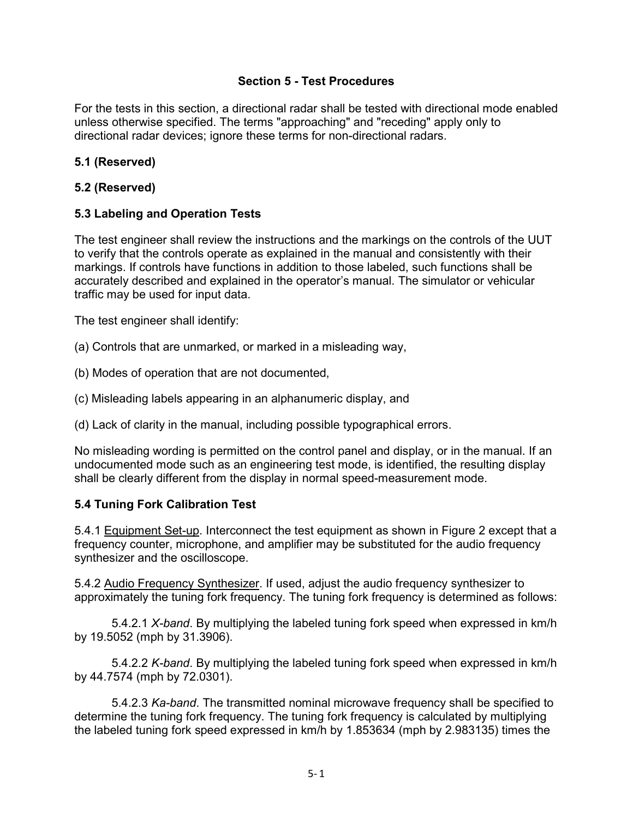#### **Section 5 - Test Procedures**

For the tests in this section, a directional radar shall be tested with directional mode enabled unless otherwise specified. The terms "approaching" and "receding" apply only to directional radar devices; ignore these terms for non-directional radars.

## <span id="page-25-0"></span>**5.1 (Reserved)**

#### **5.2 (Reserved)**

#### **5.3 Labeling and Operation Tests**

The test engineer shall review the instructions and the markings on the controls of the UUT to verify that the controls operate as explained in the manual and consistently with their markings. If controls have functions in addition to those labeled, such functions shall be accurately described and explained in the operator's manual. The simulator or vehicular traffic may be used for input data.

The test engineer shall identify:

- (a) Controls that are unmarked, or marked in a misleading way,
- (b) Modes of operation that are not documented,
- (c) Misleading labels appearing in an alphanumeric display, and

(d) Lack of clarity in the manual, including possible typographical errors.

No misleading wording is permitted on the control panel and display, or in the manual. If an undocumented mode such as an engineering test mode, is identified, the resulting display shall be clearly different from the display in normal speed-measurement mode.

#### <span id="page-25-1"></span>**5.4 Tuning Fork Calibration Test**

5.4.1 Equipment Set-up. Interconnect the test equipment as shown in Figure 2 except that a frequency counter, microphone, and amplifier may be substituted for the audio frequency synthesizer and the oscilloscope.

5.4.2 Audio Frequency Synthesizer. If used, adjust the audio frequency synthesizer to approximately the tuning fork frequency. The tuning fork frequency is determined as follows:

5.4.2.1 *X-band*. By multiplying the labeled tuning fork speed when expressed in km/h by 19.5052 (mph by 31.3906).

5.4.2.2 *K-band*. By multiplying the labeled tuning fork speed when expressed in km/h by 44.7574 (mph by 72.0301).

5.4.2.3 *Ka-band*. The transmitted nominal microwave frequency shall be specified to determine the tuning fork frequency. The tuning fork frequency is calculated by multiplying the labeled tuning fork speed expressed in km/h by 1.853634 (mph by 2.983135) times the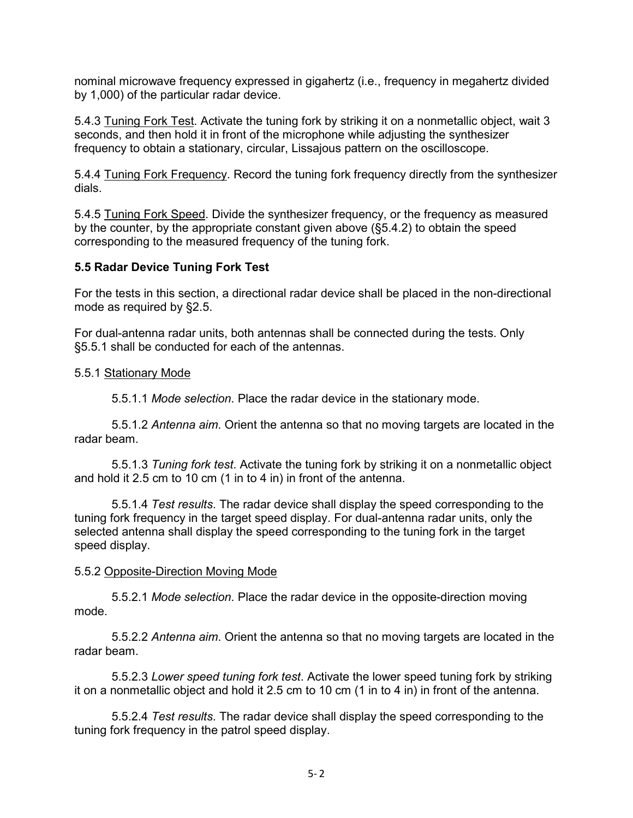nominal microwave frequency expressed in gigahertz (i.e., frequency in megahertz divided by 1,000) of the particular radar device.

5.4.3 Tuning Fork Test. Activate the tuning fork by striking it on a nonmetallic object, wait 3 seconds, and then hold it in front of the microphone while adjusting the synthesizer frequency to obtain a stationary, circular, Lissajous pattern on the oscilloscope.

5.4.4 Tuning Fork Frequency. Record the tuning fork frequency directly from the synthesizer dials.

5.4.5 Tuning Fork Speed. Divide the synthesizer frequency, or the frequency as measured by the counter, by the appropriate constant given above (§5.4.2) to obtain the speed corresponding to the measured frequency of the tuning fork.

#### <span id="page-26-0"></span>**5.5 Radar Device Tuning Fork Test**

For the tests in this section, a directional radar device shall be placed in the non-directional mode as required by §2.5.

For dual-antenna radar units, both antennas shall be connected during the tests. Only §5.5.1 shall be conducted for each of the antennas.

#### 5.5.1 Stationary Mode

5.5.1.1 *Mode selection*. Place the radar device in the stationary mode.

5.5.1.2 *Antenna aim*. Orient the antenna so that no moving targets are located in the radar beam.

5.5.1.3 *Tuning fork test*. Activate the tuning fork by striking it on a nonmetallic object and hold it 2.5 cm to 10 cm (1 in to 4 in) in front of the antenna.

5.5.1.4 *Test results*. The radar device shall display the speed corresponding to the tuning fork frequency in the target speed display. For dual-antenna radar units, only the selected antenna shall display the speed corresponding to the tuning fork in the target speed display.

#### 5.5.2 Opposite-Direction Moving Mode

5.5.2.1 *Mode selection*. Place the radar device in the opposite-direction moving mode.

5.5.2.2 *Antenna aim*. Orient the antenna so that no moving targets are located in the radar beam.

5.5.2.3 *Lower speed tuning fork test*. Activate the lower speed tuning fork by striking it on a nonmetallic object and hold it 2.5 cm to 10 cm (1 in to 4 in) in front of the antenna.

5.5.2.4 *Test results*. The radar device shall display the speed corresponding to the tuning fork frequency in the patrol speed display.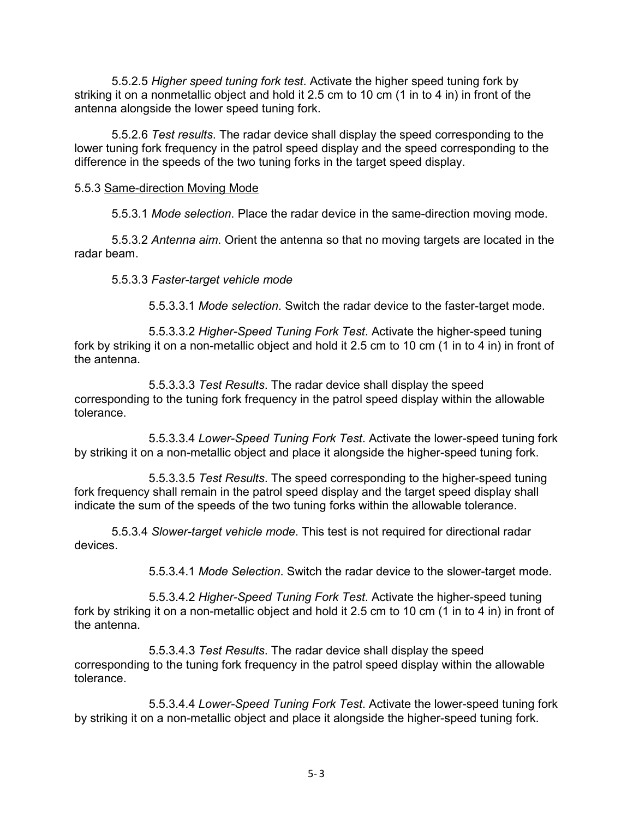5.5.2.5 *Higher speed tuning fork test*. Activate the higher speed tuning fork by striking it on a nonmetallic object and hold it 2.5 cm to 10 cm (1 in to 4 in) in front of the antenna alongside the lower speed tuning fork.

5.5.2.6 *Test results*. The radar device shall display the speed corresponding to the lower tuning fork frequency in the patrol speed display and the speed corresponding to the difference in the speeds of the two tuning forks in the target speed display.

5.5.3 Same-direction Moving Mode

5.5.3.1 *Mode selection*. Place the radar device in the same-direction moving mode.

5.5.3.2 *Antenna aim*. Orient the antenna so that no moving targets are located in the radar beam.

5.5.3.3 *Faster-target vehicle mode* 

5.5.3.3.1 *Mode selection*. Switch the radar device to the faster-target mode.

5.5.3.3.2 *Higher-Speed Tuning Fork Test*. Activate the higher-speed tuning fork by striking it on a non-metallic object and hold it 2.5 cm to 10 cm (1 in to 4 in) in front of the antenna.

5.5.3.3.3 *Test Results*. The radar device shall display the speed corresponding to the tuning fork frequency in the patrol speed display within the allowable tolerance.

5.5.3.3.4 *Lower-Speed Tuning Fork Test*. Activate the lower-speed tuning fork by striking it on a non-metallic object and place it alongside the higher-speed tuning fork.

5.5.3.3.5 *Test Results*. The speed corresponding to the higher-speed tuning fork frequency shall remain in the patrol speed display and the target speed display shall indicate the sum of the speeds of the two tuning forks within the allowable tolerance.

5.5.3.4 *Slower-target vehicle mode*. This test is not required for directional radar devices.

5.5.3.4.1 *Mode Selection*. Switch the radar device to the slower-target mode.

5.5.3.4.2 *Higher-Speed Tuning Fork Test*. Activate the higher-speed tuning fork by striking it on a non-metallic object and hold it 2.5 cm to 10 cm (1 in to 4 in) in front of the antenna.

5.5.3.4.3 *Test Results*. The radar device shall display the speed corresponding to the tuning fork frequency in the patrol speed display within the allowable tolerance.

5.5.3.4.4 *Lower-Speed Tuning Fork Test*. Activate the lower-speed tuning fork by striking it on a non-metallic object and place it alongside the higher-speed tuning fork.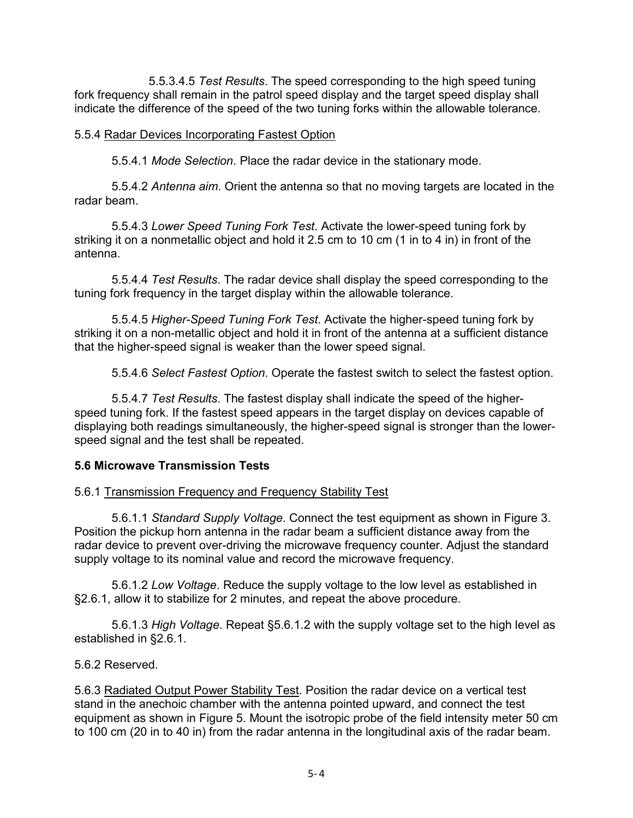5.5.3.4.5 *Test Results*. The speed corresponding to the high speed tuning fork frequency shall remain in the patrol speed display and the target speed display shall indicate the difference of the speed of the two tuning forks within the allowable tolerance.

#### 5.5.4 Radar Devices Incorporating Fastest Option

5.5.4.1 *Mode Selection*. Place the radar device in the stationary mode.

5.5.4.2 *Antenna aim*. Orient the antenna so that no moving targets are located in the radar beam.

5.5.4.3 *Lower Speed Tuning Fork Test*. Activate the lower-speed tuning fork by striking it on a nonmetallic object and hold it 2.5 cm to 10 cm (1 in to 4 in) in front of the antenna.

5.5.4.4 *Test Results*. The radar device shall display the speed corresponding to the tuning fork frequency in the target display within the allowable tolerance.

5.5.4.5 *Higher-Speed Tuning Fork Test*. Activate the higher-speed tuning fork by striking it on a non-metallic object and hold it in front of the antenna at a sufficient distance that the higher-speed signal is weaker than the lower speed signal.

5.5.4.6 *Select Fastest Option*. Operate the fastest switch to select the fastest option.

5.5.4.7 *Test Results*. The fastest display shall indicate the speed of the higherspeed tuning fork. If the fastest speed appears in the target display on devices capable of displaying both readings simultaneously, the higher-speed signal is stronger than the lowerspeed signal and the test shall be repeated.

#### <span id="page-28-0"></span>**5.6 Microwave Transmission Tests**

#### 5.6.1 Transmission Frequency and Frequency Stability Test

5.6.1.1 *Standard Supply Voltage*. Connect the test equipment as shown in Figure 3. Position the pickup horn antenna in the radar beam a sufficient distance away from the radar device to prevent over-driving the microwave frequency counter. Adjust the standard supply voltage to its nominal value and record the microwave frequency.

5.6.1.2 *Low Voltage*. Reduce the supply voltage to the low level as established in §2.6.1, allow it to stabilize for 2 minutes, and repeat the above procedure.

5.6.1.3 *High Voltage*. Repeat §5.6.1.2 with the supply voltage set to the high level as established in §2.6.1.

#### 5.6.2 Reserved.

5.6.3 Radiated Output Power Stability Test. Position the radar device on a vertical test stand in the anechoic chamber with the antenna pointed upward, and connect the test equipment as shown in Figure 5. Mount the isotropic probe of the field intensity meter 50 cm to 100 cm (20 in to 40 in) from the radar antenna in the longitudinal axis of the radar beam.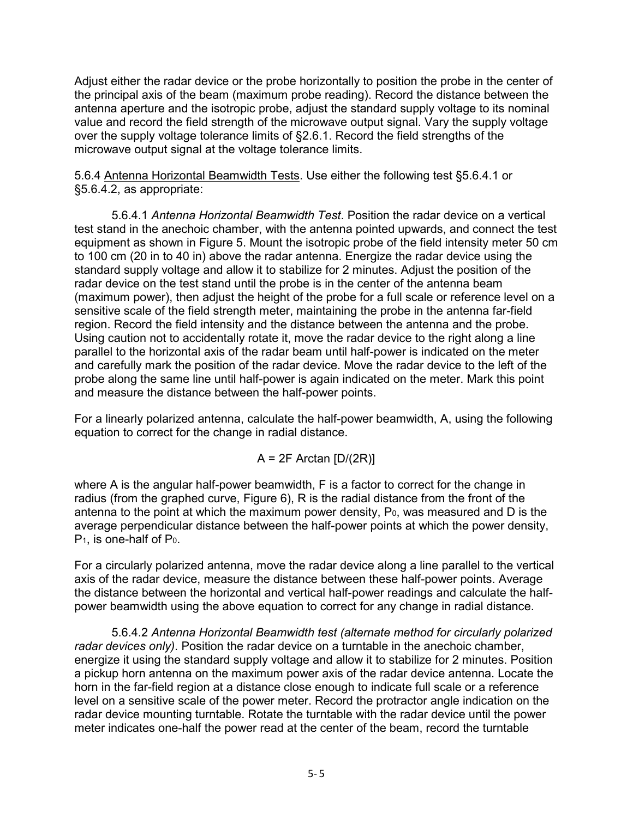Adjust either the radar device or the probe horizontally to position the probe in the center of the principal axis of the beam (maximum probe reading). Record the distance between the antenna aperture and the isotropic probe, adjust the standard supply voltage to its nominal value and record the field strength of the microwave output signal. Vary the supply voltage over the supply voltage tolerance limits of §2.6.1. Record the field strengths of the microwave output signal at the voltage tolerance limits.

5.6.4 Antenna Horizontal Beamwidth Tests. Use either the following test §5.6.4.1 or §5.6.4.2, as appropriate:

5.6.4.1 *Antenna Horizontal Beamwidth Test*. Position the radar device on a vertical test stand in the anechoic chamber, with the antenna pointed upwards, and connect the test equipment as shown in Figure 5. Mount the isotropic probe of the field intensity meter 50 cm to 100 cm (20 in to 40 in) above the radar antenna. Energize the radar device using the standard supply voltage and allow it to stabilize for 2 minutes. Adjust the position of the radar device on the test stand until the probe is in the center of the antenna beam (maximum power), then adjust the height of the probe for a full scale or reference level on a sensitive scale of the field strength meter, maintaining the probe in the antenna far-field region. Record the field intensity and the distance between the antenna and the probe. Using caution not to accidentally rotate it, move the radar device to the right along a line parallel to the horizontal axis of the radar beam until half-power is indicated on the meter and carefully mark the position of the radar device. Move the radar device to the left of the probe along the same line until half-power is again indicated on the meter. Mark this point and measure the distance between the half-power points.

For a linearly polarized antenna, calculate the half-power beamwidth, A, using the following equation to correct for the change in radial distance.

$$
A = 2F \text{ Arctan} [D/(2R)]
$$

where A is the angular half-power beamwidth, F is a factor to correct for the change in radius (from the graphed curve, Figure 6), R is the radial distance from the front of the antenna to the point at which the maximum power density,  $P_0$ , was measured and  $D$  is the average perpendicular distance between the half-power points at which the power density, P1, is one-half of P0.

For a circularly polarized antenna, move the radar device along a line parallel to the vertical axis of the radar device, measure the distance between these half-power points. Average the distance between the horizontal and vertical half-power readings and calculate the halfpower beamwidth using the above equation to correct for any change in radial distance.

5.6.4.2 *Antenna Horizontal Beamwidth test (alternate method for circularly polarized radar devices only)*. Position the radar device on a turntable in the anechoic chamber, energize it using the standard supply voltage and allow it to stabilize for 2 minutes. Position a pickup horn antenna on the maximum power axis of the radar device antenna. Locate the horn in the far-field region at a distance close enough to indicate full scale or a reference level on a sensitive scale of the power meter. Record the protractor angle indication on the radar device mounting turntable. Rotate the turntable with the radar device until the power meter indicates one-half the power read at the center of the beam, record the turntable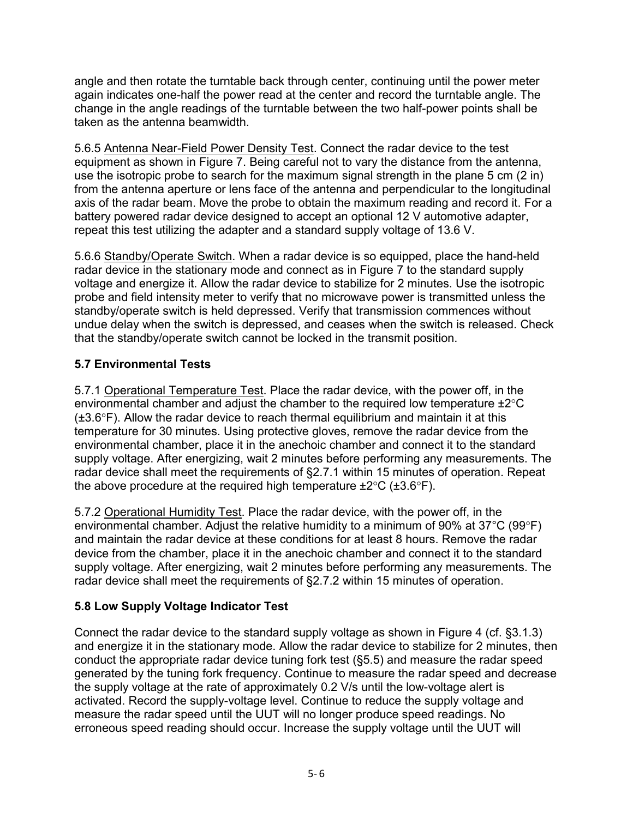angle and then rotate the turntable back through center, continuing until the power meter again indicates one-half the power read at the center and record the turntable angle. The change in the angle readings of the turntable between the two half-power points shall be taken as the antenna beamwidth.

5.6.5 Antenna Near-Field Power Density Test. Connect the radar device to the test equipment as shown in Figure 7. Being careful not to vary the distance from the antenna, use the isotropic probe to search for the maximum signal strength in the plane 5 cm (2 in) from the antenna aperture or lens face of the antenna and perpendicular to the longitudinal axis of the radar beam. Move the probe to obtain the maximum reading and record it. For a battery powered radar device designed to accept an optional 12 V automotive adapter, repeat this test utilizing the adapter and a standard supply voltage of 13.6 V.

5.6.6 Standby/Operate Switch. When a radar device is so equipped, place the hand-held radar device in the stationary mode and connect as in Figure 7 to the standard supply voltage and energize it. Allow the radar device to stabilize for 2 minutes. Use the isotropic probe and field intensity meter to verify that no microwave power is transmitted unless the standby/operate switch is held depressed. Verify that transmission commences without undue delay when the switch is depressed, and ceases when the switch is released. Check that the standby/operate switch cannot be locked in the transmit position.

## <span id="page-30-0"></span>**5.7 Environmental Tests**

5.7.1 Operational Temperature Test. Place the radar device, with the power off, in the environmental chamber and adjust the chamber to the required low temperature ±2°C (±3.6°F). Allow the radar device to reach thermal equilibrium and maintain it at this temperature for 30 minutes. Using protective gloves, remove the radar device from the environmental chamber, place it in the anechoic chamber and connect it to the standard supply voltage. After energizing, wait 2 minutes before performing any measurements. The radar device shall meet the requirements of §2.7.1 within 15 minutes of operation. Repeat the above procedure at the required high temperature  $\pm 2^{\circ}C$  ( $\pm 3.6^{\circ}F$ ).

5.7.2 Operational Humidity Test. Place the radar device, with the power off, in the environmental chamber. Adjust the relative humidity to a minimum of 90% at 37°C (99°F) and maintain the radar device at these conditions for at least 8 hours. Remove the radar device from the chamber, place it in the anechoic chamber and connect it to the standard supply voltage. After energizing, wait 2 minutes before performing any measurements. The radar device shall meet the requirements of §2.7.2 within 15 minutes of operation.

## <span id="page-30-1"></span>**5.8 Low Supply Voltage Indicator Test**

Connect the radar device to the standard supply voltage as shown in Figure 4 (cf. §3.1.3) and energize it in the stationary mode. Allow the radar device to stabilize for 2 minutes, then conduct the appropriate radar device tuning fork test (§5.5) and measure the radar speed generated by the tuning fork frequency. Continue to measure the radar speed and decrease the supply voltage at the rate of approximately 0.2 V/s until the low-voltage alert is activated. Record the supply-voltage level. Continue to reduce the supply voltage and measure the radar speed until the UUT will no longer produce speed readings. No erroneous speed reading should occur. Increase the supply voltage until the UUT will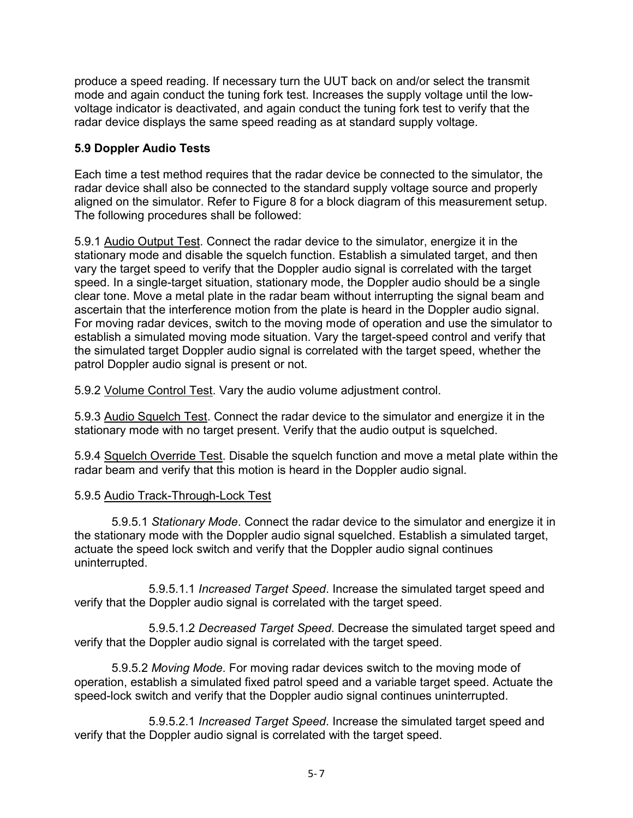produce a speed reading. If necessary turn the UUT back on and/or select the transmit mode and again conduct the tuning fork test. Increases the supply voltage until the lowvoltage indicator is deactivated, and again conduct the tuning fork test to verify that the radar device displays the same speed reading as at standard supply voltage.

## <span id="page-31-0"></span>**5.9 Doppler Audio Tests**

Each time a test method requires that the radar device be connected to the simulator, the radar device shall also be connected to the standard supply voltage source and properly aligned on the simulator. Refer to Figure 8 for a block diagram of this measurement setup. The following procedures shall be followed:

5.9.1 Audio Output Test. Connect the radar device to the simulator, energize it in the stationary mode and disable the squelch function. Establish a simulated target, and then vary the target speed to verify that the Doppler audio signal is correlated with the target speed. In a single-target situation, stationary mode, the Doppler audio should be a single clear tone. Move a metal plate in the radar beam without interrupting the signal beam and ascertain that the interference motion from the plate is heard in the Doppler audio signal. For moving radar devices, switch to the moving mode of operation and use the simulator to establish a simulated moving mode situation. Vary the target-speed control and verify that the simulated target Doppler audio signal is correlated with the target speed, whether the patrol Doppler audio signal is present or not.

5.9.2 Volume Control Test. Vary the audio volume adjustment control.

5.9.3 Audio Squelch Test. Connect the radar device to the simulator and energize it in the stationary mode with no target present. Verify that the audio output is squelched.

5.9.4 Squelch Override Test. Disable the squelch function and move a metal plate within the radar beam and verify that this motion is heard in the Doppler audio signal.

#### 5.9.5 Audio Track-Through-Lock Test

5.9.5.1 *Stationary Mode*. Connect the radar device to the simulator and energize it in the stationary mode with the Doppler audio signal squelched. Establish a simulated target, actuate the speed lock switch and verify that the Doppler audio signal continues uninterrupted.

 5.9.5.1.1 *Increased Target Speed*. Increase the simulated target speed and verify that the Doppler audio signal is correlated with the target speed.

 5.9.5.1.2 *Decreased Target Speed*. Decrease the simulated target speed and verify that the Doppler audio signal is correlated with the target speed.

5.9.5.2 *Moving Mode*. For moving radar devices switch to the moving mode of operation, establish a simulated fixed patrol speed and a variable target speed. Actuate the speed-lock switch and verify that the Doppler audio signal continues uninterrupted.

 5.9.5.2.1 *Increased Target Speed*. Increase the simulated target speed and verify that the Doppler audio signal is correlated with the target speed.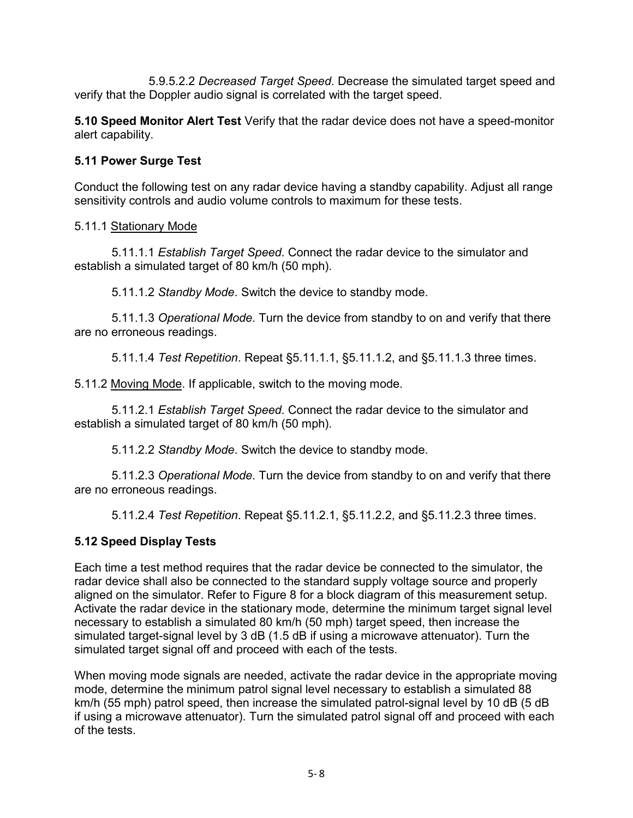5.9.5.2.2 *Decreased Target Speed*. Decrease the simulated target speed and verify that the Doppler audio signal is correlated with the target speed.

<span id="page-32-0"></span>**5.10 Speed Monitor Alert Test** Verify that the radar device does not have a speed-monitor alert capability.

## **5.11 Power Surge Test**

Conduct the following test on any radar device having a standby capability. Adjust all range sensitivity controls and audio volume controls to maximum for these tests.

#### 5.11.1 Stationary Mode

5.11.1.1 *Establish Target Speed*. Connect the radar device to the simulator and establish a simulated target of 80 km/h (50 mph).

5.11.1.2 *Standby Mode*. Switch the device to standby mode.

5.11.1.3 *Operational Mode*. Turn the device from standby to on and verify that there are no erroneous readings.

5.11.1.4 *Test Repetition*. Repeat §5.11.1.1, §5.11.1.2, and §5.11.1.3 three times.

5.11.2 Moving Mode. If applicable, switch to the moving mode.

5.11.2.1 *Establish Target Speed*. Connect the radar device to the simulator and establish a simulated target of 80 km/h (50 mph).

5.11.2.2 *Standby Mode*. Switch the device to standby mode.

5.11.2.3 *Operational Mode*. Turn the device from standby to on and verify that there are no erroneous readings.

5.11.2.4 *Test Repetition*. Repeat §5.11.2.1, §5.11.2.2, and §5.11.2.3 three times.

## <span id="page-32-1"></span>**5.12 Speed Display Tests**

Each time a test method requires that the radar device be connected to the simulator, the radar device shall also be connected to the standard supply voltage source and properly aligned on the simulator. Refer to Figure 8 for a block diagram of this measurement setup. Activate the radar device in the stationary mode, determine the minimum target signal level necessary to establish a simulated 80 km/h (50 mph) target speed, then increase the simulated target-signal level by 3 dB (1.5 dB if using a microwave attenuator). Turn the simulated target signal off and proceed with each of the tests.

When moving mode signals are needed, activate the radar device in the appropriate moving mode, determine the minimum patrol signal level necessary to establish a simulated 88 km/h (55 mph) patrol speed, then increase the simulated patrol-signal level by 10 dB (5 dB if using a microwave attenuator). Turn the simulated patrol signal off and proceed with each of the tests.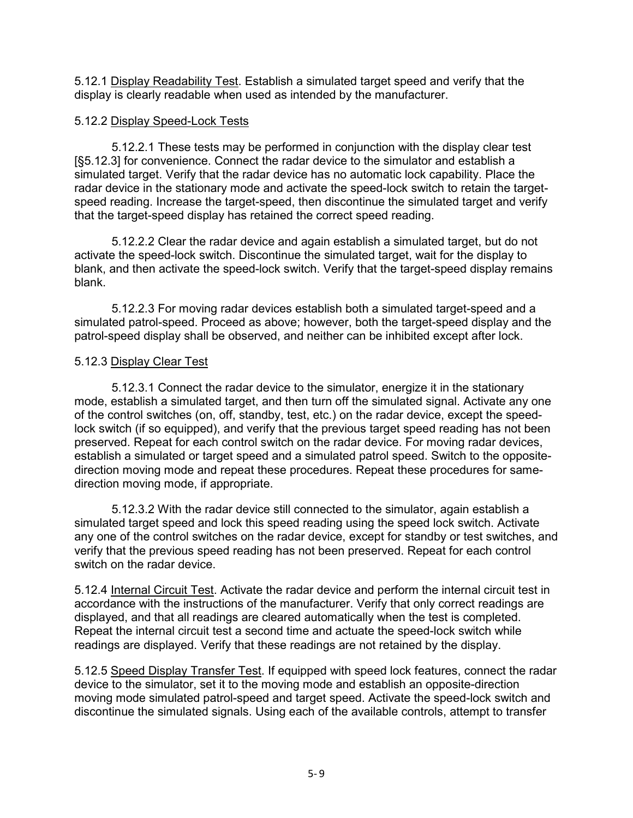5.12.1 Display Readability Test. Establish a simulated target speed and verify that the display is clearly readable when used as intended by the manufacturer.

#### 5.12.2 Display Speed-Lock Tests

5.12.2.1 These tests may be performed in conjunction with the display clear test [§5.12.3] for convenience. Connect the radar device to the simulator and establish a simulated target. Verify that the radar device has no automatic lock capability. Place the radar device in the stationary mode and activate the speed-lock switch to retain the targetspeed reading. Increase the target-speed, then discontinue the simulated target and verify that the target-speed display has retained the correct speed reading.

5.12.2.2 Clear the radar device and again establish a simulated target, but do not activate the speed-lock switch. Discontinue the simulated target, wait for the display to blank, and then activate the speed-lock switch. Verify that the target-speed display remains blank.

5.12.2.3 For moving radar devices establish both a simulated target-speed and a simulated patrol-speed. Proceed as above; however, both the target-speed display and the patrol-speed display shall be observed, and neither can be inhibited except after lock.

#### 5.12.3 Display Clear Test

5.12.3.1 Connect the radar device to the simulator, energize it in the stationary mode, establish a simulated target, and then turn off the simulated signal. Activate any one of the control switches (on, off, standby, test, etc.) on the radar device, except the speedlock switch (if so equipped), and verify that the previous target speed reading has not been preserved. Repeat for each control switch on the radar device. For moving radar devices, establish a simulated or target speed and a simulated patrol speed. Switch to the oppositedirection moving mode and repeat these procedures. Repeat these procedures for samedirection moving mode, if appropriate.

5.12.3.2 With the radar device still connected to the simulator, again establish a simulated target speed and lock this speed reading using the speed lock switch. Activate any one of the control switches on the radar device, except for standby or test switches, and verify that the previous speed reading has not been preserved. Repeat for each control switch on the radar device.

5.12.4 Internal Circuit Test. Activate the radar device and perform the internal circuit test in accordance with the instructions of the manufacturer. Verify that only correct readings are displayed, and that all readings are cleared automatically when the test is completed. Repeat the internal circuit test a second time and actuate the speed-lock switch while readings are displayed. Verify that these readings are not retained by the display.

5.12.5 Speed Display Transfer Test. If equipped with speed lock features, connect the radar device to the simulator, set it to the moving mode and establish an opposite-direction moving mode simulated patrol-speed and target speed. Activate the speed-lock switch and discontinue the simulated signals. Using each of the available controls, attempt to transfer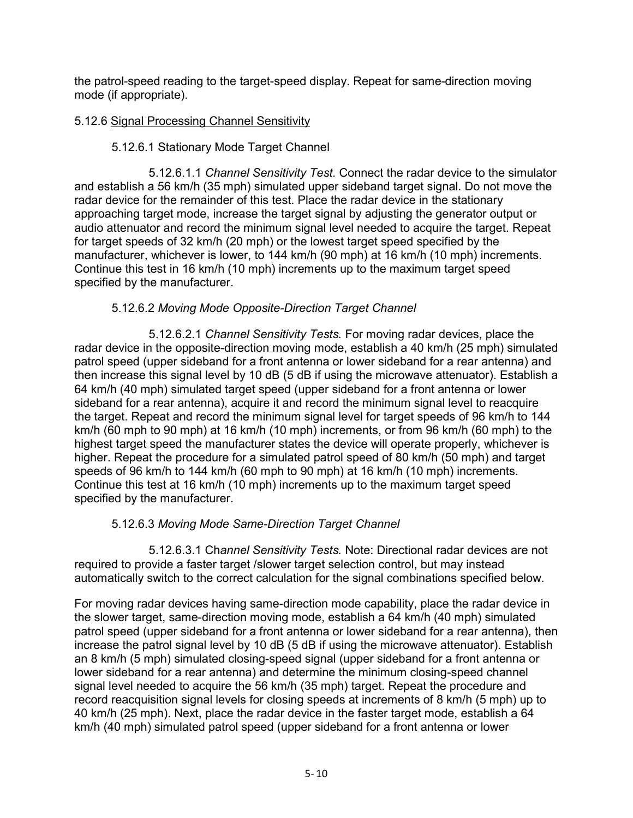the patrol-speed reading to the target-speed display. Repeat for same-direction moving mode (if appropriate).

## 5.12.6 Signal Processing Channel Sensitivity

## 5.12.6.1 Stationary Mode Target Channel

 5.12.6.1.1 *Channel Sensitivity Test.* Connect the radar device to the simulator and establish a 56 km/h (35 mph) simulated upper sideband target signal. Do not move the radar device for the remainder of this test. Place the radar device in the stationary approaching target mode, increase the target signal by adjusting the generator output or audio attenuator and record the minimum signal level needed to acquire the target. Repeat for target speeds of 32 km/h (20 mph) or the lowest target speed specified by the manufacturer, whichever is lower, to 144 km/h (90 mph) at 16 km/h (10 mph) increments. Continue this test in 16 km/h (10 mph) increments up to the maximum target speed specified by the manufacturer.

## 5.12.6.2 *Moving Mode Opposite-Direction Target Channel*

 5.12.6.2.1 *Channel Sensitivity Tests.* For moving radar devices, place the radar device in the opposite-direction moving mode, establish a 40 km/h (25 mph) simulated patrol speed (upper sideband for a front antenna or lower sideband for a rear antenna) and then increase this signal level by 10 dB (5 dB if using the microwave attenuator). Establish a 64 km/h (40 mph) simulated target speed (upper sideband for a front antenna or lower sideband for a rear antenna), acquire it and record the minimum signal level to reacquire the target. Repeat and record the minimum signal level for target speeds of 96 km/h to 144 km/h (60 mph to 90 mph) at 16 km/h (10 mph) increments, or from 96 km/h (60 mph) to the highest target speed the manufacturer states the device will operate properly, whichever is higher. Repeat the procedure for a simulated patrol speed of 80 km/h (50 mph) and target speeds of 96 km/h to 144 km/h (60 mph to 90 mph) at 16 km/h (10 mph) increments. Continue this test at 16 km/h (10 mph) increments up to the maximum target speed specified by the manufacturer.

## 5.12.6.3 *Moving Mode Same-Direction Target Channel*

5.12.6.3.1 Ch*annel Sensitivity Tests.* Note: Directional radar devices are not required to provide a faster target /slower target selection control, but may instead automatically switch to the correct calculation for the signal combinations specified below.

For moving radar devices having same-direction mode capability, place the radar device in the slower target, same-direction moving mode, establish a 64 km/h (40 mph) simulated patrol speed (upper sideband for a front antenna or lower sideband for a rear antenna), then increase the patrol signal level by 10 dB (5 dB if using the microwave attenuator). Establish an 8 km/h (5 mph) simulated closing-speed signal (upper sideband for a front antenna or lower sideband for a rear antenna) and determine the minimum closing-speed channel signal level needed to acquire the 56 km/h (35 mph) target. Repeat the procedure and record reacquisition signal levels for closing speeds at increments of 8 km/h (5 mph) up to 40 km/h (25 mph). Next, place the radar device in the faster target mode, establish a 64 km/h (40 mph) simulated patrol speed (upper sideband for a front antenna or lower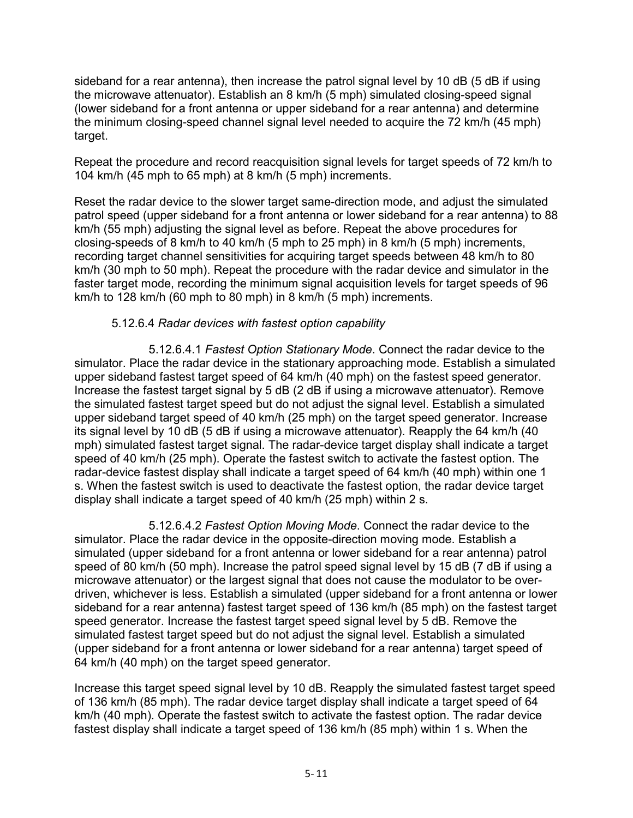sideband for a rear antenna), then increase the patrol signal level by 10 dB (5 dB if using the microwave attenuator). Establish an 8 km/h (5 mph) simulated closing-speed signal (lower sideband for a front antenna or upper sideband for a rear antenna) and determine the minimum closing-speed channel signal level needed to acquire the 72 km/h (45 mph) target.

Repeat the procedure and record reacquisition signal levels for target speeds of 72 km/h to 104 km/h (45 mph to 65 mph) at 8 km/h (5 mph) increments.

Reset the radar device to the slower target same-direction mode, and adjust the simulated patrol speed (upper sideband for a front antenna or lower sideband for a rear antenna) to 88 km/h (55 mph) adjusting the signal level as before. Repeat the above procedures for closing-speeds of 8 km/h to 40 km/h (5 mph to 25 mph) in 8 km/h (5 mph) increments, recording target channel sensitivities for acquiring target speeds between 48 km/h to 80 km/h (30 mph to 50 mph). Repeat the procedure with the radar device and simulator in the faster target mode, recording the minimum signal acquisition levels for target speeds of 96 km/h to 128 km/h (60 mph to 80 mph) in 8 km/h (5 mph) increments.

#### 5.12.6.4 *Radar devices with fastest option capability*

 5.12.6.4.1 *Fastest Option Stationary Mode*. Connect the radar device to the simulator. Place the radar device in the stationary approaching mode. Establish a simulated upper sideband fastest target speed of 64 km/h (40 mph) on the fastest speed generator. Increase the fastest target signal by 5 dB (2 dB if using a microwave attenuator). Remove the simulated fastest target speed but do not adjust the signal level. Establish a simulated upper sideband target speed of 40 km/h (25 mph) on the target speed generator. Increase its signal level by 10 dB (5 dB if using a microwave attenuator). Reapply the 64 km/h (40 mph) simulated fastest target signal. The radar-device target display shall indicate a target speed of 40 km/h (25 mph). Operate the fastest switch to activate the fastest option. The radar-device fastest display shall indicate a target speed of 64 km/h (40 mph) within one 1 s. When the fastest switch is used to deactivate the fastest option, the radar device target display shall indicate a target speed of 40 km/h (25 mph) within 2 s.

 5.12.6.4.2 *Fastest Option Moving Mode*. Connect the radar device to the simulator. Place the radar device in the opposite-direction moving mode. Establish a simulated (upper sideband for a front antenna or lower sideband for a rear antenna) patrol speed of 80 km/h (50 mph). Increase the patrol speed signal level by 15 dB (7 dB if using a microwave attenuator) or the largest signal that does not cause the modulator to be overdriven, whichever is less. Establish a simulated (upper sideband for a front antenna or lower sideband for a rear antenna) fastest target speed of 136 km/h (85 mph) on the fastest target speed generator. Increase the fastest target speed signal level by 5 dB. Remove the simulated fastest target speed but do not adjust the signal level. Establish a simulated (upper sideband for a front antenna or lower sideband for a rear antenna) target speed of 64 km/h (40 mph) on the target speed generator.

Increase this target speed signal level by 10 dB. Reapply the simulated fastest target speed of 136 km/h (85 mph). The radar device target display shall indicate a target speed of 64 km/h (40 mph). Operate the fastest switch to activate the fastest option. The radar device fastest display shall indicate a target speed of 136 km/h (85 mph) within 1 s. When the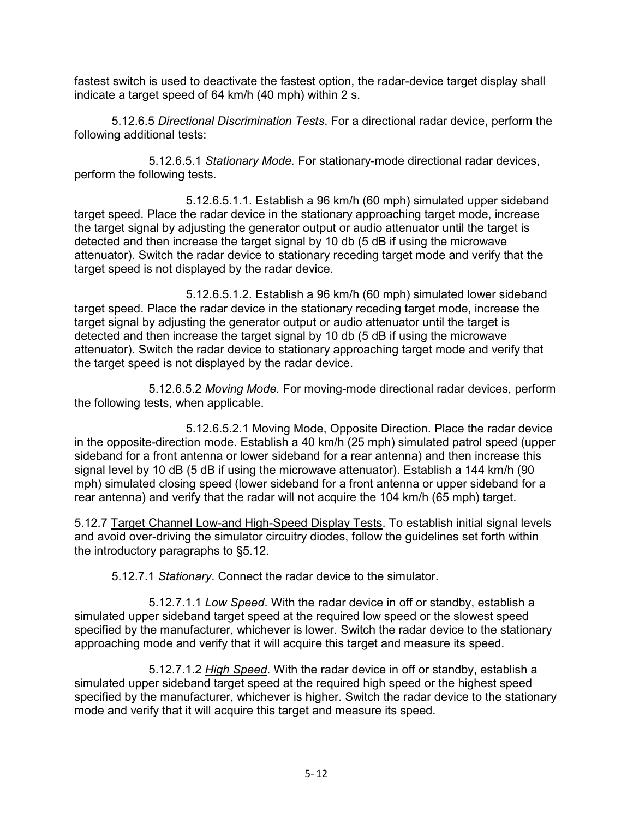fastest switch is used to deactivate the fastest option, the radar-device target display shall indicate a target speed of 64 km/h (40 mph) within 2 s.

5.12.6.5 *Directional Discrimination Tests*. For a directional radar device, perform the following additional tests:

5.12.6.5.1 *Stationary Mode.* For stationary-mode directional radar devices, perform the following tests.

5.12.6.5.1.1. Establish a 96 km/h (60 mph) simulated upper sideband target speed. Place the radar device in the stationary approaching target mode, increase the target signal by adjusting the generator output or audio attenuator until the target is detected and then increase the target signal by 10 db (5 dB if using the microwave attenuator). Switch the radar device to stationary receding target mode and verify that the target speed is not displayed by the radar device.

 5.12.6.5.1.2. Establish a 96 km/h (60 mph) simulated lower sideband target speed. Place the radar device in the stationary receding target mode, increase the target signal by adjusting the generator output or audio attenuator until the target is detected and then increase the target signal by 10 db (5 dB if using the microwave attenuator). Switch the radar device to stationary approaching target mode and verify that the target speed is not displayed by the radar device.

5.12.6.5.2 *Moving Mode.* For moving-mode directional radar devices, perform the following tests, when applicable.

 5.12.6.5.2.1 Moving Mode, Opposite Direction. Place the radar device in the opposite-direction mode. Establish a 40 km/h (25 mph) simulated patrol speed (upper sideband for a front antenna or lower sideband for a rear antenna) and then increase this signal level by 10 dB (5 dB if using the microwave attenuator). Establish a 144 km/h (90 mph) simulated closing speed (lower sideband for a front antenna or upper sideband for a rear antenna) and verify that the radar will not acquire the 104 km/h (65 mph) target.

5.12.7 Target Channel Low-and High-Speed Display Tests. To establish initial signal levels and avoid over-driving the simulator circuitry diodes, follow the guidelines set forth within the introductory paragraphs to §5.12.

5.12.7.1 *Stationary*. Connect the radar device to the simulator.

5.12.7.1.1 *Low Speed*. With the radar device in off or standby, establish a simulated upper sideband target speed at the required low speed or the slowest speed specified by the manufacturer, whichever is lower. Switch the radar device to the stationary approaching mode and verify that it will acquire this target and measure its speed.

5.12.7.1.2 *High Speed*. With the radar device in off or standby, establish a simulated upper sideband target speed at the required high speed or the highest speed specified by the manufacturer, whichever is higher. Switch the radar device to the stationary mode and verify that it will acquire this target and measure its speed.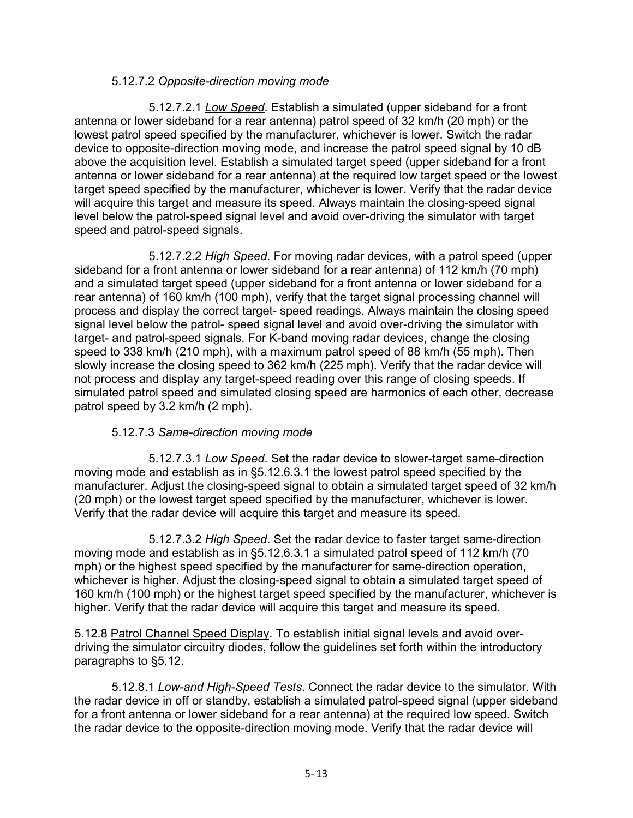#### 5.12.7.2 *Opposite-direction moving mode*

 5.12.7.2.1 *Low Speed*. Establish a simulated (upper sideband for a front antenna or lower sideband for a rear antenna) patrol speed of 32 km/h (20 mph) or the lowest patrol speed specified by the manufacturer, whichever is lower. Switch the radar device to opposite-direction moving mode, and increase the patrol speed signal by 10 dB above the acquisition level. Establish a simulated target speed (upper sideband for a front antenna or lower sideband for a rear antenna) at the required low target speed or the lowest target speed specified by the manufacturer, whichever is lower. Verify that the radar device will acquire this target and measure its speed. Always maintain the closing-speed signal level below the patrol-speed signal level and avoid over-driving the simulator with target speed and patrol-speed signals.

 5.12.7.2.2 *High Speed*. For moving radar devices, with a patrol speed (upper sideband for a front antenna or lower sideband for a rear antenna) of 112 km/h (70 mph) and a simulated target speed (upper sideband for a front antenna or lower sideband for a rear antenna) of 160 km/h (100 mph), verify that the target signal processing channel will process and display the correct target- speed readings. Always maintain the closing speed signal level below the patrol- speed signal level and avoid over-driving the simulator with target- and patrol-speed signals. For K-band moving radar devices, change the closing speed to 338 km/h (210 mph), with a maximum patrol speed of 88 km/h (55 mph). Then slowly increase the closing speed to 362 km/h (225 mph). Verify that the radar device will not process and display any target-speed reading over this range of closing speeds. If simulated patrol speed and simulated closing speed are harmonics of each other, decrease patrol speed by 3.2 km/h (2 mph).

#### 5.12.7.3 *Same-direction moving mode*

5.12.7.3.1 *Low Speed*. Set the radar device to slower-target same-direction moving mode and establish as in §5.12.6.3.1 the lowest patrol speed specified by the manufacturer. Adjust the closing-speed signal to obtain a simulated target speed of 32 km/h (20 mph) or the lowest target speed specified by the manufacturer, whichever is lower. Verify that the radar device will acquire this target and measure its speed.

5.12.7.3.2 *High Speed*. Set the radar device to faster target same-direction moving mode and establish as in §5.12.6.3.1 a simulated patrol speed of 112 km/h (70 mph) or the highest speed specified by the manufacturer for same-direction operation, whichever is higher. Adjust the closing-speed signal to obtain a simulated target speed of 160 km/h (100 mph) or the highest target speed specified by the manufacturer, whichever is higher. Verify that the radar device will acquire this target and measure its speed.

5.12.8 Patrol Channel Speed Display. To establish initial signal levels and avoid overdriving the simulator circuitry diodes, follow the guidelines set forth within the introductory paragraphs to §5.12.

5.12.8.1 *Low-and High-Speed Tests*. Connect the radar device to the simulator. With the radar device in off or standby, establish a simulated patrol-speed signal (upper sideband for a front antenna or lower sideband for a rear antenna) at the required low speed. Switch the radar device to the opposite-direction moving mode. Verify that the radar device will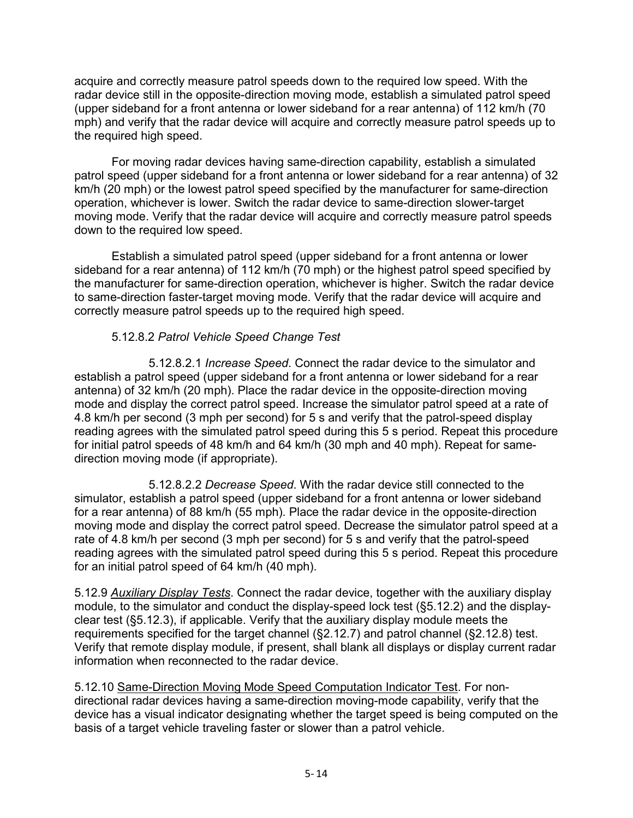acquire and correctly measure patrol speeds down to the required low speed. With the radar device still in the opposite-direction moving mode, establish a simulated patrol speed (upper sideband for a front antenna or lower sideband for a rear antenna) of 112 km/h (70 mph) and verify that the radar device will acquire and correctly measure patrol speeds up to the required high speed.

For moving radar devices having same-direction capability, establish a simulated patrol speed (upper sideband for a front antenna or lower sideband for a rear antenna) of 32 km/h (20 mph) or the lowest patrol speed specified by the manufacturer for same-direction operation, whichever is lower. Switch the radar device to same-direction slower-target moving mode. Verify that the radar device will acquire and correctly measure patrol speeds down to the required low speed.

Establish a simulated patrol speed (upper sideband for a front antenna or lower sideband for a rear antenna) of 112 km/h (70 mph) or the highest patrol speed specified by the manufacturer for same-direction operation, whichever is higher. Switch the radar device to same-direction faster-target moving mode. Verify that the radar device will acquire and correctly measure patrol speeds up to the required high speed.

## 5.12.8.2 *Patrol Vehicle Speed Change Test*

5.12.8.2.1 *Increase Speed*. Connect the radar device to the simulator and establish a patrol speed (upper sideband for a front antenna or lower sideband for a rear antenna) of 32 km/h (20 mph). Place the radar device in the opposite-direction moving mode and display the correct patrol speed. Increase the simulator patrol speed at a rate of 4.8 km/h per second (3 mph per second) for 5 s and verify that the patrol-speed display reading agrees with the simulated patrol speed during this 5 s period. Repeat this procedure for initial patrol speeds of 48 km/h and 64 km/h (30 mph and 40 mph). Repeat for samedirection moving mode (if appropriate).

5.12.8.2.2 *Decrease Speed*. With the radar device still connected to the simulator, establish a patrol speed (upper sideband for a front antenna or lower sideband for a rear antenna) of 88 km/h (55 mph). Place the radar device in the opposite-direction moving mode and display the correct patrol speed. Decrease the simulator patrol speed at a rate of 4.8 km/h per second (3 mph per second) for 5 s and verify that the patrol-speed reading agrees with the simulated patrol speed during this 5 s period. Repeat this procedure for an initial patrol speed of 64 km/h (40 mph).

5.12.9 *Auxiliary Display Tests*. Connect the radar device, together with the auxiliary display module, to the simulator and conduct the display-speed lock test (§5.12.2) and the displayclear test (§5.12.3), if applicable. Verify that the auxiliary display module meets the requirements specified for the target channel (§2.12.7) and patrol channel (§2.12.8) test. Verify that remote display module, if present, shall blank all displays or display current radar information when reconnected to the radar device.

5.12.10 Same-Direction Moving Mode Speed Computation Indicator Test. For nondirectional radar devices having a same-direction moving-mode capability, verify that the device has a visual indicator designating whether the target speed is being computed on the basis of a target vehicle traveling faster or slower than a patrol vehicle.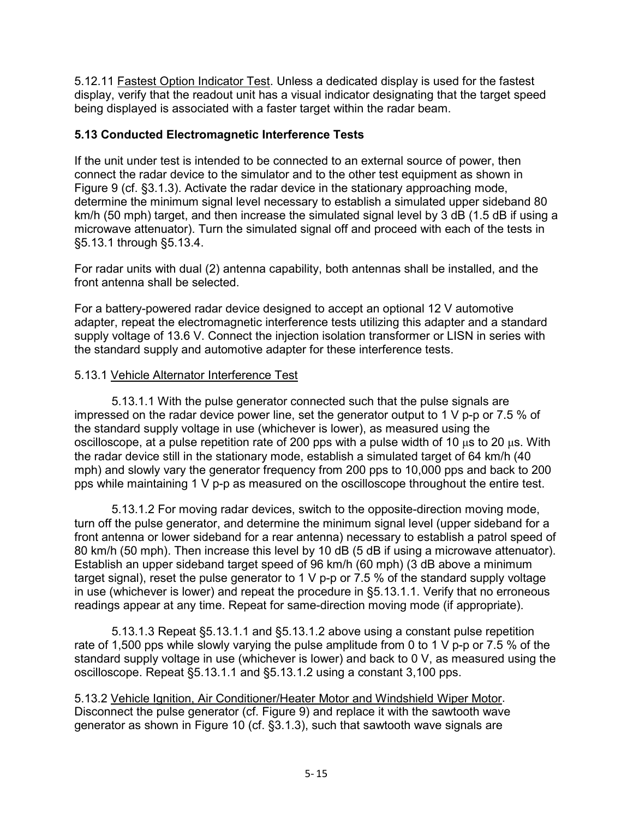5.12.11 Fastest Option Indicator Test. Unless a dedicated display is used for the fastest display, verify that the readout unit has a visual indicator designating that the target speed being displayed is associated with a faster target within the radar beam.

## <span id="page-39-0"></span>**5.13 Conducted Electromagnetic Interference Tests**

If the unit under test is intended to be connected to an external source of power, then connect the radar device to the simulator and to the other test equipment as shown in Figure 9 (cf. §3.1.3). Activate the radar device in the stationary approaching mode, determine the minimum signal level necessary to establish a simulated upper sideband 80 km/h (50 mph) target, and then increase the simulated signal level by 3 dB (1.5 dB if using a microwave attenuator). Turn the simulated signal off and proceed with each of the tests in §5.13.1 through §5.13.4.

For radar units with dual (2) antenna capability, both antennas shall be installed, and the front antenna shall be selected.

For a battery-powered radar device designed to accept an optional 12 V automotive adapter, repeat the electromagnetic interference tests utilizing this adapter and a standard supply voltage of 13.6 V. Connect the injection isolation transformer or LISN in series with the standard supply and automotive adapter for these interference tests.

## 5.13.1 Vehicle Alternator Interference Test

5.13.1.1 With the pulse generator connected such that the pulse signals are impressed on the radar device power line, set the generator output to 1 V p-p or 7.5 % of the standard supply voltage in use (whichever is lower), as measured using the oscilloscope, at a pulse repetition rate of 200 pps with a pulse width of 10  $\mu$ s to 20  $\mu$ s. With the radar device still in the stationary mode, establish a simulated target of 64 km/h (40 mph) and slowly vary the generator frequency from 200 pps to 10,000 pps and back to 200 pps while maintaining 1 V p-p as measured on the oscilloscope throughout the entire test.

5.13.1.2 For moving radar devices, switch to the opposite-direction moving mode, turn off the pulse generator, and determine the minimum signal level (upper sideband for a front antenna or lower sideband for a rear antenna) necessary to establish a patrol speed of 80 km/h (50 mph). Then increase this level by 10 dB (5 dB if using a microwave attenuator). Establish an upper sideband target speed of 96 km/h (60 mph) (3 dB above a minimum target signal), reset the pulse generator to 1 V p-p or 7.5 % of the standard supply voltage in use (whichever is lower) and repeat the procedure in §5.13.1.1. Verify that no erroneous readings appear at any time. Repeat for same-direction moving mode (if appropriate).

5.13.1.3 Repeat §5.13.1.1 and §5.13.1.2 above using a constant pulse repetition rate of 1,500 pps while slowly varying the pulse amplitude from 0 to 1 V p-p or 7.5 % of the standard supply voltage in use (whichever is lower) and back to 0 V, as measured using the oscilloscope. Repeat §5.13.1.1 and §5.13.1.2 using a constant 3,100 pps.

5.13.2 Vehicle Ignition, Air Conditioner/Heater Motor and Windshield Wiper Motor. Disconnect the pulse generator (cf. Figure 9) and replace it with the sawtooth wave generator as shown in Figure 10 (cf. §3.1.3), such that sawtooth wave signals are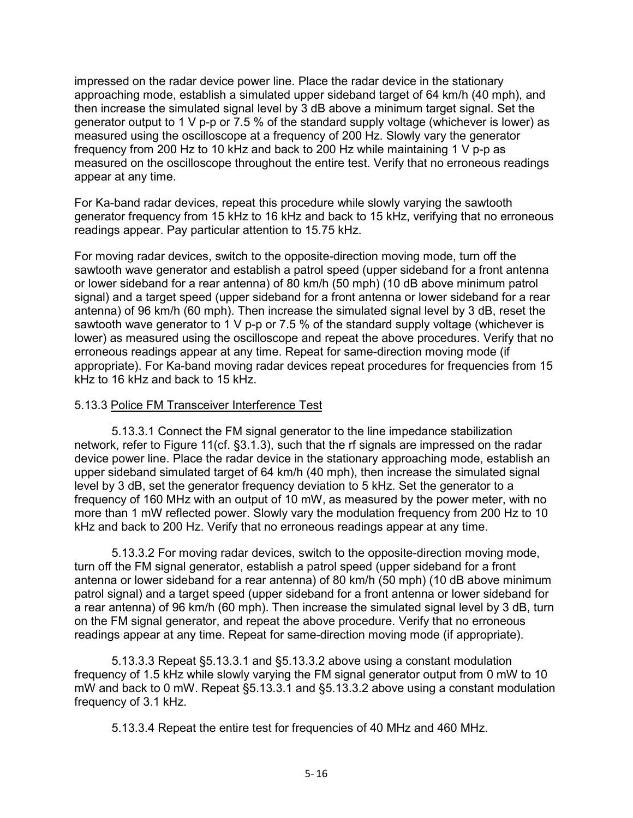impressed on the radar device power line. Place the radar device in the stationary approaching mode, establish a simulated upper sideband target of 64 km/h (40 mph), and then increase the simulated signal level by 3 dB above a minimum target signal. Set the generator output to 1 V p-p or 7.5 % of the standard supply voltage (whichever is lower) as measured using the oscilloscope at a frequency of 200 Hz. Slowly vary the generator frequency from 200 Hz to 10 kHz and back to 200 Hz while maintaining 1 V p-p as measured on the oscilloscope throughout the entire test. Verify that no erroneous readings appear at any time.

For Ka-band radar devices, repeat this procedure while slowly varying the sawtooth generator frequency from 15 kHz to 16 kHz and back to 15 kHz, verifying that no erroneous readings appear. Pay particular attention to 15.75 kHz.

For moving radar devices, switch to the opposite-direction moving mode, turn off the sawtooth wave generator and establish a patrol speed (upper sideband for a front antenna or lower sideband for a rear antenna) of 80 km/h (50 mph) (10 dB above minimum patrol signal) and a target speed (upper sideband for a front antenna or lower sideband for a rear antenna) of 96 km/h (60 mph). Then increase the simulated signal level by 3 dB, reset the sawtooth wave generator to 1 V p-p or 7.5 % of the standard supply voltage (whichever is lower) as measured using the oscilloscope and repeat the above procedures. Verify that no erroneous readings appear at any time. Repeat for same-direction moving mode (if appropriate). For Ka-band moving radar devices repeat procedures for frequencies from 15 kHz to 16 kHz and back to 15 kHz.

#### 5.13.3 Police FM Transceiver Interference Test

5.13.3.1 Connect the FM signal generator to the line impedance stabilization network, refer to Figure 11(cf. §3.1.3), such that the rf signals are impressed on the radar device power line. Place the radar device in the stationary approaching mode, establish an upper sideband simulated target of 64 km/h (40 mph), then increase the simulated signal level by 3 dB, set the generator frequency deviation to 5 kHz. Set the generator to a frequency of 160 MHz with an output of 10 mW, as measured by the power meter, with no more than 1 mW reflected power. Slowly vary the modulation frequency from 200 Hz to 10 kHz and back to 200 Hz. Verify that no erroneous readings appear at any time.

5.13.3.2 For moving radar devices, switch to the opposite-direction moving mode, turn off the FM signal generator, establish a patrol speed (upper sideband for a front antenna or lower sideband for a rear antenna) of 80 km/h (50 mph) (10 dB above minimum patrol signal) and a target speed (upper sideband for a front antenna or lower sideband for a rear antenna) of 96 km/h (60 mph). Then increase the simulated signal level by 3 dB, turn on the FM signal generator, and repeat the above procedure. Verify that no erroneous readings appear at any time. Repeat for same-direction moving mode (if appropriate).

5.13.3.3 Repeat §5.13.3.1 and §5.13.3.2 above using a constant modulation frequency of 1.5 kHz while slowly varying the FM signal generator output from 0 mW to 10 mW and back to 0 mW. Repeat §5.13.3.1 and §5.13.3.2 above using a constant modulation frequency of 3.1 kHz.

5.13.3.4 Repeat the entire test for frequencies of 40 MHz and 460 MHz.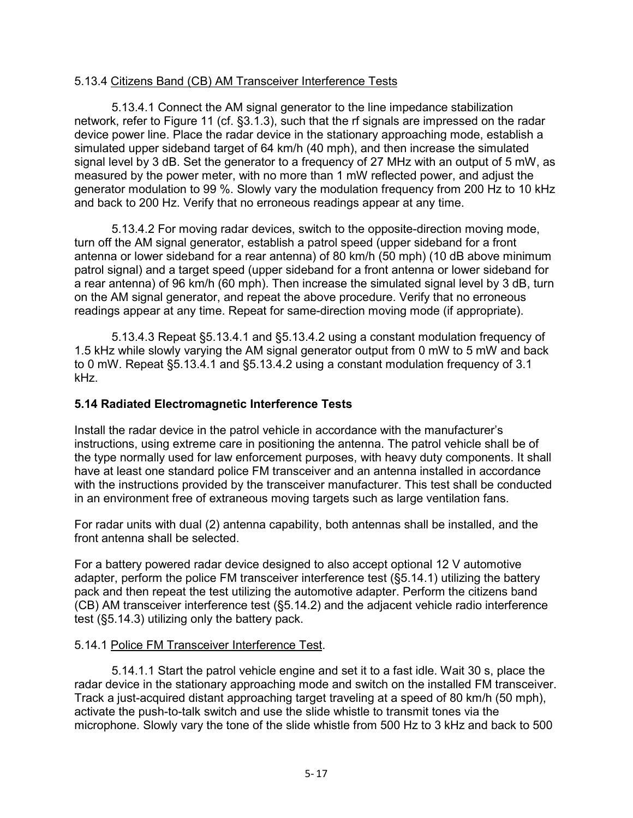#### 5.13.4 Citizens Band (CB) AM Transceiver Interference Tests

5.13.4.1 Connect the AM signal generator to the line impedance stabilization network, refer to Figure 11 (cf. §3.1.3), such that the rf signals are impressed on the radar device power line. Place the radar device in the stationary approaching mode, establish a simulated upper sideband target of 64 km/h (40 mph), and then increase the simulated signal level by 3 dB. Set the generator to a frequency of 27 MHz with an output of 5 mW, as measured by the power meter, with no more than 1 mW reflected power, and adjust the generator modulation to 99 %. Slowly vary the modulation frequency from 200 Hz to 10 kHz and back to 200 Hz. Verify that no erroneous readings appear at any time.

5.13.4.2 For moving radar devices, switch to the opposite-direction moving mode, turn off the AM signal generator, establish a patrol speed (upper sideband for a front antenna or lower sideband for a rear antenna) of 80 km/h (50 mph) (10 dB above minimum patrol signal) and a target speed (upper sideband for a front antenna or lower sideband for a rear antenna) of 96 km/h (60 mph). Then increase the simulated signal level by 3 dB, turn on the AM signal generator, and repeat the above procedure. Verify that no erroneous readings appear at any time. Repeat for same-direction moving mode (if appropriate).

5.13.4.3 Repeat §5.13.4.1 and §5.13.4.2 using a constant modulation frequency of 1.5 kHz while slowly varying the AM signal generator output from 0 mW to 5 mW and back to 0 mW. Repeat §5.13.4.1 and §5.13.4.2 using a constant modulation frequency of 3.1 kHz.

#### <span id="page-41-0"></span>**5.14 Radiated Electromagnetic Interference Tests**

Install the radar device in the patrol vehicle in accordance with the manufacturer's instructions, using extreme care in positioning the antenna. The patrol vehicle shall be of the type normally used for law enforcement purposes, with heavy duty components. It shall have at least one standard police FM transceiver and an antenna installed in accordance with the instructions provided by the transceiver manufacturer. This test shall be conducted in an environment free of extraneous moving targets such as large ventilation fans.

For radar units with dual (2) antenna capability, both antennas shall be installed, and the front antenna shall be selected.

For a battery powered radar device designed to also accept optional 12 V automotive adapter, perform the police FM transceiver interference test (§5.14.1) utilizing the battery pack and then repeat the test utilizing the automotive adapter. Perform the citizens band (CB) AM transceiver interference test (§5.14.2) and the adjacent vehicle radio interference test (§5.14.3) utilizing only the battery pack.

#### 5.14.1 Police FM Transceiver Interference Test.

5.14.1.1 Start the patrol vehicle engine and set it to a fast idle. Wait 30 s, place the radar device in the stationary approaching mode and switch on the installed FM transceiver. Track a just-acquired distant approaching target traveling at a speed of 80 km/h (50 mph), activate the push-to-talk switch and use the slide whistle to transmit tones via the microphone. Slowly vary the tone of the slide whistle from 500 Hz to 3 kHz and back to 500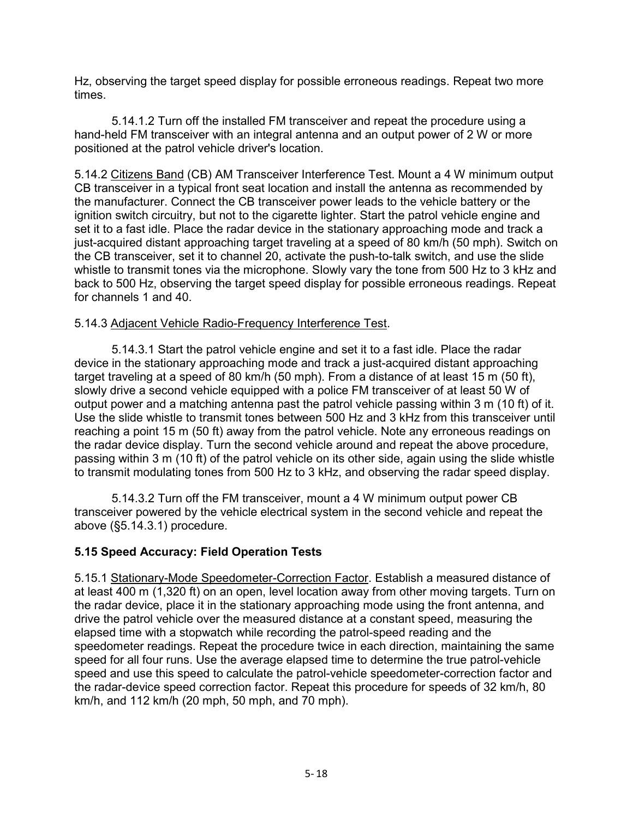Hz, observing the target speed display for possible erroneous readings. Repeat two more times.

5.14.1.2 Turn off the installed FM transceiver and repeat the procedure using a hand-held FM transceiver with an integral antenna and an output power of 2 W or more positioned at the patrol vehicle driver's location.

5.14.2 Citizens Band (CB) AM Transceiver Interference Test. Mount a 4 W minimum output CB transceiver in a typical front seat location and install the antenna as recommended by the manufacturer. Connect the CB transceiver power leads to the vehicle battery or the ignition switch circuitry, but not to the cigarette lighter. Start the patrol vehicle engine and set it to a fast idle. Place the radar device in the stationary approaching mode and track a just-acquired distant approaching target traveling at a speed of 80 km/h (50 mph). Switch on the CB transceiver, set it to channel 20, activate the push-to-talk switch, and use the slide whistle to transmit tones via the microphone. Slowly vary the tone from 500 Hz to 3 kHz and back to 500 Hz, observing the target speed display for possible erroneous readings. Repeat for channels 1 and 40.

## 5.14.3 Adjacent Vehicle Radio-Frequency Interference Test.

5.14.3.1 Start the patrol vehicle engine and set it to a fast idle. Place the radar device in the stationary approaching mode and track a just-acquired distant approaching target traveling at a speed of 80 km/h (50 mph). From a distance of at least 15 m (50 ft), slowly drive a second vehicle equipped with a police FM transceiver of at least 50 W of output power and a matching antenna past the patrol vehicle passing within 3 m (10 ft) of it. Use the slide whistle to transmit tones between 500 Hz and 3 kHz from this transceiver until reaching a point 15 m (50 ft) away from the patrol vehicle. Note any erroneous readings on the radar device display. Turn the second vehicle around and repeat the above procedure, passing within 3 m (10 ft) of the patrol vehicle on its other side, again using the slide whistle to transmit modulating tones from 500 Hz to 3 kHz, and observing the radar speed display.

5.14.3.2 Turn off the FM transceiver, mount a 4 W minimum output power CB transceiver powered by the vehicle electrical system in the second vehicle and repeat the above (§5.14.3.1) procedure.

## <span id="page-42-0"></span>**5.15 Speed Accuracy: Field Operation Tests**

5.15.1 Stationary-Mode Speedometer-Correction Factor. Establish a measured distance of at least 400 m (1,320 ft) on an open, level location away from other moving targets. Turn on the radar device, place it in the stationary approaching mode using the front antenna, and drive the patrol vehicle over the measured distance at a constant speed, measuring the elapsed time with a stopwatch while recording the patrol-speed reading and the speedometer readings. Repeat the procedure twice in each direction, maintaining the same speed for all four runs. Use the average elapsed time to determine the true patrol-vehicle speed and use this speed to calculate the patrol-vehicle speedometer-correction factor and the radar-device speed correction factor. Repeat this procedure for speeds of 32 km/h, 80 km/h, and 112 km/h (20 mph, 50 mph, and 70 mph).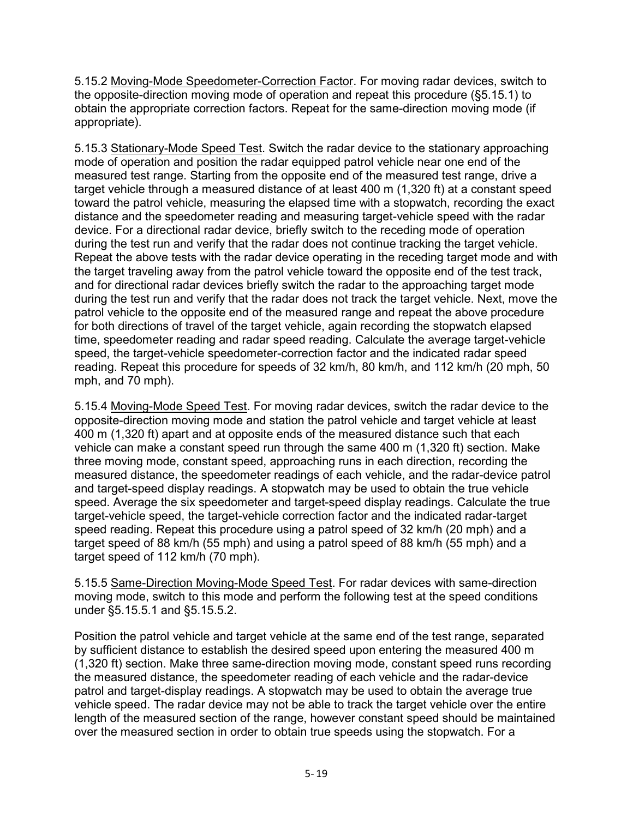5.15.2 Moving-Mode Speedometer-Correction Factor. For moving radar devices, switch to the opposite-direction moving mode of operation and repeat this procedure (§5.15.1) to obtain the appropriate correction factors. Repeat for the same-direction moving mode (if appropriate).

5.15.3 Stationary-Mode Speed Test. Switch the radar device to the stationary approaching mode of operation and position the radar equipped patrol vehicle near one end of the measured test range. Starting from the opposite end of the measured test range, drive a target vehicle through a measured distance of at least 400 m (1,320 ft) at a constant speed toward the patrol vehicle, measuring the elapsed time with a stopwatch, recording the exact distance and the speedometer reading and measuring target-vehicle speed with the radar device. For a directional radar device, briefly switch to the receding mode of operation during the test run and verify that the radar does not continue tracking the target vehicle. Repeat the above tests with the radar device operating in the receding target mode and with the target traveling away from the patrol vehicle toward the opposite end of the test track, and for directional radar devices briefly switch the radar to the approaching target mode during the test run and verify that the radar does not track the target vehicle. Next, move the patrol vehicle to the opposite end of the measured range and repeat the above procedure for both directions of travel of the target vehicle, again recording the stopwatch elapsed time, speedometer reading and radar speed reading. Calculate the average target-vehicle speed, the target-vehicle speedometer-correction factor and the indicated radar speed reading. Repeat this procedure for speeds of 32 km/h, 80 km/h, and 112 km/h (20 mph, 50 mph, and 70 mph).

5.15.4 Moving-Mode Speed Test. For moving radar devices, switch the radar device to the opposite-direction moving mode and station the patrol vehicle and target vehicle at least 400 m (1,320 ft) apart and at opposite ends of the measured distance such that each vehicle can make a constant speed run through the same 400 m (1,320 ft) section. Make three moving mode, constant speed, approaching runs in each direction, recording the measured distance, the speedometer readings of each vehicle, and the radar-device patrol and target-speed display readings. A stopwatch may be used to obtain the true vehicle speed. Average the six speedometer and target-speed display readings. Calculate the true target-vehicle speed, the target-vehicle correction factor and the indicated radar-target speed reading. Repeat this procedure using a patrol speed of 32 km/h (20 mph) and a target speed of 88 km/h (55 mph) and using a patrol speed of 88 km/h (55 mph) and a target speed of 112 km/h (70 mph).

5.15.5 Same-Direction Moving-Mode Speed Test. For radar devices with same-direction moving mode, switch to this mode and perform the following test at the speed conditions under §5.15.5.1 and §5.15.5.2.

Position the patrol vehicle and target vehicle at the same end of the test range, separated by sufficient distance to establish the desired speed upon entering the measured 400 m (1,320 ft) section. Make three same-direction moving mode, constant speed runs recording the measured distance, the speedometer reading of each vehicle and the radar-device patrol and target-display readings. A stopwatch may be used to obtain the average true vehicle speed. The radar device may not be able to track the target vehicle over the entire length of the measured section of the range, however constant speed should be maintained over the measured section in order to obtain true speeds using the stopwatch. For a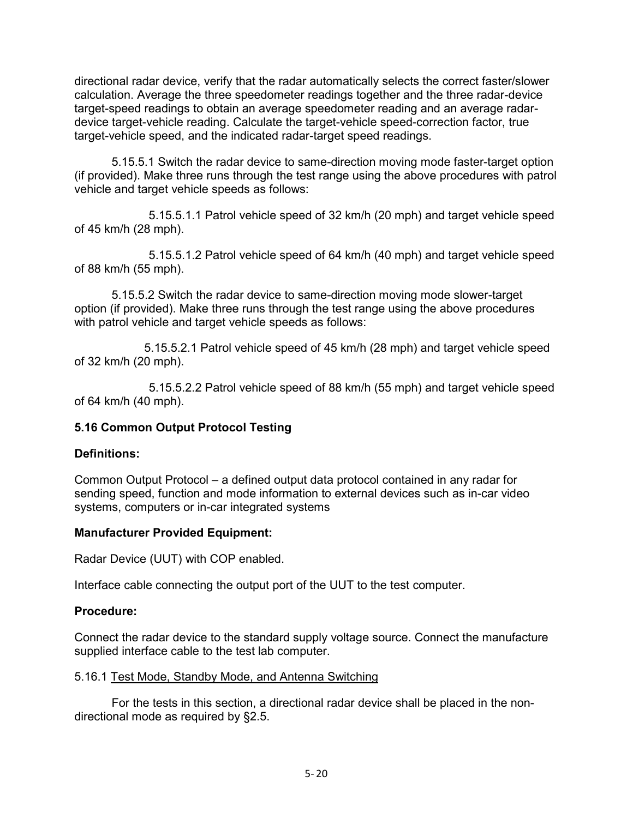directional radar device, verify that the radar automatically selects the correct faster/slower calculation. Average the three speedometer readings together and the three radar-device target-speed readings to obtain an average speedometer reading and an average radardevice target-vehicle reading. Calculate the target-vehicle speed-correction factor, true target-vehicle speed, and the indicated radar-target speed readings.

5.15.5.1 Switch the radar device to same-direction moving mode faster-target option (if provided). Make three runs through the test range using the above procedures with patrol vehicle and target vehicle speeds as follows:

 5.15.5.1.1 Patrol vehicle speed of 32 km/h (20 mph) and target vehicle speed of 45 km/h (28 mph).

5.15.5.1.2 Patrol vehicle speed of 64 km/h (40 mph) and target vehicle speed of 88 km/h (55 mph).

5.15.5.2 Switch the radar device to same-direction moving mode slower-target option (if provided). Make three runs through the test range using the above procedures with patrol vehicle and target vehicle speeds as follows:

5.15.5.2.1 Patrol vehicle speed of 45 km/h (28 mph) and target vehicle speed of 32 km/h (20 mph).

5.15.5.2.2 Patrol vehicle speed of 88 km/h (55 mph) and target vehicle speed of 64 km/h (40 mph).

#### <span id="page-44-0"></span>**5.16 Common Output Protocol Testing**

#### **Definitions:**

Common Output Protocol – a defined output data protocol contained in any radar for sending speed, function and mode information to external devices such as in-car video systems, computers or in-car integrated systems

#### **Manufacturer Provided Equipment:**

Radar Device (UUT) with COP enabled.

Interface cable connecting the output port of the UUT to the test computer.

#### **Procedure:**

Connect the radar device to the standard supply voltage source. Connect the manufacture supplied interface cable to the test lab computer.

#### 5.16.1 Test Mode, Standby Mode, and Antenna Switching

For the tests in this section, a directional radar device shall be placed in the nondirectional mode as required by §2.5.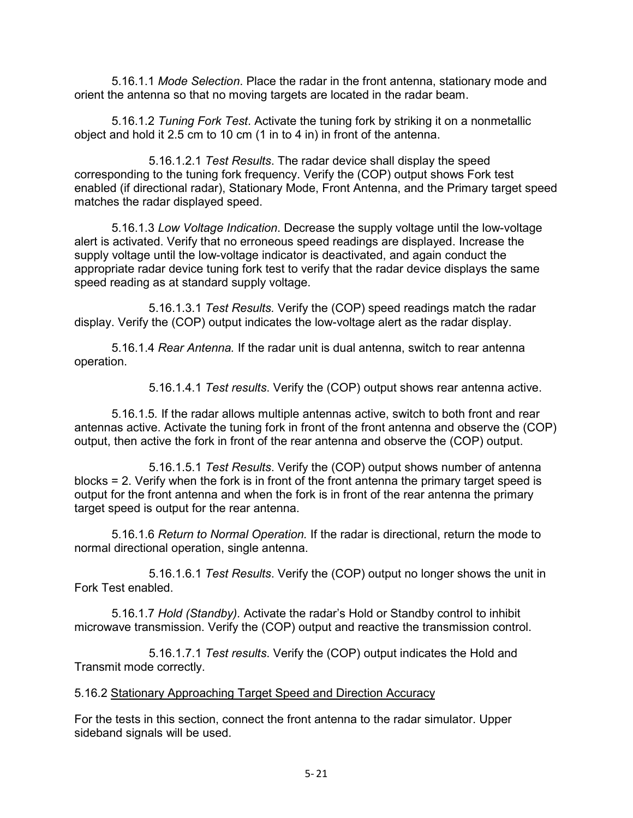5.16.1.1 *Mode Selection*. Place the radar in the front antenna, stationary mode and orient the antenna so that no moving targets are located in the radar beam.

5.16.1.2 *Tuning Fork Test*. Activate the tuning fork by striking it on a nonmetallic object and hold it 2.5 cm to 10 cm (1 in to 4 in) in front of the antenna.

 5.16.1.2.1 *Test Results*. The radar device shall display the speed corresponding to the tuning fork frequency. Verify the (COP) output shows Fork test enabled (if directional radar), Stationary Mode, Front Antenna, and the Primary target speed matches the radar displayed speed.

5.16.1.3 *Low Voltage Indication*. Decrease the supply voltage until the low-voltage alert is activated. Verify that no erroneous speed readings are displayed. Increase the supply voltage until the low-voltage indicator is deactivated, and again conduct the appropriate radar device tuning fork test to verify that the radar device displays the same speed reading as at standard supply voltage.

 5.16.1.3.1 *Test Results.* Verify the (COP) speed readings match the radar display. Verify the (COP) output indicates the low-voltage alert as the radar display.

5.16.1.4 *Rear Antenna.* If the radar unit is dual antenna, switch to rear antenna operation.

5.16.1.4.1 *Test results*. Verify the (COP) output shows rear antenna active.

5.16.1.5*.* If the radar allows multiple antennas active, switch to both front and rear antennas active. Activate the tuning fork in front of the front antenna and observe the (COP) output, then active the fork in front of the rear antenna and observe the (COP) output.

 5.16.1.5.1 *Test Results*. Verify the (COP) output shows number of antenna blocks = 2. Verify when the fork is in front of the front antenna the primary target speed is output for the front antenna and when the fork is in front of the rear antenna the primary target speed is output for the rear antenna.

5.16.1.6 *Return to Normal Operation.* If the radar is directional, return the mode to normal directional operation, single antenna.

 5.16.1.6.1 *Test Results*. Verify the (COP) output no longer shows the unit in Fork Test enabled.

5.16.1.7 *Hold (Standby).* Activate the radar's Hold or Standby control to inhibit microwave transmission. Verify the (COP) output and reactive the transmission control.

 5.16.1.7.1 *Test results*. Verify the (COP) output indicates the Hold and Transmit mode correctly.

#### 5.16.2 Stationary Approaching Target Speed and Direction Accuracy

For the tests in this section, connect the front antenna to the radar simulator. Upper sideband signals will be used.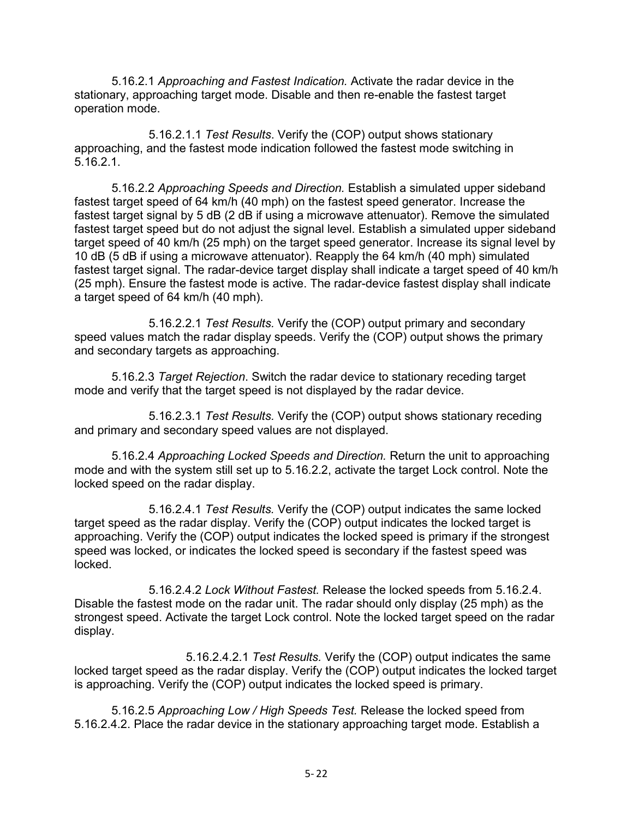5.16.2.1 *Approaching and Fastest Indication.* Activate the radar device in the stationary, approaching target mode. Disable and then re-enable the fastest target operation mode.

 5.16.2.1.1 *Test Results*. Verify the (COP) output shows stationary approaching, and the fastest mode indication followed the fastest mode switching in 5.16.2.1.

5.16.2.2 *Approaching Speeds and Direction.* Establish a simulated upper sideband fastest target speed of 64 km/h (40 mph) on the fastest speed generator. Increase the fastest target signal by 5 dB (2 dB if using a microwave attenuator). Remove the simulated fastest target speed but do not adjust the signal level. Establish a simulated upper sideband target speed of 40 km/h (25 mph) on the target speed generator. Increase its signal level by 10 dB (5 dB if using a microwave attenuator). Reapply the 64 km/h (40 mph) simulated fastest target signal. The radar-device target display shall indicate a target speed of 40 km/h (25 mph). Ensure the fastest mode is active. The radar-device fastest display shall indicate a target speed of 64 km/h (40 mph).

 5.16.2.2.1 *Test Results.* Verify the (COP) output primary and secondary speed values match the radar display speeds. Verify the (COP) output shows the primary and secondary targets as approaching.

5.16.2.3 *Target Rejection*. Switch the radar device to stationary receding target mode and verify that the target speed is not displayed by the radar device.

 5.16.2.3.1 *Test Results.* Verify the (COP) output shows stationary receding and primary and secondary speed values are not displayed.

5.16.2.4 *Approaching Locked Speeds and Direction.* Return the unit to approaching mode and with the system still set up to 5.16.2.2, activate the target Lock control. Note the locked speed on the radar display.

 5.16.2.4.1 *Test Results.* Verify the (COP) output indicates the same locked target speed as the radar display. Verify the (COP) output indicates the locked target is approaching. Verify the (COP) output indicates the locked speed is primary if the strongest speed was locked, or indicates the locked speed is secondary if the fastest speed was locked.

 5.16.2.4.2 *Lock Without Fastest.* Release the locked speeds from 5.16.2.4. Disable the fastest mode on the radar unit. The radar should only display (25 mph) as the strongest speed. Activate the target Lock control. Note the locked target speed on the radar display.

 5.16.2.4.2.1 *Test Results.* Verify the (COP) output indicates the same locked target speed as the radar display. Verify the (COP) output indicates the locked target is approaching. Verify the (COP) output indicates the locked speed is primary.

5.16.2.5 *Approaching Low / High Speeds Test.* Release the locked speed from 5.16.2.4.2. Place the radar device in the stationary approaching target mode. Establish a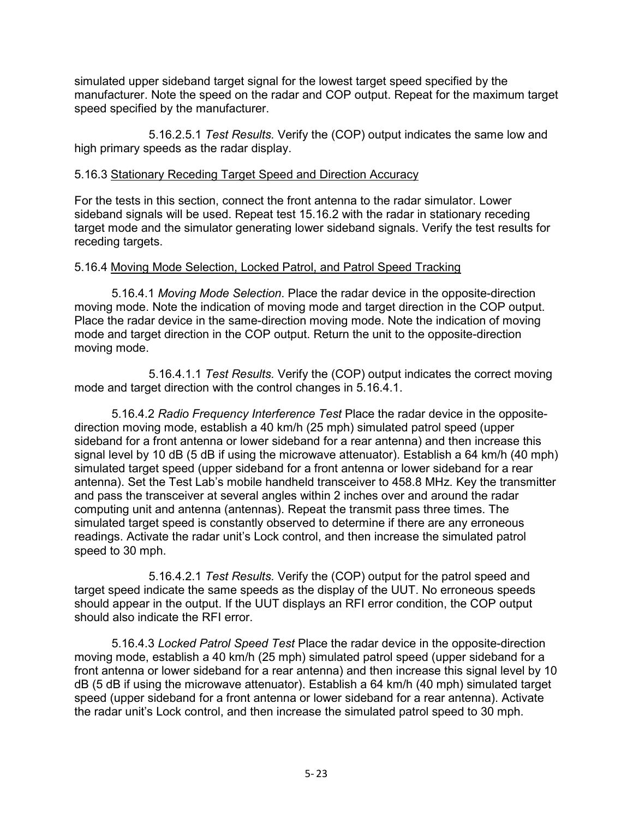simulated upper sideband target signal for the lowest target speed specified by the manufacturer. Note the speed on the radar and COP output. Repeat for the maximum target speed specified by the manufacturer.

 5.16.2.5.1 *Test Results.* Verify the (COP) output indicates the same low and high primary speeds as the radar display.

#### 5.16.3 Stationary Receding Target Speed and Direction Accuracy

For the tests in this section, connect the front antenna to the radar simulator. Lower sideband signals will be used. Repeat test 15.16.2 with the radar in stationary receding target mode and the simulator generating lower sideband signals. Verify the test results for receding targets.

#### 5.16.4 Moving Mode Selection, Locked Patrol, and Patrol Speed Tracking

5.16.4.1 *Moving Mode Selection*. Place the radar device in the opposite-direction moving mode. Note the indication of moving mode and target direction in the COP output. Place the radar device in the same-direction moving mode. Note the indication of moving mode and target direction in the COP output. Return the unit to the opposite-direction moving mode.

 5.16.4.1.1 *Test Results.* Verify the (COP) output indicates the correct moving mode and target direction with the control changes in 5.16.4.1.

5.16.4.2 *Radio Frequency Interference Test* Place the radar device in the oppositedirection moving mode, establish a 40 km/h (25 mph) simulated patrol speed (upper sideband for a front antenna or lower sideband for a rear antenna) and then increase this signal level by 10 dB (5 dB if using the microwave attenuator). Establish a 64 km/h (40 mph) simulated target speed (upper sideband for a front antenna or lower sideband for a rear antenna). Set the Test Lab's mobile handheld transceiver to 458.8 MHz. Key the transmitter and pass the transceiver at several angles within 2 inches over and around the radar computing unit and antenna (antennas). Repeat the transmit pass three times. The simulated target speed is constantly observed to determine if there are any erroneous readings. Activate the radar unit's Lock control, and then increase the simulated patrol speed to 30 mph.

 5.16.4.2.1 *Test Results.* Verify the (COP) output for the patrol speed and target speed indicate the same speeds as the display of the UUT. No erroneous speeds should appear in the output. If the UUT displays an RFI error condition, the COP output should also indicate the RFI error.

5.16.4.3 *Locked Patrol Speed Test* Place the radar device in the opposite-direction moving mode, establish a 40 km/h (25 mph) simulated patrol speed (upper sideband for a front antenna or lower sideband for a rear antenna) and then increase this signal level by 10 dB (5 dB if using the microwave attenuator). Establish a 64 km/h (40 mph) simulated target speed (upper sideband for a front antenna or lower sideband for a rear antenna). Activate the radar unit's Lock control, and then increase the simulated patrol speed to 30 mph.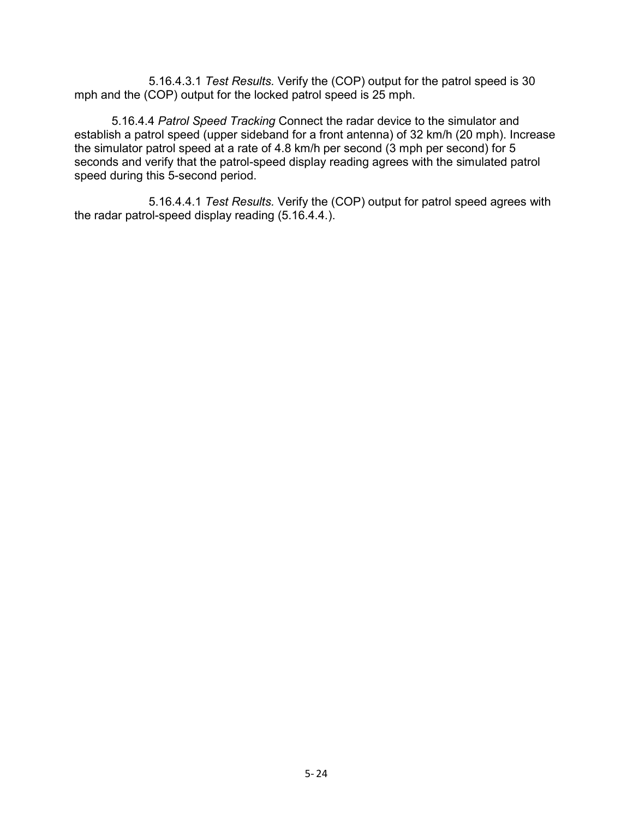5.16.4.3.1 *Test Results.* Verify the (COP) output for the patrol speed is 30 mph and the (COP) output for the locked patrol speed is 25 mph.

5.16.4.4 *Patrol Speed Tracking* Connect the radar device to the simulator and establish a patrol speed (upper sideband for a front antenna) of 32 km/h (20 mph). Increase the simulator patrol speed at a rate of 4.8 km/h per second (3 mph per second) for 5 seconds and verify that the patrol-speed display reading agrees with the simulated patrol speed during this 5-second period.

 5.16.4.4.1 *Test Results.* Verify the (COP) output for patrol speed agrees with the radar patrol-speed display reading (5.16.4.4.).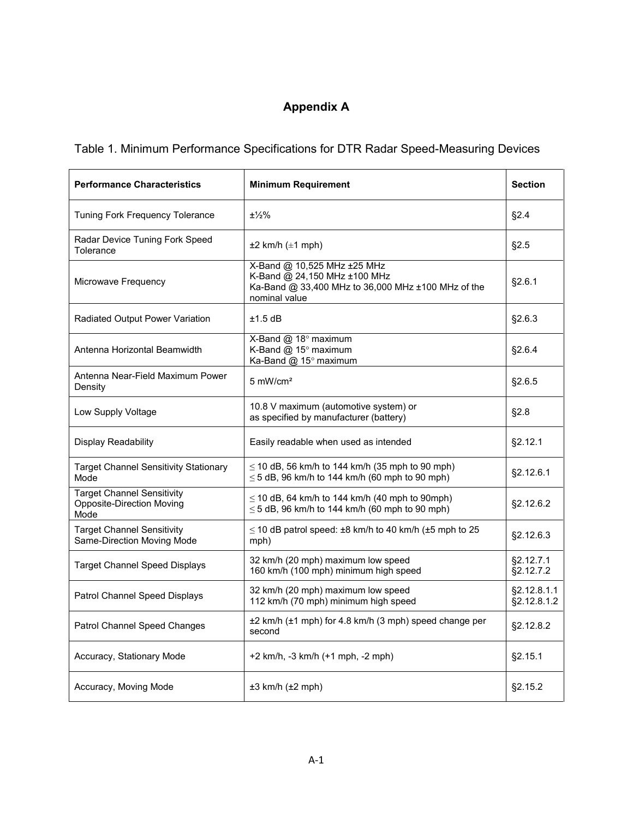# **Appendix A**

# <span id="page-49-0"></span>Table 1. Minimum Performance Specifications for DTR Radar Speed-Measuring Devices

| <b>Performance Characteristics</b>                                            | <b>Minimum Requirement</b>                                                                                                         | <b>Section</b>             |
|-------------------------------------------------------------------------------|------------------------------------------------------------------------------------------------------------------------------------|----------------------------|
| Tuning Fork Frequency Tolerance                                               | $±\frac{1}{2}\%$                                                                                                                   | §2.4                       |
| Radar Device Tuning Fork Speed<br>Tolerance                                   | $\pm 2$ km/h ( $\pm 1$ mph)                                                                                                        | §2.5                       |
| Microwave Frequency                                                           | X-Band @ 10,525 MHz ±25 MHz<br>K-Band @ 24,150 MHz ±100 MHz<br>Ka-Band @ 33,400 MHz to 36,000 MHz ±100 MHz of the<br>nominal value | §2.6.1                     |
| Radiated Output Power Variation                                               | $±1.5$ dB                                                                                                                          | §2.6.3                     |
| Antenna Horizontal Beamwidth                                                  | X-Band @ 18° maximum<br>K-Band @ 15° maximum<br>Ka-Band @ 15° maximum                                                              | §2.6.4                     |
| Antenna Near-Field Maximum Power<br>Density                                   | $5 \text{ mW/cm}^2$                                                                                                                | §2.6.5                     |
| Low Supply Voltage                                                            | 10.8 V maximum (automotive system) or<br>as specified by manufacturer (battery)                                                    | §2.8                       |
| Display Readability                                                           | Easily readable when used as intended                                                                                              | §2.12.1                    |
| <b>Target Channel Sensitivity Stationary</b><br>Mode                          | $\leq$ 10 dB, 56 km/h to 144 km/h (35 mph to 90 mph)<br>$\leq$ 5 dB, 96 km/h to 144 km/h (60 mph to 90 mph)                        | §2.12.6.1                  |
| <b>Target Channel Sensitivity</b><br><b>Opposite-Direction Moving</b><br>Mode | $\leq$ 10 dB, 64 km/h to 144 km/h (40 mph to 90mph)<br>$\leq$ 5 dB, 96 km/h to 144 km/h (60 mph to 90 mph)                         | §2.12.6.2                  |
| <b>Target Channel Sensitivity</b><br>Same-Direction Moving Mode               | $\leq$ 10 dB patrol speed: $\pm$ 8 km/h to 40 km/h ( $\pm$ 5 mph to 25<br>mph)                                                     | §2.12.6.3                  |
| <b>Target Channel Speed Displays</b>                                          | 32 km/h (20 mph) maximum low speed<br>160 km/h (100 mph) minimum high speed                                                        | §2.12.7.1<br>§2.12.7.2     |
| Patrol Channel Speed Displays                                                 | 32 km/h (20 mph) maximum low speed<br>112 km/h (70 mph) minimum high speed                                                         | §2.12.8.1.1<br>§2.12.8.1.2 |
| Patrol Channel Speed Changes                                                  | ±2 km/h (±1 mph) for 4.8 km/h (3 mph) speed change per<br>second                                                                   | §2.12.8.2                  |
| Accuracy, Stationary Mode                                                     | +2 km/h, -3 km/h (+1 mph, -2 mph)                                                                                                  | §2.15.1                    |
| Accuracy, Moving Mode                                                         | $±3$ km/h $±2$ mph)                                                                                                                | §2.15.2                    |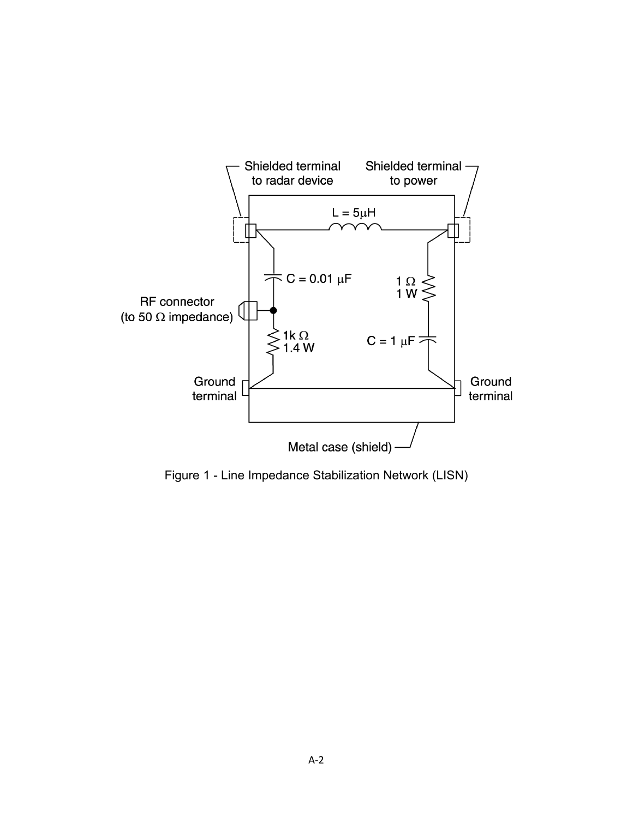<span id="page-50-0"></span>

Figure 1 - Line Impedance Stabilization Network (LISN)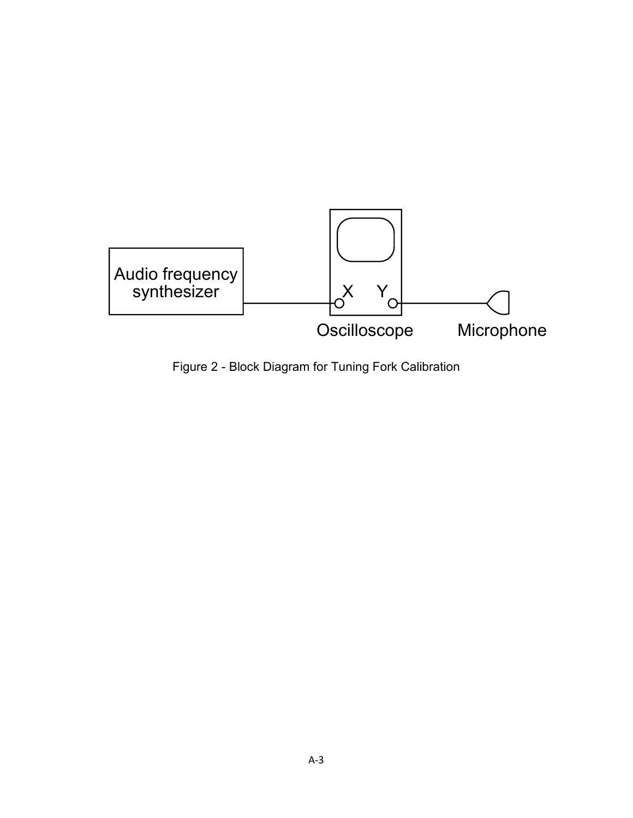<span id="page-51-0"></span>

Figure 2 - Block Diagram for Tuning Fork Calibration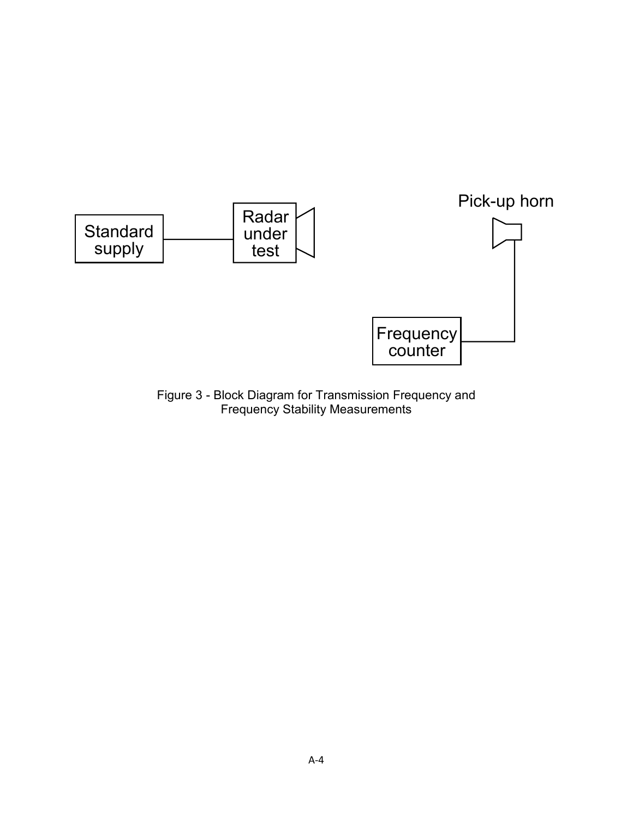<span id="page-52-0"></span>

Figure 3 - Block Diagram for Transmission Frequency and Frequency Stability Measurements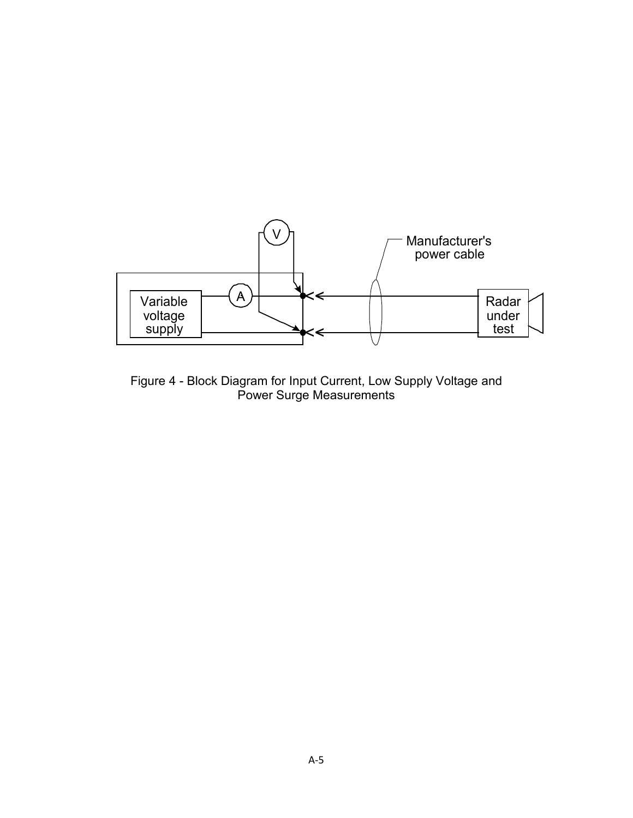<span id="page-53-0"></span>

Figure 4 - Block Diagram for Input Current, Low Supply Voltage and Power Surge Measurements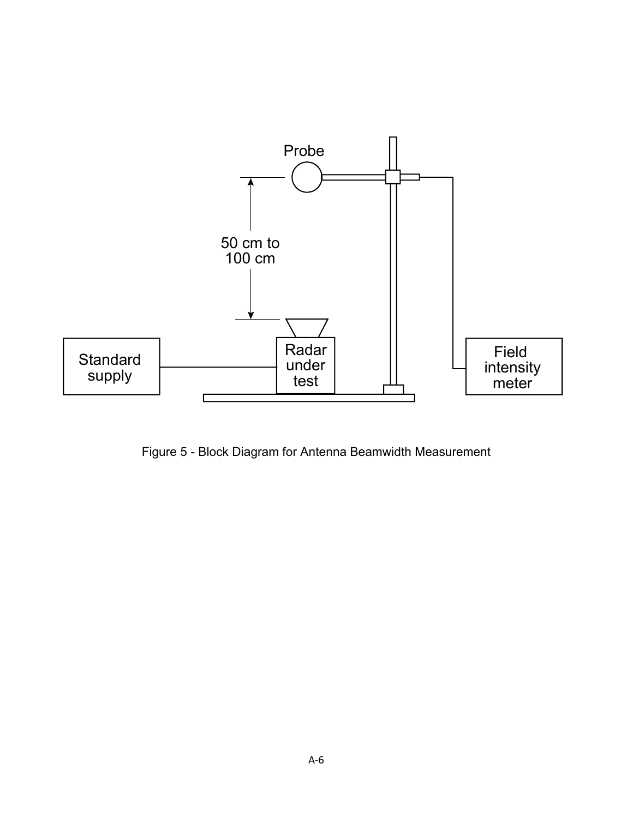<span id="page-54-0"></span>

Figure 5 - Block Diagram for Antenna Beamwidth Measurement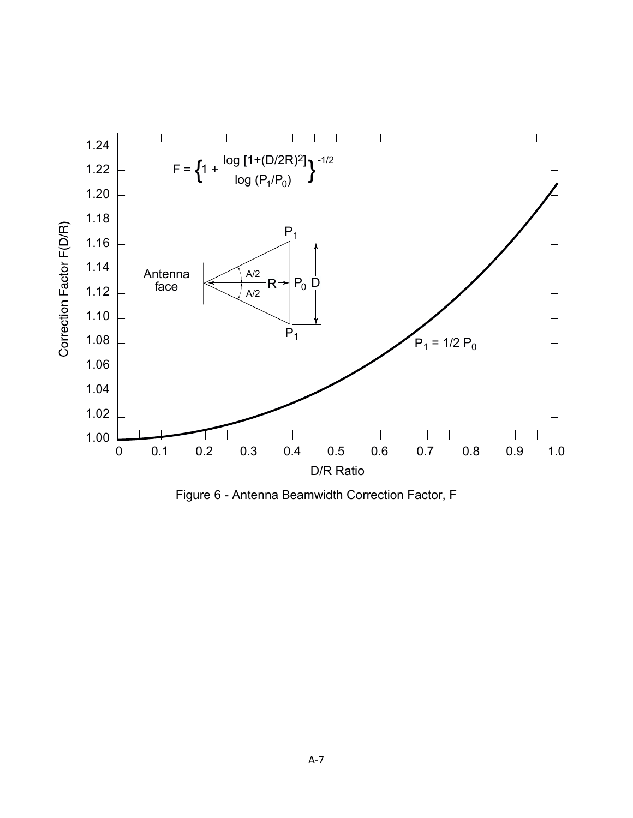<span id="page-55-0"></span>

Figure 6 - Antenna Beamwidth Correction Factor, F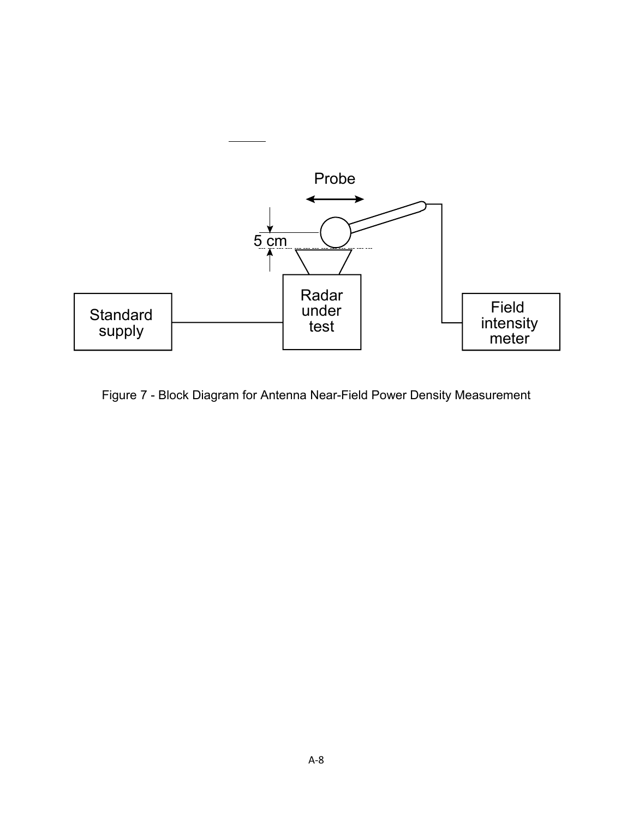<span id="page-56-0"></span>

Figure 7 - Block Diagram for Antenna Near-Field Power Density Measurement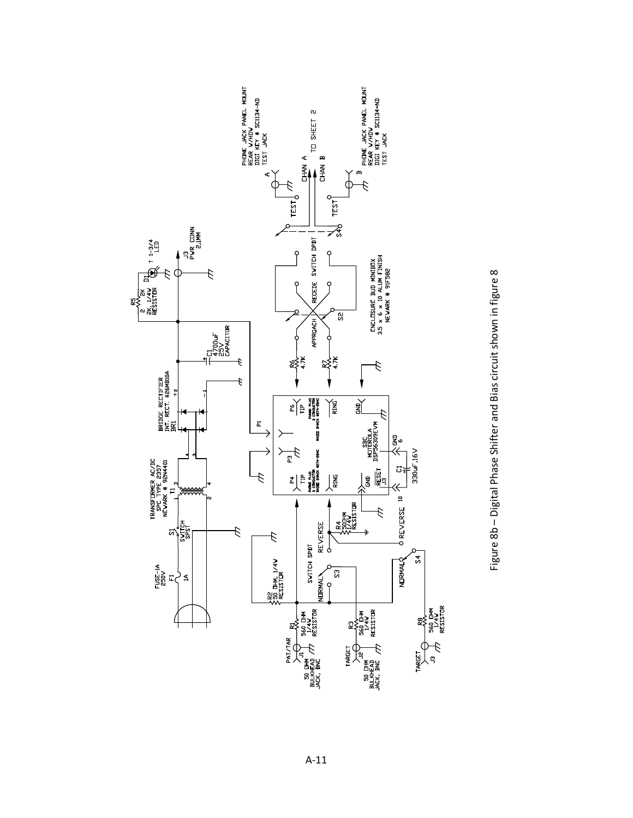<span id="page-59-0"></span>

Figure 8b - Digital Phase Shifter and Bias circuit shown in figure 8 Figure 8b – Digital Phase Shifter and Bias circuit shown in figure 8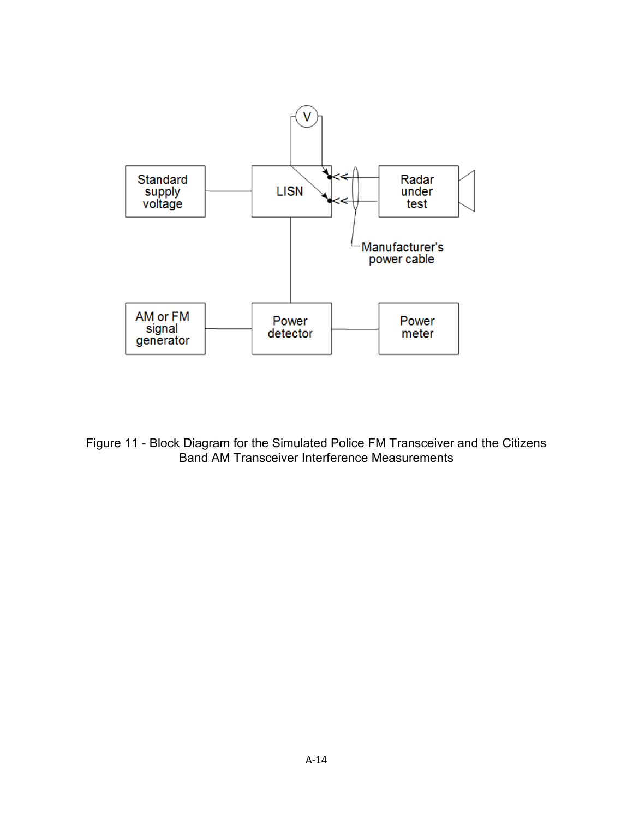<span id="page-62-0"></span>

<span id="page-62-1"></span>Figure 11 - Block Diagram for the Simulated Police FM Transceiver and the Citizens Band AM Transceiver Interference Measurements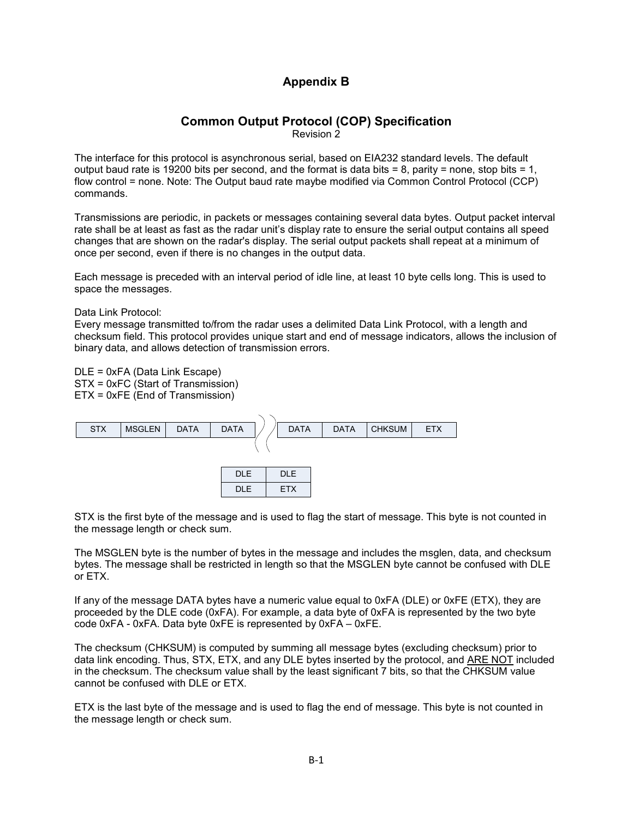#### **Appendix B**

## **Common Output Protocol (COP) Specification**

Revision 2

The interface for this protocol is asynchronous serial, based on EIA232 standard levels. The default output baud rate is 19200 bits per second, and the format is data bits = 8, parity = none, stop bits = 1, flow control = none. Note: The Output baud rate maybe modified via Common Control Protocol (CCP) commands.

Transmissions are periodic, in packets or messages containing several data bytes. Output packet interval rate shall be at least as fast as the radar unit's display rate to ensure the serial output contains all speed changes that are shown on the radar's display. The serial output packets shall repeat at a minimum of once per second, even if there is no changes in the output data.

Each message is preceded with an interval period of idle line, at least 10 byte cells long. This is used to space the messages.

Data Link Protocol:

Every message transmitted to/from the radar uses a delimited Data Link Protocol, with a length and checksum field. This protocol provides unique start and end of message indicators, allows the inclusion of binary data, and allows detection of transmission errors.

DLE = 0xFA (Data Link Escape) STX = 0xFC (Start of Transmission) ETX = 0xFE (End of Transmission)



STX is the first byte of the message and is used to flag the start of message. This byte is not counted in the message length or check sum.

The MSGLEN byte is the number of bytes in the message and includes the msglen, data, and checksum bytes. The message shall be restricted in length so that the MSGLEN byte cannot be confused with DLE or ETX.

If any of the message DATA bytes have a numeric value equal to 0xFA (DLE) or 0xFE (ETX), they are proceeded by the DLE code (0xFA). For example, a data byte of 0xFA is represented by the two byte code 0xFA - 0xFA. Data byte 0xFE is represented by 0xFA – 0xFE.

The checksum (CHKSUM) is computed by summing all message bytes (excluding checksum) prior to data link encoding. Thus, STX, ETX, and any DLE bytes inserted by the protocol, and ARE NOT included in the checksum. The checksum value shall by the least significant 7 bits, so that the CHKSUM value cannot be confused with DLE or ETX.

ETX is the last byte of the message and is used to flag the end of message. This byte is not counted in the message length or check sum.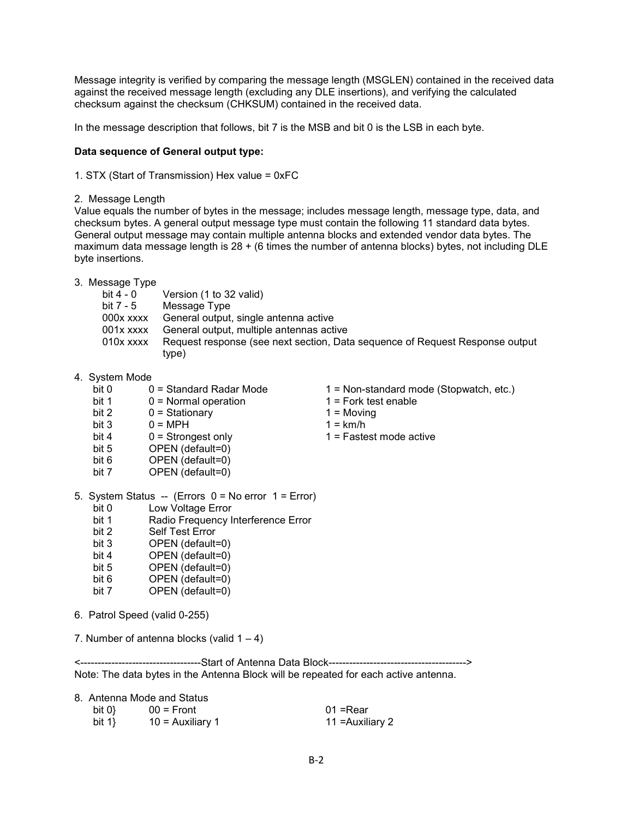Message integrity is verified by comparing the message length (MSGLEN) contained in the received data against the received message length (excluding any DLE insertions), and verifying the calculated checksum against the checksum (CHKSUM) contained in the received data.

In the message description that follows, bit 7 is the MSB and bit 0 is the LSB in each byte.

#### **Data sequence of General output type:**

1. STX (Start of Transmission) Hex value = 0xFC

2. Message Length

Value equals the number of bytes in the message; includes message length, message type, data, and checksum bytes. A general output message type must contain the following 11 standard data bytes. General output message may contain multiple antenna blocks and extended vendor data bytes. The maximum data message length is 28 + (6 times the number of antenna blocks) bytes, not including DLE byte insertions.

3. Message Type

| Version (1 to 32 valid)                                                      |
|------------------------------------------------------------------------------|
| Message Type                                                                 |
| General output, single antenna active                                        |
| General output, multiple antennas active                                     |
| Request response (see next section, Data sequence of Request Response output |
| type)                                                                        |
|                                                                              |

- 4. System Mode
	- bit 0 = Standard Radar Mode 1 = Non-standard mode (Stopwatch, etc.)
	- bit 1  $0 =$  Normal operation  $1 =$  Fork test enable
	- bit  $2 \t 0 =$  Stationary  $1 =$  Moving
	-
	- bit 3  $0 = MPH$  1 = km/h<br>bit 4 0 = Strongest only 1 = Faste
	- bit 4 0 = Strongest only 1 = Fastest mode active<br>bit 5 OPEN (default=0)
	- bit 5 OPEN (default=0)<br>bit 6 OPEN (default=0)
	- bit 6 OPEN (default=0)<br>bit 7 OPEN (default=0) OPEN (default=0)
- 5. System Status -- (Errors 0 = No error 1 = Error)
	- bit 0 Low Voltage Error
	- bit 1 Radio Frequency Interference Error
	- bit 2 Self Test Error
	- bit 3 OPEN (default=0)
	- bit 4 OPEN (default=0)<br>bit 5 OPEN (default=0)
	- OPEN (default=0)
	- bit 6 OPEN (default=0)
	- bit 7 OPEN (default=0)
- 6. Patrol Speed (valid 0-255)
- 7. Number of antenna blocks (valid  $1 4$ )

<-----------------------------------Start of Antenna Data Block----------------------------------------> Note: The data bytes in the Antenna Block will be repeated for each active antenna.

|         | 8. Antenna Mode and Status |                  |
|---------|----------------------------|------------------|
| bit $0$ | $00 =$ Front               | 01 =Rear         |
| bit $1$ | $10$ = Auxiliary 1         | 11 = Auxiliary 2 |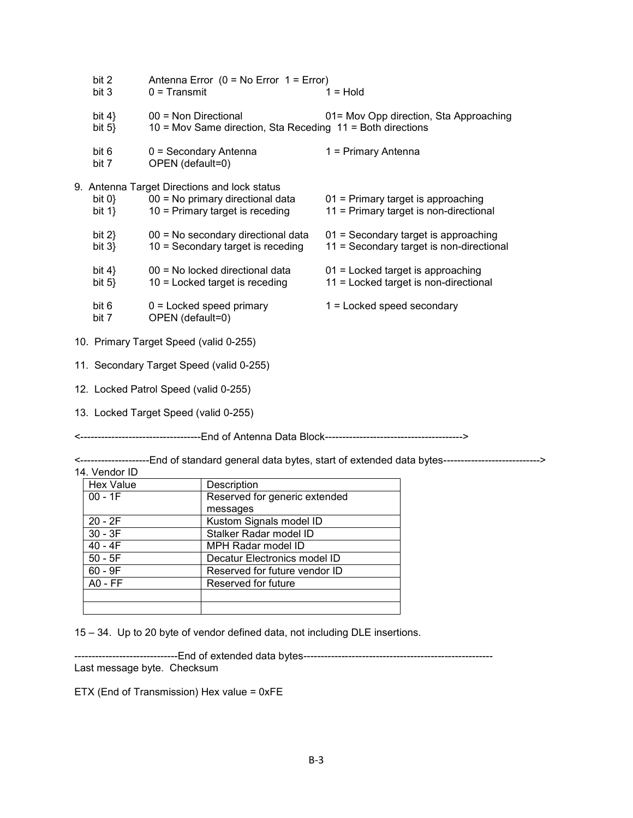| bit 2<br>bit 3                         | Antenna Error $(0 = No Error 1 = Error)$<br>$0 =$ Transmit                                                            | $1 =$ Hold                                                                       |
|----------------------------------------|-----------------------------------------------------------------------------------------------------------------------|----------------------------------------------------------------------------------|
| bit $4$<br>bit $5\}$                   | $00 =$ Non Directional<br>$10$ = Mov Same direction, Sta Receding $11$ = Both directions                              | 01= Mov Opp direction, Sta Approaching                                           |
| bit 6<br>bit 7                         | $0 =$ Secondary Antenna<br>OPEN (default=0)                                                                           | 1 = Primary Antenna                                                              |
| bit 0<br>bit $1$ }                     | 9. Antenna Target Directions and lock status<br>00 = No primary directional data<br>$10$ = Primary target is receding | 01 = Primary target is approaching<br>11 = Primary target is non-directional     |
| bit $2$<br>bit $3\}$                   | 00 = No secondary directional data<br>$10 =$ Secondary target is receding                                             | 01 = Secondary target is approaching<br>11 = Secondary target is non-directional |
| bit $4$ }<br>bit $5$                   | 00 = No locked directional data<br>$10$ = Locked target is receding                                                   | $01$ = Locked target is approaching<br>11 = Locked target is non-directional     |
| bit 6<br>bit 7                         | $0 =$ Locked speed primary<br>OPEN (default=0)                                                                        | $1 =$ Locked speed secondary                                                     |
| 10. Primary Target Speed (valid 0-255) |                                                                                                                       |                                                                                  |
|                                        | 11. Secondary Target Speed (valid 0-255)                                                                              |                                                                                  |
|                                        | 12. Locked Patrol Speed (valid 0-255)                                                                                 |                                                                                  |

13. Locked Target Speed (valid 0-255)

<-----------------------------------End of Antenna Data Block---------------------------------------->

<--------------------End of standard general data bytes, start of extended data bytes----------------------------> 14. Vendor ID

| Hex Value   | Description                   |
|-------------|-------------------------------|
| $00 - 1F$   | Reserved for generic extended |
|             | messages                      |
| $20 - 2F$   | Kustom Signals model ID       |
| $30 - 3F$   | Stalker Radar model ID        |
| $40 - 4F$   | MPH Radar model ID            |
| $50 - 5F$   | Decatur Electronics model ID  |
| $60 - 9F$   | Reserved for future vendor ID |
| $AO$ - $FF$ | Reserved for future           |
|             |                               |
|             |                               |

15 – 34. Up to 20 byte of vendor defined data, not including DLE insertions.

------------------------------End of extended data bytes------------------------------------------------------- Last message byte. Checksum

ETX (End of Transmission) Hex value = 0xFE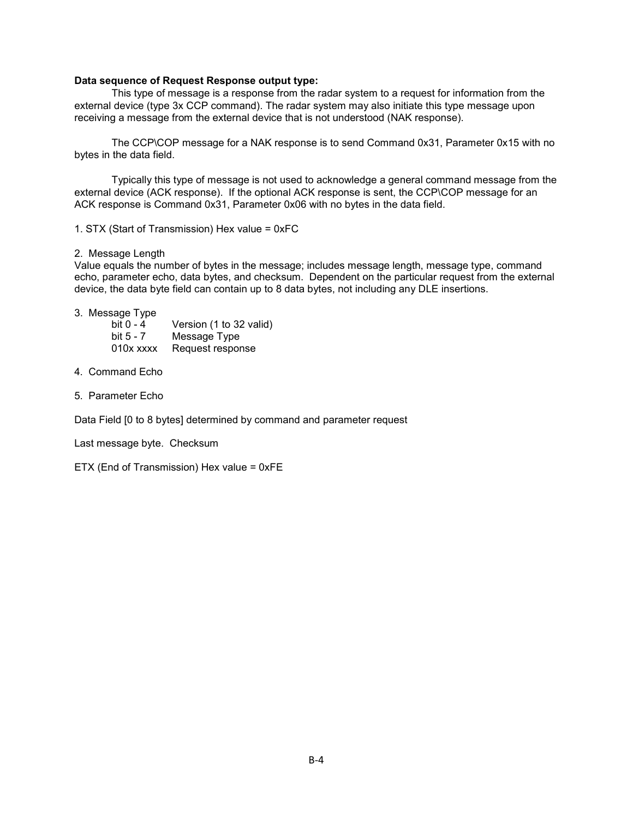#### **Data sequence of Request Response output type:**

This type of message is a response from the radar system to a request for information from the external device (type 3x CCP command). The radar system may also initiate this type message upon receiving a message from the external device that is not understood (NAK response).

The CCP\COP message for a NAK response is to send Command 0x31, Parameter 0x15 with no bytes in the data field.

Typically this type of message is not used to acknowledge a general command message from the external device (ACK response). If the optional ACK response is sent, the CCP\COP message for an ACK response is Command 0x31, Parameter 0x06 with no bytes in the data field.

1. STX (Start of Transmission) Hex value = 0xFC

2. Message Length

Value equals the number of bytes in the message; includes message length, message type, command echo, parameter echo, data bytes, and checksum. Dependent on the particular request from the external device, the data byte field can contain up to 8 data bytes, not including any DLE insertions.

3. Message Type

| bit 0 - 4 | Version (1 to 32 valid) |
|-----------|-------------------------|
| bit 5 - 7 | Message Type            |
| 010x xxxx | Request response        |

- 4. Command Echo
- 5. Parameter Echo

Data Field [0 to 8 bytes] determined by command and parameter request

Last message byte. Checksum

ETX (End of Transmission) Hex value = 0xFE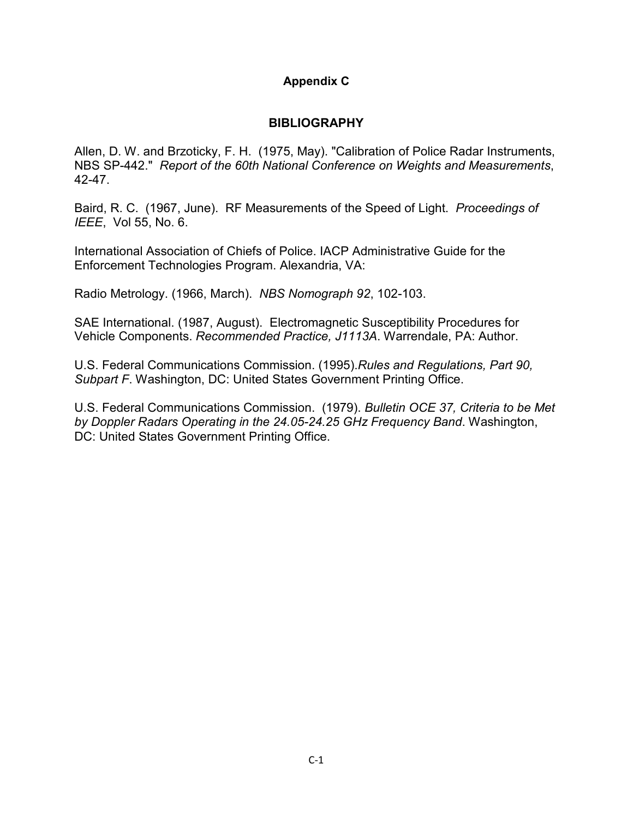## **Appendix C**

## **BIBLIOGRAPHY**

Allen, D. W. and Brzoticky, F. H. (1975, May). "Calibration of Police Radar Instruments, NBS SP-442." *Report of the 60th National Conference on Weights and Measurements*, 42-47.

Baird, R. C. (1967, June). RF Measurements of the Speed of Light. *Proceedings of IEEE*, Vol 55, No. 6.

International Association of Chiefs of Police. IACP Administrative Guide for the Enforcement Technologies Program. Alexandria, VA:

Radio Metrology. (1966, March). *NBS Nomograph 92*, 102-103.

SAE International. (1987, August). Electromagnetic Susceptibility Procedures for Vehicle Components. *Recommended Practice, J1113A*. Warrendale, PA: Author.

U.S. Federal Communications Commission. (1995).*Rules and Regulations, Part 90, Subpart F*. Washington, DC: United States Government Printing Office.

U.S. Federal Communications Commission. (1979). *Bulletin OCE 37, Criteria to be Met by Doppler Radars Operating in the 24.05-24.25 GHz Frequency Band*. Washington, DC: United States Government Printing Office.